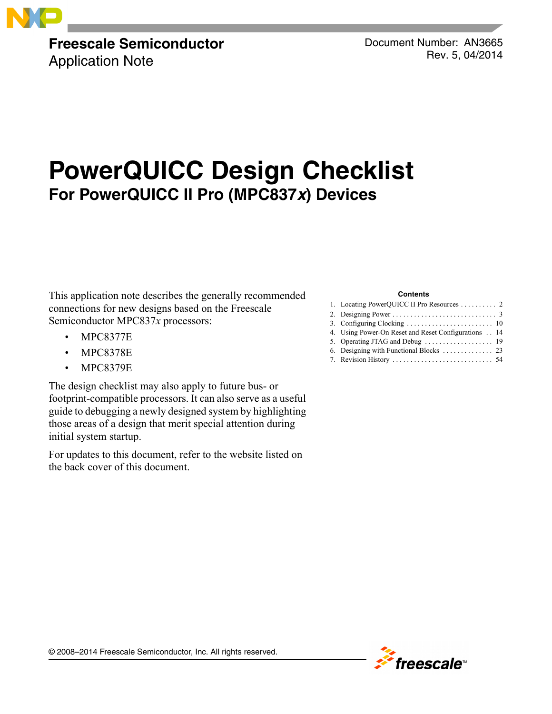

**Freescale Semiconductor** Application Note

Document Number: AN3665 Rev. 5, 04/2014

# **PowerQUICC Design Checklist For PowerQUICC II Pro (MPC837***x***) Devices**

This application note describes the generally recommended connections for new designs based on the Freescale Semiconductor MPC837*x* processors:

- MPC8377E
- MPC8378E
- MPC8379E

The design checklist may also apply to future bus- or footprint-compatible processors. It can also serve as a useful guide to debugging a newly designed system by highlighting those areas of a design that merit special attention during initial system startup.

For updates to this document, refer to the website listed on the back cover of this document.

#### **Contents**

| 4. Using Power-On Reset and Reset Configurations 14 |
|-----------------------------------------------------|
|                                                     |
|                                                     |
|                                                     |

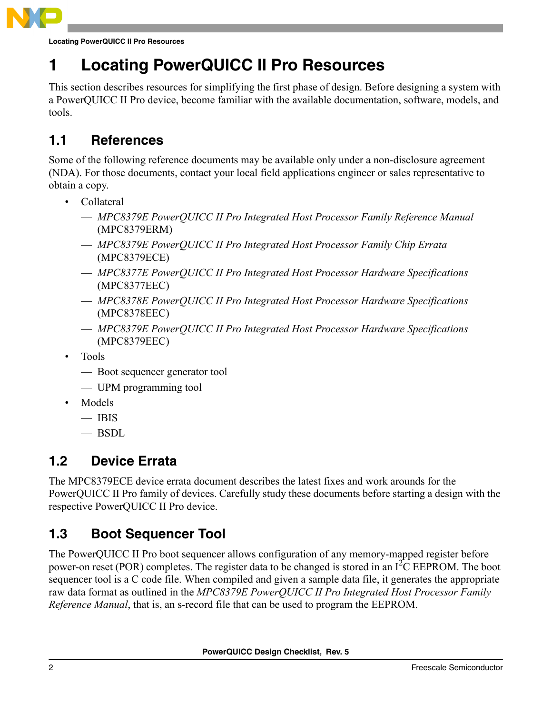

**Locating PowerQUICC II Pro Resources**

## <span id="page-1-0"></span>**1 Locating PowerQUICC II Pro Resources**

This section describes resources for simplifying the first phase of design. Before designing a system with a PowerQUICC II Pro device, become familiar with the available documentation, software, models, and tools.

### **1.1 References**

Some of the following reference documents may be available only under a non-disclosure agreement (NDA). For those documents, contact your local field applications engineer or sales representative to obtain a copy.

- Collateral
	- *MPC8379E PowerQUICC II Pro Integrated Host Processor Family Reference Manual* (MPC8379ERM)
	- *MPC8379E PowerQUICC II Pro Integrated Host Processor Family Chip Errata* (MPC8379ECE)
	- *MPC8377E PowerQUICC II Pro Integrated Host Processor Hardware Specifications* (MPC8377EEC)
	- *MPC8378E PowerQUICC II Pro Integrated Host Processor Hardware Specifications* (MPC8378EEC)
	- *MPC8379E PowerQUICC II Pro Integrated Host Processor Hardware Specifications* (MPC8379EEC)
- Tools
	- Boot sequencer generator tool
	- UPM programming tool
- Models
	- IBIS
	- BSDL

### **1.2 Device Errata**

The MPC8379ECE device errata document describes the latest fixes and work arounds for the PowerQUICC II Pro family of devices. Carefully study these documents before starting a design with the respective PowerQUICC II Pro device.

### **1.3 Boot Sequencer Tool**

The PowerQUICC II Pro boot sequencer allows configuration of any memory-mapped register before power-on reset (POR) completes. The register data to be changed is stored in an I<sup>2</sup>C EEPROM. The boot sequencer tool is a C code file. When compiled and given a sample data file, it generates the appropriate raw data format as outlined in the *MPC8379E PowerQUICC II Pro Integrated Host Processor Family Reference Manual*, that is, an s-record file that can be used to program the EEPROM.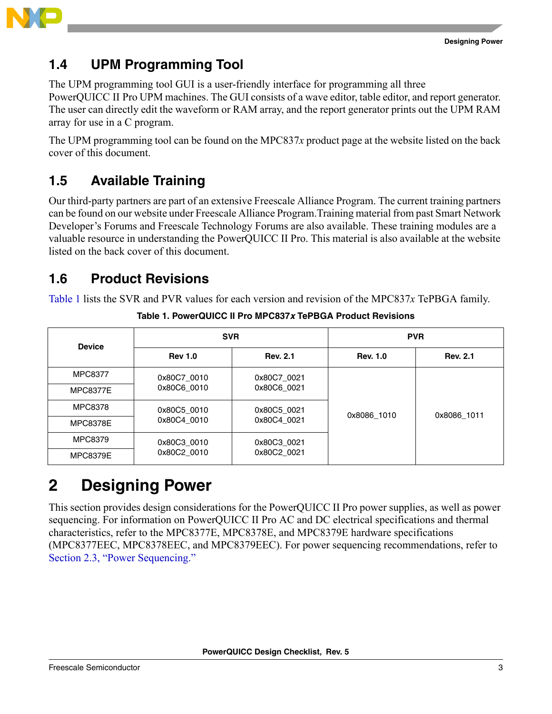

### **1.4 UPM Programming Tool**

The UPM programming tool GUI is a user-friendly interface for programming all three PowerQUICC II Pro UPM machines. The GUI consists of a wave editor, table editor, and report generator. The user can directly edit the waveform or RAM array, and the report generator prints out the UPM RAM array for use in a C program.

The UPM programming tool can be found on the MPC837*x* product page at the website listed on the back cover of this document.

### **1.5 Available Training**

Our third-party partners are part of an extensive Freescale Alliance Program. The current training partners can be found on our website under Freescale Alliance Program.Training material from past Smart Network Developer's Forums and Freescale Technology Forums are also available. These training modules are a valuable resource in understanding the PowerQUICC II Pro. This material is also available at the website listed on the back cover of this document.

### <span id="page-2-2"></span>**1.6 Product Revisions**

<span id="page-2-1"></span>[Table 1](#page-2-1) lists the SVR and PVR values for each version and revision of the MPC837*x* TePBGA family.

| <b>Device</b>   |                | <b>SVR</b>      | <b>PVR</b>      |                 |  |
|-----------------|----------------|-----------------|-----------------|-----------------|--|
|                 | <b>Rev 1.0</b> | <b>Rev. 2.1</b> | <b>Rev. 1.0</b> | <b>Rev. 2.1</b> |  |
| <b>MPC8377</b>  | 0x80C7 0010    | 0x80C7 0021     |                 |                 |  |
| <b>MPC8377E</b> | 0x80C6 0010    | 0x80C6 0021     |                 | 0x8086_1011     |  |
| <b>MPC8378</b>  | 0x80C5 0010    | 0x80C5 0021     | 0x8086 1010     |                 |  |
| <b>MPC8378E</b> | 0x80C4 0010    | 0x80C4 0021     |                 |                 |  |
| MPC8379         | 0x80C3_0010    | 0x80C3_0021     |                 |                 |  |
| <b>MPC8379E</b> | 0x80C2 0010    | 0x80C2 0021     |                 |                 |  |

**Table 1. PowerQUICC II Pro MPC837***x* **TePBGA Product Revisions**

## <span id="page-2-0"></span>**2 Designing Power**

This section provides design considerations for the PowerQUICC II Pro power supplies, as well as power sequencing. For information on PowerQUICC II Pro AC and DC electrical specifications and thermal characteristics, refer to the MPC8377E, MPC8378E, and MPC8379E hardware specifications (MPC8377EEC, MPC8378EEC, and MPC8379EEC). For power sequencing recommendations, refer to [Section 2.3, "Power Sequencing.](#page-5-0)"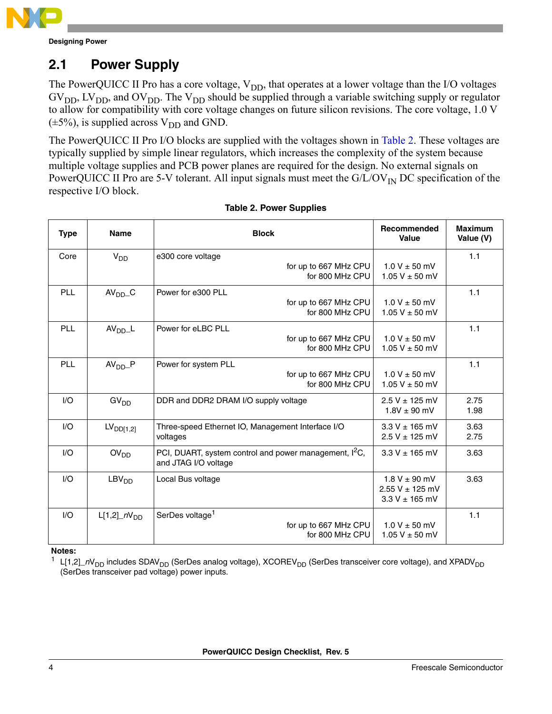

### **2.1 Power Supply**

The PowerQUICC II Pro has a core voltage,  $V_{DD}$ , that operates at a lower voltage than the I/O voltages  $GV<sub>DD</sub>, LV<sub>DD</sub>,$  and  $OV<sub>DD</sub>$ . The  $V<sub>DD</sub>$  should be supplied through a variable switching supply or regulator to allow for compatibility with core voltage changes on future silicon revisions. The core voltage, 1.0 V  $(\pm 5\%)$ , is supplied across V<sub>DD</sub> and GND.

The PowerQUICC II Pro I/O blocks are supplied with the voltages shown in [Table 2.](#page-3-0) These voltages are typically supplied by simple linear regulators, which increases the complexity of the system because multiple voltage supplies and PCB power planes are required for the design. No external signals on PowerQUICC II Pro are 5-V tolerant. All input signals must meet the  $G/L/OV_{IN}$  DC specification of the respective I/O block.

<span id="page-3-0"></span>

| <b>Type</b> | <b>Name</b>           | <b>Block</b>                                                                             | <b>Recommended</b><br>Value                                    | <b>Maximum</b><br>Value (V) |
|-------------|-----------------------|------------------------------------------------------------------------------------------|----------------------------------------------------------------|-----------------------------|
| Core        | $V_{DD}$              | e300 core voltage<br>for up to 667 MHz CPU<br>for 800 MHz CPU                            | $1.0 V \pm 50$ mV<br>1.05 V $\pm$ 50 mV                        | 1.1                         |
| <b>PLL</b>  | $AVDD$ <sub>C</sub>   | Power for e300 PLL<br>for up to 667 MHz CPU<br>for 800 MHz CPU                           | $1.0 V \pm 50$ mV<br>1.05 V $\pm$ 50 mV                        | 1.1                         |
| PLL         | AV <sub>DD</sub> L    | Power for eLBC PLL<br>for up to 667 MHz CPU<br>for 800 MHz CPU                           | $1.0 V \pm 50$ mV<br>1.05 V $\pm$ 50 mV                        | 1.1                         |
| PLL         | AV <sub>DD</sub> P    | Power for system PLL<br>for up to 667 MHz CPU<br>for 800 MHz CPU                         | $1.0 V \pm 50$ mV<br>1.05 V $\pm$ 50 mV                        | 1.1                         |
| I/O         | GV <sub>DD</sub>      | DDR and DDR2 DRAM I/O supply voltage                                                     | $2.5 V \pm 125$ mV<br>$1.8V \pm 90$ mV                         | 2.75<br>1.98                |
| I/O         | LV <sub>DD[1,2]</sub> | Three-speed Ethernet IO, Management Interface I/O<br>voltages                            | $3.3 V \pm 165$ mV<br>$2.5 V \pm 125$ mV                       | 3.63<br>2.75                |
| I/O         | OV <sub>DD</sub>      | PCI, DUART, system control and power management, <sup>2</sup> C,<br>and JTAG I/O voltage | $3.3 V \pm 165$ mV                                             | 3.63                        |
| I/O         | LBV <sub>DD</sub>     | Local Bus voltage                                                                        | $1.8 V \pm 90$ mV<br>$2.55 V \pm 125 mV$<br>$3.3 V \pm 165$ mV | 3.63                        |
| I/O         | $L[1,2]$ $nV_{DD}$    | SerDes voltage <sup>1</sup><br>for up to 667 MHz CPU<br>for 800 MHz CPU                  | $1.0 V \pm 50$ mV<br>1.05 V $\pm$ 50 mV                        | 1.1                         |

#### **Table 2. Power Supplies**

**Notes:**

<sup>1</sup> L[1,2]\_nV<sub>DD</sub> includes SDAV<sub>DD</sub> (SerDes analog voltage), XCOREV<sub>DD</sub> (SerDes transceiver core voltage), and XPADV<sub>DD</sub> (SerDes transceiver pad voltage) power inputs.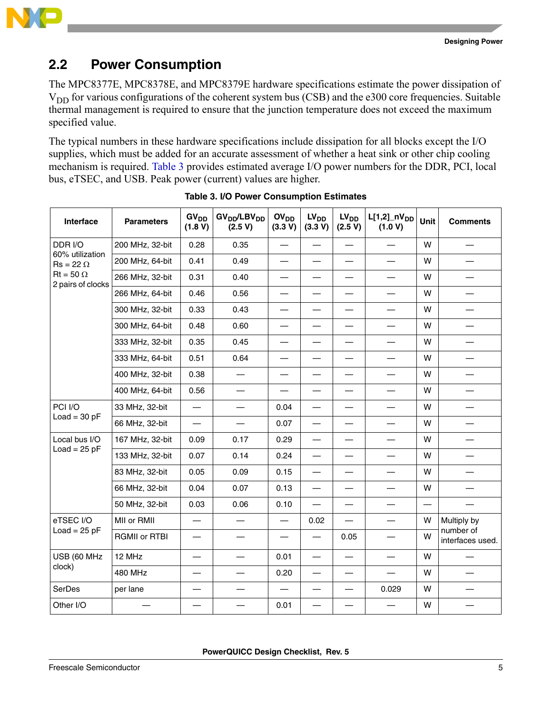

### **2.2 Power Consumption**

The MPC8377E, MPC8378E, and MPC8379E hardware specifications estimate the power dissipation of V<sub>DD</sub> for various configurations of the coherent system bus (CSB) and the e300 core frequencies. Suitable thermal management is required to ensure that the junction temperature does not exceed the maximum specified value.

The typical numbers in these hardware specifications include dissipation for all blocks except the I/O supplies, which must be added for an accurate assessment of whether a heat sink or other chip cooling mechanism is required. [Table 3](#page-4-0) provides estimated average I/O power numbers for the DDR, PCI, local bus, eTSEC, and USB. Peak power (current) values are higher.

<span id="page-4-0"></span>

| Interface                             | <b>Parameters</b>    | GV <sub>DD</sub><br>(1.8 V) | GV <sub>DD</sub> /LBV <sub>DD</sub><br>(2.5 V) | OV <sub>DD</sub><br>(3.3 V) | LV <sub>DD</sub><br>(3.3 V) | $LV_{DD}$<br>(2.5 V)              | $L[1,2]$ <sub>DD</sub><br>(1.0 V) | <b>Unit</b>              | <b>Comments</b>                   |
|---------------------------------------|----------------------|-----------------------------|------------------------------------------------|-----------------------------|-----------------------------|-----------------------------------|-----------------------------------|--------------------------|-----------------------------------|
| DDR I/O                               | 200 MHz, 32-bit      | 0.28                        | 0.35                                           |                             |                             | $\overline{\phantom{0}}$          |                                   | W                        |                                   |
| 60% utilization<br>$Rs = 22 \Omega$   | 200 MHz, 64-bit      | 0.41                        | 0.49                                           |                             | $\overline{\phantom{0}}$    | $\overbrace{\phantom{123221111}}$ |                                   | W                        |                                   |
| $Rt = 50 \Omega$<br>2 pairs of clocks | 266 MHz, 32-bit      | 0.31                        | 0.40                                           |                             |                             |                                   |                                   | W                        |                                   |
|                                       | 266 MHz, 64-bit      | 0.46                        | 0.56                                           |                             |                             | $\overbrace{\phantom{123221111}}$ |                                   | W                        |                                   |
|                                       | 300 MHz, 32-bit      | 0.33                        | 0.43                                           |                             | $\overline{\phantom{0}}$    |                                   | $\overline{\phantom{0}}$          | W                        | $\overline{\phantom{0}}$          |
|                                       | 300 MHz, 64-bit      | 0.48                        | 0.60                                           |                             |                             | $\overbrace{\phantom{123221111}}$ | $\overline{\phantom{0}}$          | W                        |                                   |
|                                       | 333 MHz, 32-bit      | 0.35                        | 0.45                                           |                             |                             | $\overline{\phantom{0}}$          | $\overline{\phantom{0}}$          | w                        | $\overline{\phantom{0}}$          |
|                                       | 333 MHz, 64-bit      | 0.51                        | 0.64                                           |                             | —                           | $\overbrace{\phantom{123221111}}$ | —                                 | W                        | $\overline{\phantom{0}}$          |
|                                       | 400 MHz, 32-bit      | 0.38                        | $\overline{\phantom{0}}$                       |                             | $\overline{\phantom{0}}$    | $\overline{\phantom{0}}$          | $\overline{\phantom{0}}$          | W                        | $\overline{\phantom{0}}$          |
|                                       | 400 MHz, 64-bit      | 0.56                        |                                                |                             | —                           | $\overbrace{\phantom{123221111}}$ |                                   | W                        |                                   |
| PCI I/O                               | 33 MHz, 32-bit       | $\overline{\phantom{0}}$    |                                                | 0.04                        | —                           |                                   |                                   | W                        |                                   |
| $Load = 30 pF$                        | 66 MHz, 32-bit       |                             |                                                | 0.07                        | —                           | $\overline{\phantom{m}}$          |                                   | W                        |                                   |
| Local bus I/O                         | 167 MHz, 32-bit      | 0.09                        | 0.17                                           | 0.29                        | $\overline{\phantom{0}}$    |                                   |                                   | W                        |                                   |
| $Load = 25 pF$                        | 133 MHz, 32-bit      | 0.07                        | 0.14                                           | 0.24                        | $\overline{\phantom{0}}$    |                                   |                                   | W                        | —                                 |
|                                       | 83 MHz, 32-bit       | 0.05                        | 0.09                                           | 0.15                        | $\overline{\phantom{0}}$    | $\overline{\phantom{0}}$          | $\overline{\phantom{0}}$          | W                        | $\overline{\phantom{0}}$          |
|                                       | 66 MHz, 32-bit       | 0.04                        | 0.07                                           | 0.13                        | $\overline{\phantom{0}}$    | $\overline{\phantom{0}}$          | —                                 | W                        | —                                 |
|                                       | 50 MHz, 32-bit       | 0.03                        | 0.06                                           | 0.10                        | $\overline{\phantom{0}}$    | —                                 | $\overline{\phantom{0}}$          | $\overline{\phantom{0}}$ |                                   |
| eTSEC I/O                             | MII or RMII          | $\overline{\phantom{0}}$    |                                                |                             | 0.02                        |                                   |                                   | W                        | Multiply by                       |
| $Load = 25 pF$                        | <b>RGMII or RTBI</b> |                             |                                                |                             | $\overline{\phantom{0}}$    | 0.05                              |                                   | W                        | number of<br>interfaces used.     |
| USB (60 MHz                           | 12 MHz               | $\overline{\phantom{0}}$    |                                                | 0.01                        |                             |                                   |                                   | W                        | $\overbrace{\phantom{123221111}}$ |
| clock)                                | <b>480 MHz</b>       | —                           | $\overbrace{\phantom{12322111}}$               | 0.20                        | —                           | $\overline{\phantom{0}}$          | $\overbrace{\phantom{123221111}}$ | W                        | $\overline{\phantom{0}}$          |
| SerDes                                | per lane             |                             | —                                              |                             | —                           |                                   | 0.029                             | W                        | —                                 |
| Other I/O                             |                      |                             | $\overline{\phantom{0}}$                       | 0.01                        | —                           | $\overline{\phantom{0}}$          |                                   | W                        |                                   |

**Table 3. I/O Power Consumption Estimates**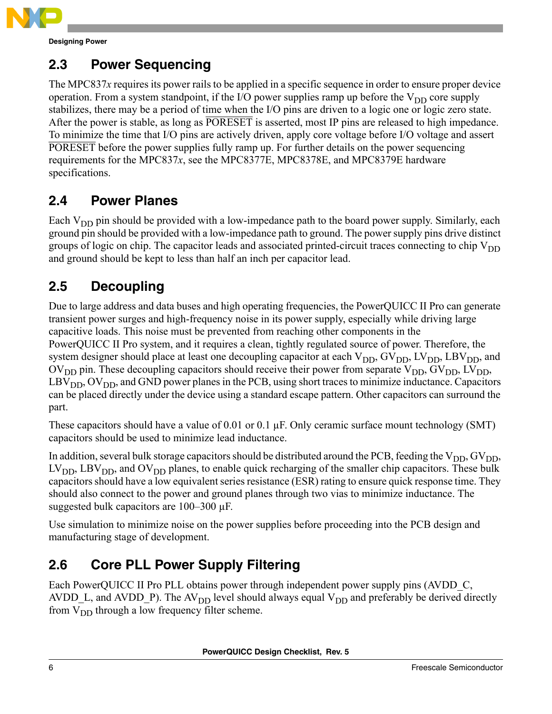

**Designing Power**

### <span id="page-5-0"></span>**2.3 Power Sequencing**

The MPC837*x* requires its power rails to be applied in a specific sequence in order to ensure proper device operation. From a system standpoint, if the I/O power supplies ramp up before the  $V_{DD}$  core supply stabilizes, there may be a period of time when the I/O pins are driven to a logic one or logic zero state. After the power is stable, as long as PORESET is asserted, most IP pins are released to high impedance. To minimize the time that I/O pins are actively driven, apply core voltage before I/O voltage and assert PORESET before the power supplies fully ramp up. For further details on the power sequencing requirements for the MPC837*x*, see the MPC8377E, MPC8378E, and MPC8379E hardware specifications.

### **2.4 Power Planes**

Each  $V_{DD}$  pin should be provided with a low-impedance path to the board power supply. Similarly, each ground pin should be provided with a low-impedance path to ground. The power supply pins drive distinct groups of logic on chip. The capacitor leads and associated printed-circuit traces connecting to chip  $V_{DD}$ and ground should be kept to less than half an inch per capacitor lead.

### **2.5 Decoupling**

Due to large address and data buses and high operating frequencies, the PowerQUICC II Pro can generate transient power surges and high-frequency noise in its power supply, especially while driving large capacitive loads. This noise must be prevented from reaching other components in the PowerQUICC II Pro system, and it requires a clean, tightly regulated source of power. Therefore, the system designer should place at least one decoupling capacitor at each  $V_{DD}$ ,  $GV_{DD}$ ,  $LV_{DD}$ , LBV<sub>DD</sub>, and  $\rm OV_{DD}$  pin. These decoupling capacitors should receive their power from separate  $\rm V_{DD}$ ,  $\rm GV_{DD}$ ,  $\rm LV_{DD}$ ,  $LBV<sub>DD</sub>, OV<sub>DD</sub>$ , and GND power planes in the PCB, using short traces to minimize inductance. Capacitors can be placed directly under the device using a standard escape pattern. Other capacitors can surround the part.

These capacitors should have a value of 0.01 or 0.1  $\mu$ F. Only ceramic surface mount technology (SMT) capacitors should be used to minimize lead inductance.

In addition, several bulk storage capacitors should be distributed around the PCB, feeding the  $V_{DD}$ ,  $GV_{DD}$ ,  $LV<sub>DD</sub>$ , LBV<sub>DD</sub>, and OV<sub>DD</sub> planes, to enable quick recharging of the smaller chip capacitors. These bulk capacitors should have a low equivalent series resistance (ESR) rating to ensure quick response time. They should also connect to the power and ground planes through two vias to minimize inductance. The suggested bulk capacitors are 100–300 µF.

Use simulation to minimize noise on the power supplies before proceeding into the PCB design and manufacturing stage of development.

## <span id="page-5-1"></span>**2.6 Core PLL Power Supply Filtering**

Each PowerQUICC II Pro PLL obtains power through independent power supply pins (AVDD C, AVDD\_L, and AVDD\_P). The AV<sub>DD</sub> level should always equal  $V_{DD}$  and preferably be derived directly from  $V_{DD}$  through a low frequency filter scheme.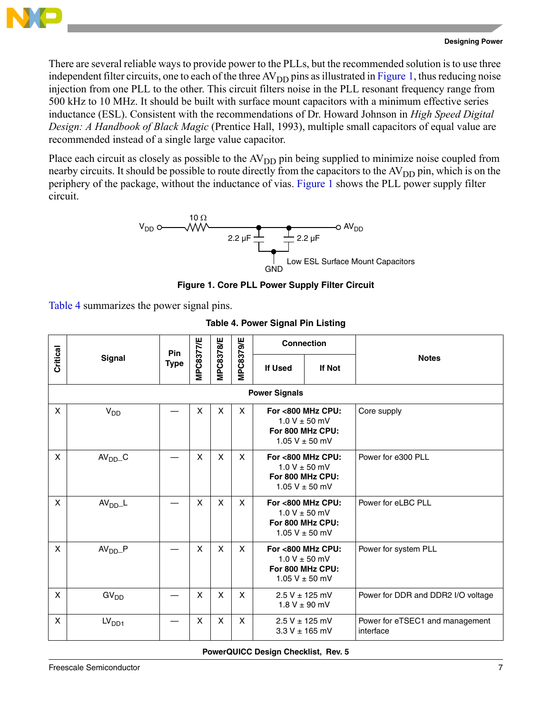

There are several reliable ways to provide power to the PLLs, but the recommended solution is to use three independent filter circuits, one to each of the three  $AV_{DD}$  pins as illustrated in [Figure 1](#page-6-0), thus reducing noise injection from one PLL to the other. This circuit filters noise in the PLL resonant frequency range from 500 kHz to 10 MHz. It should be built with surface mount capacitors with a minimum effective series inductance (ESL). Consistent with the recommendations of Dr. Howard Johnson in *High Speed Digital Design: A Handbook of Black Magic* (Prentice Hall, 1993), multiple small capacitors of equal value are recommended instead of a single large value capacitor.

Place each circuit as closely as possible to the  $AV<sub>DD</sub>$  pin being supplied to minimize noise coupled from nearby circuits. It should be possible to route directly from the capacitors to the AV<sub>DD</sub> pin, which is on the periphery of the package, without the inductance of vias. [Figure 1](#page-6-0) shows the PLL power supply filter circuit.



**Figure 1. Core PLL Power Supply Filter Circuit**

<span id="page-6-1"></span><span id="page-6-0"></span>[Table 4](#page-6-1) summarizes the power signal pins.

|          |                      | Pin         |              |                  |                  | <b>Connection</b> |                                                                                  |                                              |  |  |  |
|----------|----------------------|-------------|--------------|------------------|------------------|-------------------|----------------------------------------------------------------------------------|----------------------------------------------|--|--|--|
| Critical | <b>Signal</b>        | <b>Type</b> | MPC8377/E    | <b>MPC8378/E</b> | <b>MPC8379/E</b> | <b>If Used</b>    | If Not                                                                           | <b>Notes</b>                                 |  |  |  |
|          | <b>Power Signals</b> |             |              |                  |                  |                   |                                                                                  |                                              |  |  |  |
| X        | V <sub>DD</sub>      |             | $\mathsf{x}$ | X                | X                |                   | For <800 MHz CPU:<br>$1.0 V \pm 50 mV$<br>For 800 MHz CPU:<br>$1.05 V \pm 50 mV$ | Core supply                                  |  |  |  |
| X        | $AVDD$ <sub>C</sub>  |             | X            | X                | X                |                   | For <800 MHz CPU:<br>$1.0 V \pm 50$ mV<br>For 800 MHz CPU:<br>1.05 V $\pm$ 50 mV | Power for e300 PLL                           |  |  |  |
| X        | AV <sub>DD</sub> L   |             | X            | X                | X                | For 800 MHz CPU:  | For <800 MHz CPU:<br>$1.0 V \pm 50$ mV<br>1.05 V $\pm$ 50 mV                     | Power for eLBC PLL                           |  |  |  |
| X        | $AVDD$ $P$           |             | X            | X                | X                |                   | For <800 MHz CPU:<br>$1.0 V \pm 50$ mV<br>For 800 MHz CPU:<br>1.05 V $\pm$ 50 mV | Power for system PLL                         |  |  |  |
| X        | GV <sub>DD</sub>     |             | X            | X                | X                |                   | $2.5 V \pm 125 mV$<br>$1.8 V \pm 90$ mV                                          | Power for DDR and DDR2 I/O voltage           |  |  |  |
| X        | LV <sub>DD1</sub>    |             | X            | X                | X                |                   | $2.5 V \pm 125$ mV<br>$3.3 V \pm 165$ mV                                         | Power for eTSEC1 and management<br>interface |  |  |  |

**Table 4. Power Signal Pin Listing**

**PowerQUICC Design Checklist, Rev. 5**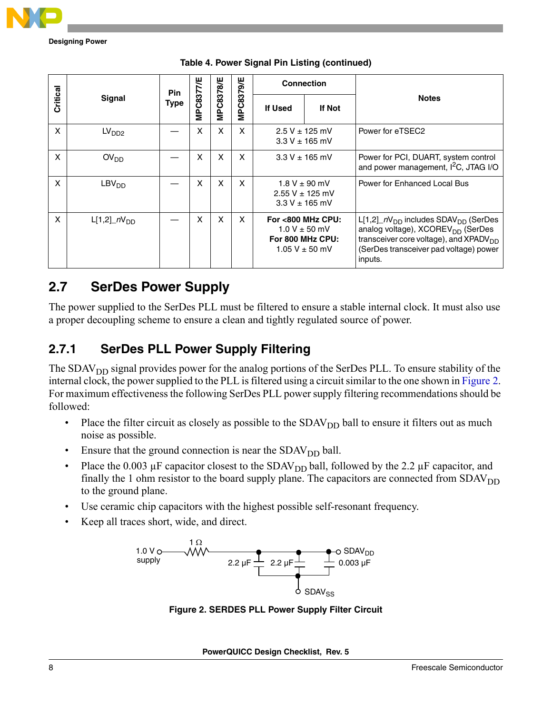

**Designing Power**

|          |                    | Pin  |                  |           |                  | <b>Connection</b>                        |                                                                                  |                                                                                                                                                                                                                        |
|----------|--------------------|------|------------------|-----------|------------------|------------------------------------------|----------------------------------------------------------------------------------|------------------------------------------------------------------------------------------------------------------------------------------------------------------------------------------------------------------------|
| Critical | <b>Signal</b>      | Type | <b>MPC8377/E</b> | MPC8378/E | <b>MPC8379/E</b> | <b>If Used</b>                           | <b>If Not</b>                                                                    | <b>Notes</b>                                                                                                                                                                                                           |
| X        | LV <sub>DD2</sub>  |      | X                | X         | X                | $2.5 V \pm 125$ mV<br>$3.3 V \pm 165$ mV |                                                                                  | Power for eTSEC2                                                                                                                                                                                                       |
| X        | OV <sub>DD</sub>   |      | X                | X         | X                | $3.3 V \pm 165$ mV                       |                                                                                  | Power for PCI, DUART, system control<br>and power management, I <sup>2</sup> C, JTAG I/O                                                                                                                               |
| X        | LBV <sub>DD</sub>  |      | X                | X         | X                |                                          | $1.8 V \pm 90$ mV<br>$2.55 V \pm 125 mV$<br>$3.3 V \pm 165$ mV                   | Power for Enhanced Local Bus                                                                                                                                                                                           |
| X        | $L[1,2]$ $nV_{DD}$ |      | X                | X         | X                |                                          | For <800 MHz CPU:<br>$1.0 V \pm 50$ mV<br>For 800 MHz CPU:<br>$1.05 V \pm 50$ mV | $L[1,2]$ <sub>DD</sub> includes SDAV <sub>DD</sub> (SerDes<br>analog voltage), XCOREV <sub>DD</sub> (SerDes<br>transceiver core voltage), and XPADV <sub>DD</sub><br>(SerDes transceiver pad voltage) power<br>inputs. |

|  |  | Table 4. Power Signal Pin Listing (continued) |  |
|--|--|-----------------------------------------------|--|
|  |  |                                               |  |

### **2.7 SerDes Power Supply**

The power supplied to the SerDes PLL must be filtered to ensure a stable internal clock. It must also use a proper decoupling scheme to ensure a clean and tightly regulated source of power.

### **2.7.1 SerDes PLL Power Supply Filtering**

The SDAV<sub>DD</sub> signal provides power for the analog portions of the SerDes PLL. To ensure stability of the internal clock, the power supplied to the PLL is filtered using a circuit similar to the one shown in [Figure 2.](#page-7-0) For maximum effectiveness the following SerDes PLL power supply filtering recommendations should be followed:

- Place the filter circuit as closely as possible to the  $SDAV<sub>DD</sub>$  ball to ensure it filters out as much noise as possible.
- Ensure that the ground connection is near the  $SDAV<sub>DD</sub>$  ball.
- Place the 0.003  $\mu$ F capacitor closest to the SDAV<sub>DD</sub> ball, followed by the 2.2  $\mu$ F capacitor, and finally the 1 ohm resistor to the board supply plane. The capacitors are connected from  $SDAV<sub>DD</sub>$ to the ground plane.
- Use ceramic chip capacitors with the highest possible self-resonant frequency.
- <span id="page-7-0"></span>• Keep all traces short, wide, and direct.



**Figure 2. SERDES PLL Power Supply Filter Circuit**

**PowerQUICC Design Checklist, Rev. 5**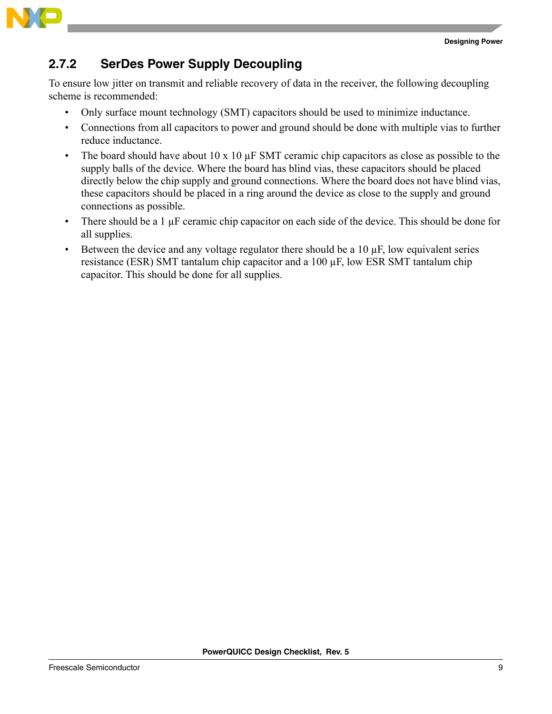



#### **2.7.2 SerDes Power Supply Decoupling**

To ensure low jitter on transmit and reliable recovery of data in the receiver, the following decoupling scheme is recommended:

- Only surface mount technology (SMT) capacitors should be used to minimize inductance.
- Connections from all capacitors to power and ground should be done with multiple vias to further reduce inductance.
- The board should have about 10 x 10  $\mu$ F SMT ceramic chip capacitors as close as possible to the supply balls of the device. Where the board has blind vias, these capacitors should be placed directly below the chip supply and ground connections. Where the board does not have blind vias, these capacitors should be placed in a ring around the device as close to the supply and ground connections as possible.
- There should be a 1 µF ceramic chip capacitor on each side of the device. This should be done for all supplies.
- Between the device and any voltage regulator there should be a  $10 \mu$ F, low equivalent series resistance (ESR) SMT tantalum chip capacitor and a 100 µF, low ESR SMT tantalum chip capacitor. This should be done for all supplies.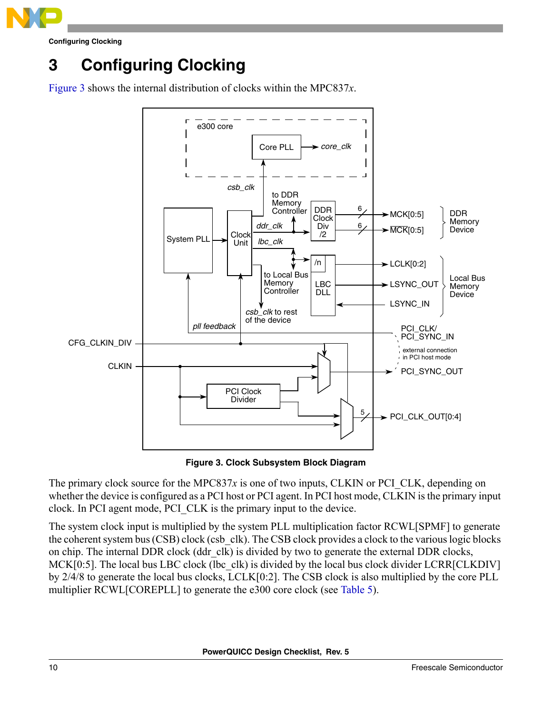

**Configuring Clocking**

## <span id="page-9-0"></span>**3 Configuring Clocking**

[Figure 3](#page-9-1) shows the internal distribution of clocks within the MPC837*x*.



**Figure 3. Clock Subsystem Block Diagram**

<span id="page-9-1"></span>The primary clock source for the MPC837x is one of two inputs, CLKIN or PCI CLK, depending on whether the device is configured as a PCI host or PCI agent. In PCI host mode, CLKIN is the primary input clock. In PCI agent mode, PCI\_CLK is the primary input to the device.

The system clock input is multiplied by the system PLL multiplication factor RCWL[SPMF] to generate the coherent system bus (CSB) clock (csb\_clk). The CSB clock provides a clock to the various logic blocks on chip. The internal DDR clock (ddr\_clk) is divided by two to generate the external DDR clocks, MCK[0:5]. The local bus LBC clock (lbc clk) is divided by the local bus clock divider LCRR[CLKDIV] by 2/4/8 to generate the local bus clocks, LCLK[0:2]. The CSB clock is also multiplied by the core PLL multiplier RCWL[COREPLL] to generate the e300 core clock (see [Table 5\)](#page-10-0).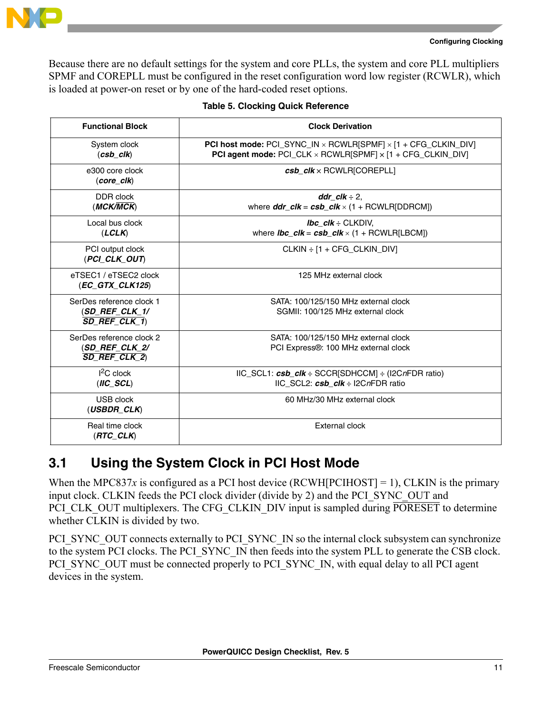

```
Configuring Clocking
```
Because there are no default settings for the system and core PLLs, the system and core PLL multipliers SPMF and COREPLL must be configured in the reset configuration word low register (RCWLR), which is loaded at power-on reset or by one of the hard-coded reset options.

<span id="page-10-0"></span>

| <b>Functional Block</b>                                         | <b>Clock Derivation</b>                                                                                                                                       |
|-----------------------------------------------------------------|---------------------------------------------------------------------------------------------------------------------------------------------------------------|
| System clock<br>$(csb_clk)$                                     | PCI host mode: PCI_SYNC_IN x RCWLR[SPMF] x [1 + CFG_CLKIN_DIV]<br>PCI agent mode: PCI_CLK x RCWLR[SPMF] x [1 + CFG_CLKIN_DIV]                                 |
| e300 core clock<br>$(core-clk)$                                 | $csb$ $clk \times$ RCWLR[COREPLL]                                                                                                                             |
| DDR clock<br>(MCK/MCK)                                          | ddr clk $\div$ 2.<br>where $ddr\_clk = csb\_clk \times (1 + RCWLR[DDRCM])$                                                                                    |
| Local bus clock<br>(LCLK)                                       | <b>Ibc</b> $cIk \div CLKDIV$ .<br>where $\textit{Ibc\_clk} = \textit{csb\_clk} \times (1 + \text{RCWLR[LECM]})$                                               |
| PCI output clock<br>(PCI_CLK_OUT)                               | CLKIN $\div$ [1 + CFG CLKIN DIV]                                                                                                                              |
| eTSEC1 / eTSEC2 clock<br>$(EC_GTX_CLK125)$                      | 125 MHz external clock                                                                                                                                        |
| SerDes reference clock 1<br>(SD REF CLK 1/<br>SD REF CLK 1)     | SATA: 100/125/150 MHz external clock<br>SGMII: 100/125 MHz external clock                                                                                     |
| SerDes reference clock 2<br>(SD_REF_CLK_2/<br>$SD$ REF CLK $2)$ | SATA: 100/125/150 MHz external clock<br>PCI Express®: 100 MHz external clock                                                                                  |
| $I2C$ clock<br>$(IC\_SCL)$                                      | $\text{IIC}\_\text{SCL1}: \textit{csb}\_\textit{clk} \div \text{SCCR}[\text{SDHCCM}] \div (\text{I2CnFDR ratio})$<br>IIC SCL2: $csb$ $clk \div$ I2CnFDR ratio |
| USB clock<br>$(USBDR\_CLK)$                                     | 60 MHz/30 MHz external clock                                                                                                                                  |
| Real time clock<br>$(RTC\_CLK)$                                 | External clock                                                                                                                                                |

### **3.1 Using the System Clock in PCI Host Mode**

When the MPC837*x* is configured as a PCI host device (RCWH[PCIHOST] = 1), CLKIN is the primary input clock. CLKIN feeds the PCI clock divider (divide by 2) and the PCI\_SYNC\_OUT and PCI CLK OUT multiplexers. The CFG CLKIN DIV input is sampled during PORESET to determine whether CLKIN is divided by two.

PCI\_SYNC\_OUT connects externally to PCI\_SYNC\_IN so the internal clock subsystem can synchronize to the system PCI clocks. The PCI\_SYNC\_IN then feeds into the system PLL to generate the CSB clock. PCI\_SYNC\_OUT must be connected properly to PCI\_SYNC\_IN, with equal delay to all PCI agent devices in the system.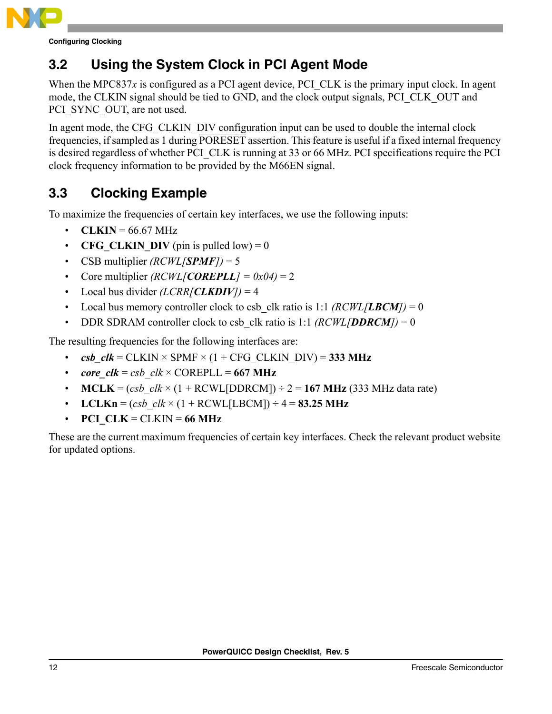

**Configuring Clocking**

### **3.2 Using the System Clock in PCI Agent Mode**

When the MPC837 $x$  is configured as a PCI agent device, PCI CLK is the primary input clock. In agent mode, the CLKIN signal should be tied to GND, and the clock output signals, PCI\_CLK\_OUT and PCI\_SYNC\_OUT, are not used.

In agent mode, the CFG CLKIN DIV configuration input can be used to double the internal clock frequencies, if sampled as 1 during PORESET assertion. This feature is useful if a fixed internal frequency is desired regardless of whether PCI CLK is running at 33 or 66 MHz. PCI specifications require the PCI clock frequency information to be provided by the M66EN signal.

### <span id="page-11-0"></span>**3.3 Clocking Example**

To maximize the frequencies of certain key interfaces, we use the following inputs:

- **CLKIN** =  $66.67$  MHz
- **CFG** CLKIN DIV (pin is pulled low) = 0
- CSB multiplier *(RCWL[SPMF])* = 5
- Core multiplier  $(RCWL/COREPLL] = 0x04 = 2$
- Local bus divider  $(LCRR<sub>[CLKDIV]</sub>) = 4$
- Local bus memory controller clock to csb clk ratio is 1:1  $(RCWL/LBCM) = 0$
- DDR SDRAM controller clock to csb clk ratio is 1:1  $(RCWL/DDRCM) = 0$

The resulting frequencies for the following interfaces are:

- $\mathbf{c}$ sb  $\mathbf{c}$ lk = CLKIN × SPMF × (1 + CFG CLKIN DIV) = **333 MHz**
- *core\_clk* =  $csb$   $clk \times \text{COREPLL} = 667 \text{ MHz}$
- **MCLK** =  $(csb \, ck \times (1 + RCWL[DDRCM]) \div 2 = 167 MHz (333 MHz data rate)$
- **LCLKn** =  $(csb \, ck \times (1 + RCWL[LECM]) \div 4 = 83.25 MHz$
- **PCI**  $CLK = CLKIN = 66 MHz$

These are the current maximum frequencies of certain key interfaces. Check the relevant product website for updated options.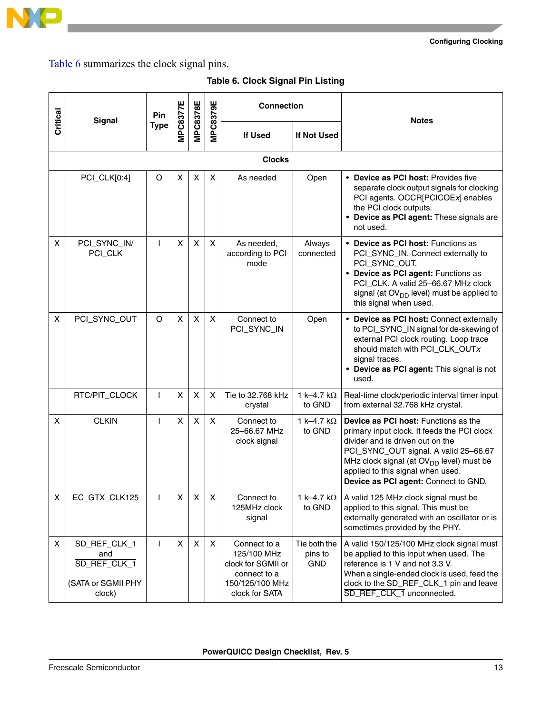

**Configuring Clocking**

[Table 6](#page-12-0) summarizes the clock signal pins.

<span id="page-12-0"></span>

| Critical | <b>Signal</b>                                                       | Pin          | <b>MPC8378E</b> |    |    |                                                                                                        |                                       |                                                                                                                                                                                                                                                                                                       |  | MPC8377E |  |  | <b>MPC8379E</b> | <b>Connection</b> |  | <b>Notes</b> |
|----------|---------------------------------------------------------------------|--------------|-----------------|----|----|--------------------------------------------------------------------------------------------------------|---------------------------------------|-------------------------------------------------------------------------------------------------------------------------------------------------------------------------------------------------------------------------------------------------------------------------------------------------------|--|----------|--|--|-----------------|-------------------|--|--------------|
|          |                                                                     | <b>Type</b>  |                 |    |    | <b>If Used</b>                                                                                         | If Not Used                           |                                                                                                                                                                                                                                                                                                       |  |          |  |  |                 |                   |  |              |
|          | <b>Clocks</b>                                                       |              |                 |    |    |                                                                                                        |                                       |                                                                                                                                                                                                                                                                                                       |  |          |  |  |                 |                   |  |              |
|          | PCI_CLK[0:4]                                                        | O            | X               | X  | X  | As needed                                                                                              | Open                                  | • Device as PCI host: Provides five<br>separate clock output signals for clocking<br>PCI agents. OCCR[PCICOEx] enables<br>the PCI clock outputs.<br>• Device as PCI agent: These signals are<br>not used.                                                                                             |  |          |  |  |                 |                   |  |              |
| X        | PCI_SYNC_IN/<br>PCI_CLK                                             | $\mathsf{I}$ | X               | X  | X  | As needed,<br>according to PCI<br>mode                                                                 | Always<br>connected                   | • Device as PCI host: Functions as<br>PCI_SYNC_IN. Connect externally to<br>PCI_SYNC_OUT.<br>• Device as PCI agent: Functions as<br>PCI_CLK. A valid 25-66.67 MHz clock<br>signal (at OV <sub>DD</sub> level) must be applied to<br>this signal when used.                                            |  |          |  |  |                 |                   |  |              |
| X        | PCI_SYNC_OUT                                                        | O            | X               | X  | X  | Connect to<br>PCI_SYNC_IN                                                                              | Open                                  | • Device as PCI host: Connect externally<br>to PCI_SYNC_IN signal for de-skewing of<br>external PCI clock routing. Loop trace<br>should match with PCI_CLK_OUTx<br>signal traces.<br>• Device as PCI agent: This signal is not<br>used.                                                               |  |          |  |  |                 |                   |  |              |
|          | RTC/PIT_CLOCK                                                       | $\mathbf{I}$ | X               | X  | X  | Tie to 32.768 kHz<br>crystal                                                                           | 1 k-4.7 k $\Omega$<br>to GND          | Real-time clock/periodic interval timer input<br>from external 32.768 kHz crystal.                                                                                                                                                                                                                    |  |          |  |  |                 |                   |  |              |
| X        | <b>CLKIN</b>                                                        | $\mathbf{I}$ | X               | X  | X  | Connect to<br>25-66.67 MHz<br>clock signal                                                             | 1 k-4.7 k $\Omega$<br>to GND          | Device as PCI host: Functions as the<br>primary input clock. It feeds the PCI clock<br>divider and is driven out on the<br>PCI_SYNC_OUT signal. A valid 25-66.67<br>MHz clock signal (at OV <sub>DD</sub> level) must be<br>applied to this signal when used.<br>Device as PCI agent: Connect to GND. |  |          |  |  |                 |                   |  |              |
| X.       | EC_GTX_CLK125                                                       | $\mathbf{I}$ | X.              | X. | X. | Connect to<br>125MHz clock<br>signal                                                                   | 1 k–4.7 k $\Omega$<br>to GND          | A valid 125 MHz clock signal must be<br>applied to this signal. This must be<br>externally generated with an oscillator or is<br>sometimes provided by the PHY.                                                                                                                                       |  |          |  |  |                 |                   |  |              |
| X        | SD_REF_CLK_1<br>and<br>SD REF CLK 1<br>(SATA or SGMII PHY<br>clock) | $\mathbf{I}$ | X               | X  | X  | Connect to a<br>125/100 MHz<br>clock for SGMII or<br>connect to a<br>150/125/100 MHz<br>clock for SATA | Tie both the<br>pins to<br><b>GND</b> | A valid 150/125/100 MHz clock signal must<br>be applied to this input when used. The<br>reference is 1 V and not 3.3 V.<br>When a single-ended clock is used, feed the<br>clock to the SD_REF_CLK_1 pin and leave<br>SD_REF_CLK_1 unconnected.                                                        |  |          |  |  |                 |                   |  |              |

**Table 6. Clock Signal Pin Listing**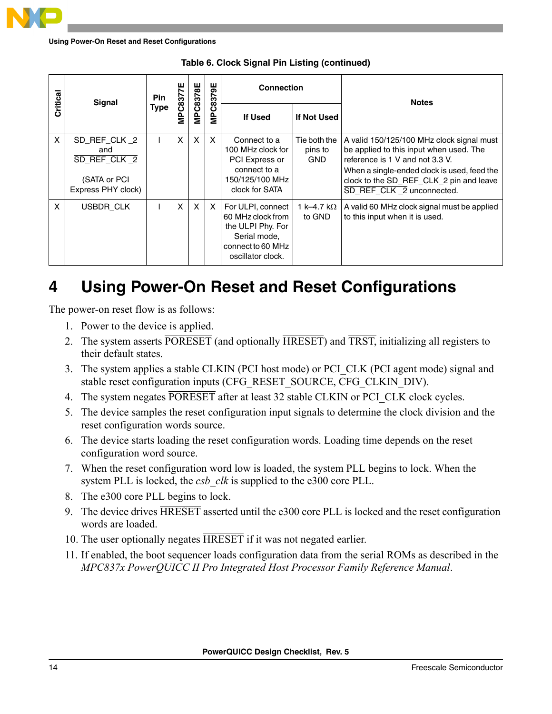

**Using Power-On Reset and Reset Configurations**

| Critical | Signal                                                                    | <b>Pin</b> | MPC8377E | <b>MPC8378E</b> | <b>MPC8379E</b> | <b>Connection</b>                                                                                                     |                                       | <b>Notes</b>                                                                                                                                                                                                                                   |  |
|----------|---------------------------------------------------------------------------|------------|----------|-----------------|-----------------|-----------------------------------------------------------------------------------------------------------------------|---------------------------------------|------------------------------------------------------------------------------------------------------------------------------------------------------------------------------------------------------------------------------------------------|--|
|          |                                                                           | Type       |          |                 |                 | <b>If Used</b>                                                                                                        | If Not Used                           |                                                                                                                                                                                                                                                |  |
| X        | SD_REF_CLK_2<br>and<br>SD REF CLK 2<br>(SATA or PCI<br>Express PHY clock) |            | X        | $\times$        | $\mathsf{X}$    | Connect to a<br>100 MHz clock for<br>PCI Express or<br>connect to a<br>150/125/100 MHz<br>clock for SATA              | Tie both the<br>pins to<br><b>GND</b> | A valid 150/125/100 MHz clock signal must<br>be applied to this input when used. The<br>reference is 1 V and not 3.3 V.<br>When a single-ended clock is used, feed the<br>clock to the SD_REF_CLK_2 pin and leave<br>SD REF CLK 2 unconnected. |  |
| X        | USBDR CLK                                                                 |            | X        | $\mathsf{x}$    | X               | For ULPI, connect<br>60 MHz clock from<br>the ULPI Phy. For<br>Serial mode,<br>connect to 60 MHz<br>oscillator clock. | 1 k–4.7 k $\Omega$<br>to GND          | A valid 60 MHz clock signal must be applied<br>to this input when it is used.                                                                                                                                                                  |  |

**Table 6. Clock Signal Pin Listing (continued)**

## <span id="page-13-0"></span>**4 Using Power-On Reset and Reset Configurations**

The power-on reset flow is as follows:

- 1. Power to the device is applied.
- 2. The system asserts PORESET (and optionally HRESET) and TRST, initializing all registers to their default states.
- 3. The system applies a stable CLKIN (PCI host mode) or PCI\_CLK (PCI agent mode) signal and stable reset configuration inputs (CFG\_RESET\_SOURCE, CFG\_CLKIN\_DIV).
- 4. The system negates PORESET after at least 32 stable CLKIN or PCI CLK clock cycles.
- 5. The device samples the reset configuration input signals to determine the clock division and the reset configuration words source.
- 6. The device starts loading the reset configuration words. Loading time depends on the reset configuration word source.
- 7. When the reset configuration word low is loaded, the system PLL begins to lock. When the system PLL is locked, the *csb* clk is supplied to the e300 core PLL.
- 8. The e300 core PLL begins to lock.
- 9. The device drives HRESET asserted until the e300 core PLL is locked and the reset configuration words are loaded.
- 10. The user optionally negates HRESET if it was not negated earlier.
- 11. If enabled, the boot sequencer loads configuration data from the serial ROMs as described in the *MPC837x PowerQUICC II Pro Integrated Host Processor Family Reference Manual*.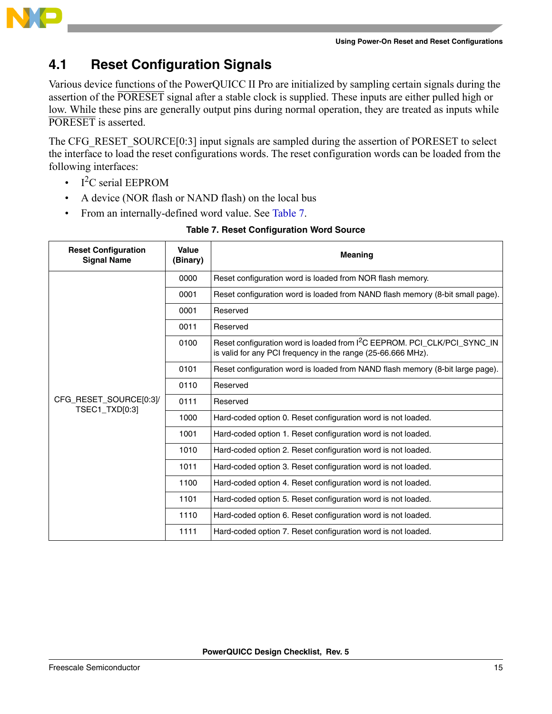

#### **4.1 Reset Configuration Signals**

Various device functions of the PowerQUICC II Pro are initialized by sampling certain signals during the assertion of the PORESET signal after a stable clock is supplied. These inputs are either pulled high or low. While these pins are generally output pins during normal operation, they are treated as inputs while PORESET is asserted.

The CFG\_RESET\_SOURCE[0:3] input signals are sampled during the assertion of PORESET to select the interface to load the reset configurations words. The reset configuration words can be loaded from the following interfaces:

- $I^2C$  serial EEPROM
- A device (NOR flash or NAND flash) on the local bus
- <span id="page-14-0"></span>• From an internally-defined word value. See [Table 7.](#page-14-0)

| <b>Reset Configuration</b><br><b>Signal Name</b> | Value<br>(Binary) | <b>Meaning</b>                                                                                                                                       |  |  |  |  |  |
|--------------------------------------------------|-------------------|------------------------------------------------------------------------------------------------------------------------------------------------------|--|--|--|--|--|
|                                                  | 0000              | Reset configuration word is loaded from NOR flash memory.                                                                                            |  |  |  |  |  |
|                                                  | 0001              | Reset configuration word is loaded from NAND flash memory (8-bit small page).                                                                        |  |  |  |  |  |
|                                                  | 0001              | Reserved                                                                                                                                             |  |  |  |  |  |
|                                                  | 0011              | Reserved                                                                                                                                             |  |  |  |  |  |
|                                                  | 0100              | Reset configuration word is loaded from I <sup>2</sup> C EEPROM. PCI_CLK/PCI_SYNC_IN<br>is valid for any PCI frequency in the range (25-66.666 MHz). |  |  |  |  |  |
|                                                  | 0101              | Reset configuration word is loaded from NAND flash memory (8-bit large page).                                                                        |  |  |  |  |  |
|                                                  | 0110              | Reserved                                                                                                                                             |  |  |  |  |  |
| CFG_RESET_SOURCE[0:3]/<br>TSEC1_TXD[0:3]         | 0111              | Reserved                                                                                                                                             |  |  |  |  |  |
|                                                  | 1000              | Hard-coded option 0. Reset configuration word is not loaded.                                                                                         |  |  |  |  |  |
|                                                  | 1001              | Hard-coded option 1. Reset configuration word is not loaded.                                                                                         |  |  |  |  |  |
|                                                  | 1010              | Hard-coded option 2. Reset configuration word is not loaded.                                                                                         |  |  |  |  |  |
|                                                  | 1011              | Hard-coded option 3. Reset configuration word is not loaded.                                                                                         |  |  |  |  |  |
|                                                  | 1100              | Hard-coded option 4. Reset configuration word is not loaded.                                                                                         |  |  |  |  |  |
|                                                  | 1101              | Hard-coded option 5. Reset configuration word is not loaded.                                                                                         |  |  |  |  |  |
|                                                  | 1110              | Hard-coded option 6. Reset configuration word is not loaded.                                                                                         |  |  |  |  |  |
|                                                  | 1111              | Hard-coded option 7. Reset configuration word is not loaded.                                                                                         |  |  |  |  |  |

#### **Table 7. Reset Configuration Word Source**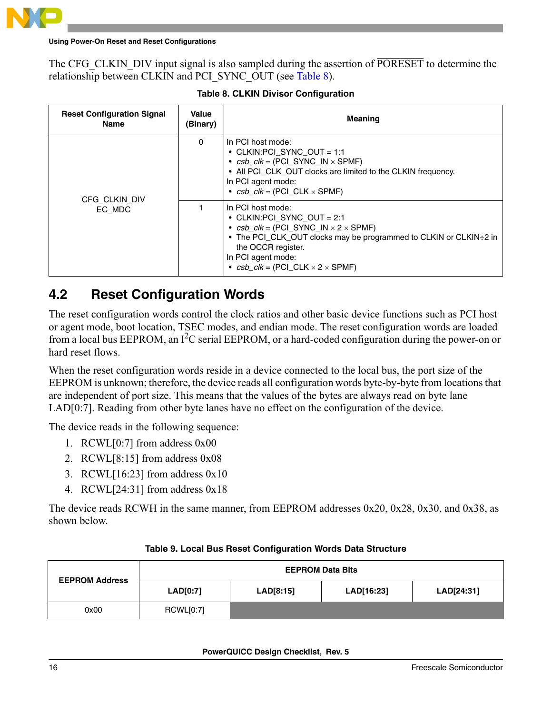

#### **Using Power-On Reset and Reset Configurations**

The CFG CLKIN DIV input signal is also sampled during the assertion of PORESET to determine the relationship between CLKIN and PCI\_SYNC\_OUT (see [Table 8\)](#page-15-0).

<span id="page-15-0"></span>

| <b>Reset Configuration Signal</b><br>Name | Value<br>(Binary) | <b>Meaning</b>                                                                                                                                                                                                                                                                                 |
|-------------------------------------------|-------------------|------------------------------------------------------------------------------------------------------------------------------------------------------------------------------------------------------------------------------------------------------------------------------------------------|
| CFG CLKIN DIV                             | $\Omega$          | In PCI host mode:<br>• CLKIN: PCI SYNC OUT = 1:1<br>• $csb$ <sub>-</sub> $clk$ = (PCI_SYNC_IN $\times$ SPMF)<br>• All PCI CLK OUT clocks are limited to the CLKIN frequency.<br>In PCI agent mode:<br>• $csb$ $clk = (PCI CLK \times SPMF)$                                                    |
| EC MDC                                    |                   | In PCI host mode:<br>• CLKIN:PCI SYNC OUT $= 2:1$<br>• $csb$ <sub>-</sub> $clk$ = (PCI_SYNC_IN $\times$ 2 $\times$ SPMF)<br>• The PCI_CLK_OUT clocks may be programmed to CLKIN or CLKIN÷2 in<br>the OCCR register.<br>In PCI agent mode:<br>• $csb$ $clk = (PCI \, CLK \times 2 \times SPMF)$ |

### **4.2 Reset Configuration Words**

The reset configuration words control the clock ratios and other basic device functions such as PCI host or agent mode, boot location, TSEC modes, and endian mode. The reset configuration words are loaded from a local bus EEPROM, an I<sup>2</sup>C serial EEPROM, or a hard-coded configuration during the power-on or hard reset flows.

When the reset configuration words reside in a device connected to the local bus, the port size of the EEPROM is unknown; therefore, the device reads all configuration words byte-by-byte from locations that are independent of port size. This means that the values of the bytes are always read on byte lane LAD[0:7]. Reading from other byte lanes have no effect on the configuration of the device.

The device reads in the following sequence:

- 1. RCWL[0:7] from address 0x00
- 2. RCWL[8:15] from address 0x08
- 3. RCWL[16:23] from address 0x10
- 4. RCWL[24:31] from address 0x18

The device reads RCWH in the same manner, from EEPROM addresses 0x20, 0x28, 0x30, and 0x38, as shown below.

| <b>EEPROM Address</b> | <b>EEPROM Data Bits</b> |           |            |            |  |  |  |  |  |  |
|-----------------------|-------------------------|-----------|------------|------------|--|--|--|--|--|--|
|                       | LAD[0:7]                | LAD[8:15] | LAD[16:23] | LAD[24:31] |  |  |  |  |  |  |
| 0x00                  | RCWL[0:7]               |           |            |            |  |  |  |  |  |  |

#### **Table 9. Local Bus Reset Configuration Words Data Structure**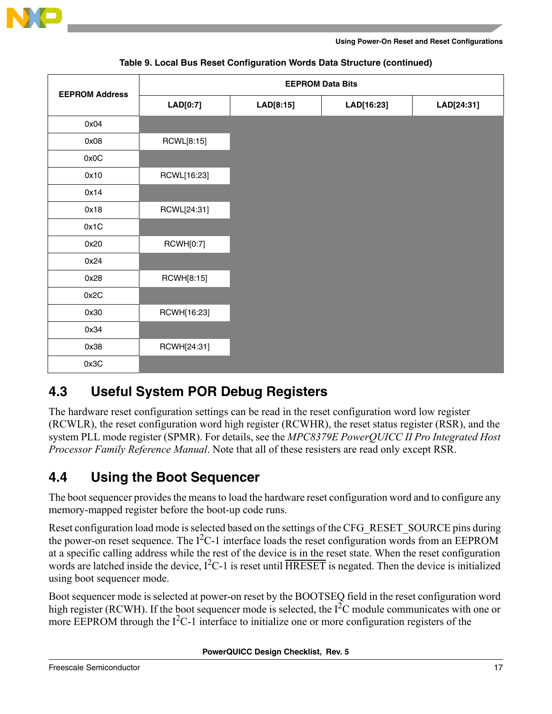

| <b>EEPROM Address</b> |                  |                         | <b>EEPROM Data Bits</b> |  |  |
|-----------------------|------------------|-------------------------|-------------------------|--|--|
|                       | LAD[0:7]         | LAD[8:15]<br>LAD[16:23] |                         |  |  |
| 0x04                  |                  |                         |                         |  |  |
| 0x08                  | RCWL[8:15]       |                         |                         |  |  |
| 0x0C                  |                  |                         |                         |  |  |
| 0x10                  | RCWL[16:23]      |                         |                         |  |  |
| 0x14                  |                  |                         |                         |  |  |
| 0x18                  | RCWL[24:31]      |                         |                         |  |  |
| 0x1C                  |                  |                         |                         |  |  |
| 0x20                  | <b>RCWH[0:7]</b> |                         |                         |  |  |
| 0x24                  |                  |                         |                         |  |  |
| 0x28                  | RCWH[8:15]       |                         |                         |  |  |
| 0x2C                  |                  |                         |                         |  |  |
| 0x30                  | RCWH[16:23]      |                         |                         |  |  |
| 0x34                  |                  |                         |                         |  |  |
| 0x38                  | RCWH[24:31]      |                         |                         |  |  |
| 0x3C                  |                  |                         |                         |  |  |

#### **Table 9. Local Bus Reset Configuration Words Data Structure (continued)**

### **4.3 Useful System POR Debug Registers**

The hardware reset configuration settings can be read in the reset configuration word low register (RCWLR), the reset configuration word high register (RCWHR), the reset status register (RSR), and the system PLL mode register (SPMR). For details, see the *MPC8379E PowerQUICC II Pro Integrated Host Processor Family Reference Manual*. Note that all of these resisters are read only except RSR.

### **4.4 Using the Boot Sequencer**

The boot sequencer provides the means to load the hardware reset configuration word and to configure any memory-mapped register before the boot-up code runs.

Reset configuration load mode is selected based on the settings of the CFG\_RESET\_SOURCE pins during the power-on reset sequence. The  $I^2C-1$  interface loads the reset configuration words from an EEPROM at a specific calling address while the rest of the device is in the reset state. When the reset configuration words are latched inside the device,  $I^2C-1$  is reset until  $\overline{HRESET}$  is negated. Then the device is initialized using boot sequencer mode.

Boot sequencer mode is selected at power-on reset by the BOOTSEQ field in the reset configuration word high register (RCWH). If the boot sequencer mode is selected, the  $1^2C$  module communicates with one or more EEPROM through the  $I^2C-1$  interface to initialize one or more configuration registers of the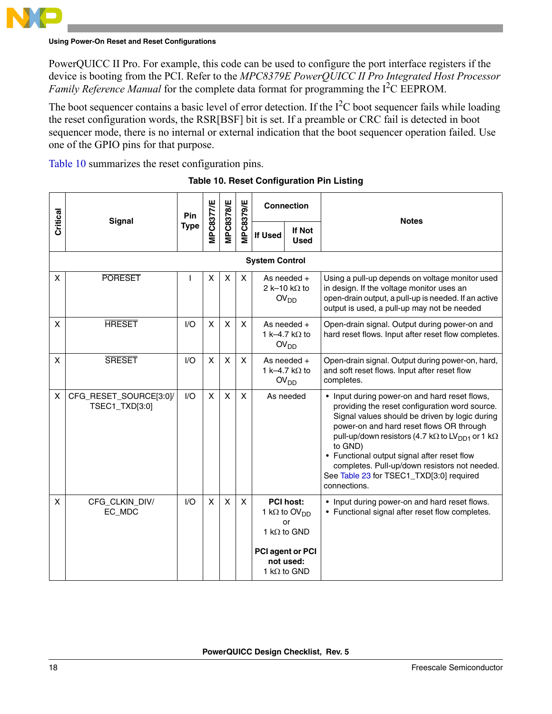

#### **Using Power-On Reset and Reset Configurations**

PowerQUICC II Pro. For example, this code can be used to configure the port interface registers if the device is booting from the PCI. Refer to the *MPC8379E PowerQUICC II Pro Integrated Host Processor Family Reference Manual* for the complete data format for programming the I<sup>2</sup>C EEPROM.

The boot sequencer contains a basic level of error detection. If the  $I<sup>2</sup>C$  boot sequencer fails while loading the reset configuration words, the RSR[BSF] bit is set. If a preamble or CRC fail is detected in boot sequencer mode, there is no internal or external indication that the boot sequencer operation failed. Use one of the GPIO pins for that purpose.

<span id="page-17-0"></span>[Table 10](#page-17-0) summarizes the reset configuration pins.

| Critical | MPC8377/E<br><b>MPC8378/E</b><br><b>MPC8379/E</b><br>Pin<br>Signal |             | <b>Connection</b> | <b>Notes</b> |                         |                                                                                                                                           |                                                                                                                                                                                                                                                                                                                                                                                                                                                     |
|----------|--------------------------------------------------------------------|-------------|-------------------|--------------|-------------------------|-------------------------------------------------------------------------------------------------------------------------------------------|-----------------------------------------------------------------------------------------------------------------------------------------------------------------------------------------------------------------------------------------------------------------------------------------------------------------------------------------------------------------------------------------------------------------------------------------------------|
|          |                                                                    | <b>Type</b> |                   |              |                         | <b>If Not</b><br>If Used<br><b>Used</b>                                                                                                   |                                                                                                                                                                                                                                                                                                                                                                                                                                                     |
|          |                                                                    |             |                   |              |                         |                                                                                                                                           |                                                                                                                                                                                                                                                                                                                                                                                                                                                     |
| X        | <b>PORESET</b>                                                     |             | X                 | X            | X                       | As needed $+$<br>2 k-10 k $\Omega$ to<br>OV <sub>DD</sub>                                                                                 | Using a pull-up depends on voltage monitor used<br>in design. If the voltage monitor uses an<br>open-drain output, a pull-up is needed. If an active<br>output is used, a pull-up may not be needed                                                                                                                                                                                                                                                 |
| X        | <b>HRESET</b>                                                      | 1/O         | $\mathsf{X}$      | X            | X                       | As needed $+$<br>1 k-4.7 k $\Omega$ to<br>OV <sub>DD</sub>                                                                                | Open-drain signal. Output during power-on and<br>hard reset flows. Input after reset flow completes.                                                                                                                                                                                                                                                                                                                                                |
| X        | <b>SRESET</b>                                                      | 1/O         | $\mathsf{x}$      | $\mathsf{x}$ | $\overline{\mathsf{x}}$ | As needed $+$<br>1 k-4.7 k $\Omega$ to<br>OV <sub>DD</sub>                                                                                | Open-drain signal. Output during power-on, hard,<br>and soft reset flows. Input after reset flow<br>completes.                                                                                                                                                                                                                                                                                                                                      |
| X        | CFG_RESET_SOURCE[3:0]/<br>TSEC1_TXD[3:0]                           | I/O         | $\mathsf{x}$      | $\mathsf{x}$ | X                       | As needed                                                                                                                                 | • Input during power-on and hard reset flows,<br>providing the reset configuration word source.<br>Signal values should be driven by logic during<br>power-on and hard reset flows OR through<br>pull-up/down resistors (4.7 k $\Omega$ to LV <sub>DD1</sub> or 1 k $\Omega$<br>to GND)<br>• Functional output signal after reset flow<br>completes. Pull-up/down resistors not needed.<br>See Table 23 for TSEC1_TXD[3:0] required<br>connections. |
| X        | CFG_CLKIN_DIV/<br>EC_MDC                                           | I/O         | X                 | X            | X                       | <b>PCI host:</b><br>1 k $\Omega$ to OV <sub>DD</sub><br>or<br>1 k $\Omega$ to GND<br>PCI agent or PCI<br>not used:<br>1 k $\Omega$ to GND | • Input during power-on and hard reset flows.<br>• Functional signal after reset flow completes.                                                                                                                                                                                                                                                                                                                                                    |

#### **Table 10. Reset Configuration Pin Listing**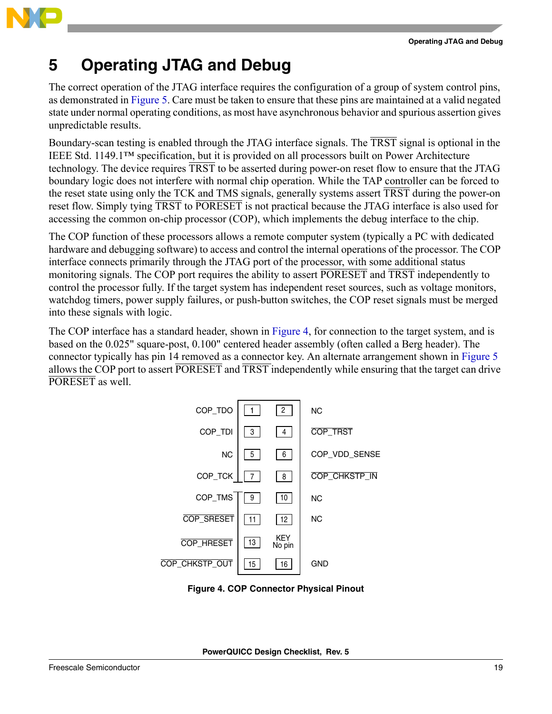

<span id="page-18-0"></span>The correct operation of the JTAG interface requires the configuration of a group of system control pins, as demonstrated in [Figure 5.](#page-20-0) Care must be taken to ensure that these pins are maintained at a valid negated state under normal operating conditions, as most have asynchronous behavior and spurious assertion gives unpredictable results.

Boundary-scan testing is enabled through the JTAG interface signals. The TRST signal is optional in the IEEE Std. 1149.1™ specification, but it is provided on all processors built on Power Architecture technology. The device requires TRST to be asserted during power-on reset flow to ensure that the JTAG boundary logic does not interfere with normal chip operation. While the TAP controller can be forced to the reset state using only the TCK and TMS signals, generally systems assert TRST during the power-on reset flow. Simply tying TRST to PORESET is not practical because the JTAG interface is also used for accessing the common on-chip processor (COP), which implements the debug interface to the chip.

The COP function of these processors allows a remote computer system (typically a PC with dedicated hardware and debugging software) to access and control the internal operations of the processor. The COP interface connects primarily through the JTAG port of the processor, with some additional status monitoring signals. The COP port requires the ability to assert PORESET and TRST independently to control the processor fully. If the target system has independent reset sources, such as voltage monitors, watchdog timers, power supply failures, or push-button switches, the COP reset signals must be merged into these signals with logic.

The COP interface has a standard header, shown in [Figure 4](#page-18-1), for connection to the target system, and is based on the 0.025" square-post, 0.100" centered header assembly (often called a Berg header). The connector typically has pin 14 removed as a connector key. An alternate arrangement shown in [Figure 5](#page-20-0) allows the COP port to assert PORESET and TRST independently while ensuring that the target can drive PORESET as well.



<span id="page-18-1"></span>**Figure 4. COP Connector Physical Pinout**

**PowerQUICC Design Checklist, Rev. 5**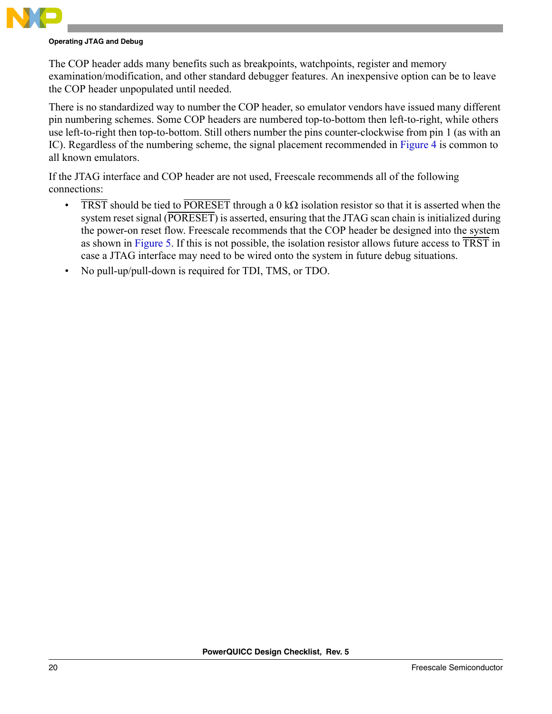The COP header adds many benefits such as breakpoints, watchpoints, register and memory examination/modification, and other standard debugger features. An inexpensive option can be to leave the COP header unpopulated until needed.

There is no standardized way to number the COP header, so emulator vendors have issued many different pin numbering schemes. Some COP headers are numbered top-to-bottom then left-to-right, while others use left-to-right then top-to-bottom. Still others number the pins counter-clockwise from pin 1 (as with an IC). Regardless of the numbering scheme, the signal placement recommended in [Figure 4](#page-18-1) is common to all known emulators.

If the JTAG interface and COP header are not used, Freescale recommends all of the following connections:

- TRST should be tied to PORESET through a 0 kΩ isolation resistor so that it is asserted when the system reset signal (PORESET) is asserted, ensuring that the JTAG scan chain is initialized during the power-on reset flow. Freescale recommends that the COP header be designed into the system as shown in [Figure 5.](#page-20-0) If this is not possible, the isolation resistor allows future access to  $\overline{\text{TRST}}$  in case a JTAG interface may need to be wired onto the system in future debug situations.
- No pull-up/pull-down is required for TDI, TMS, or TDO.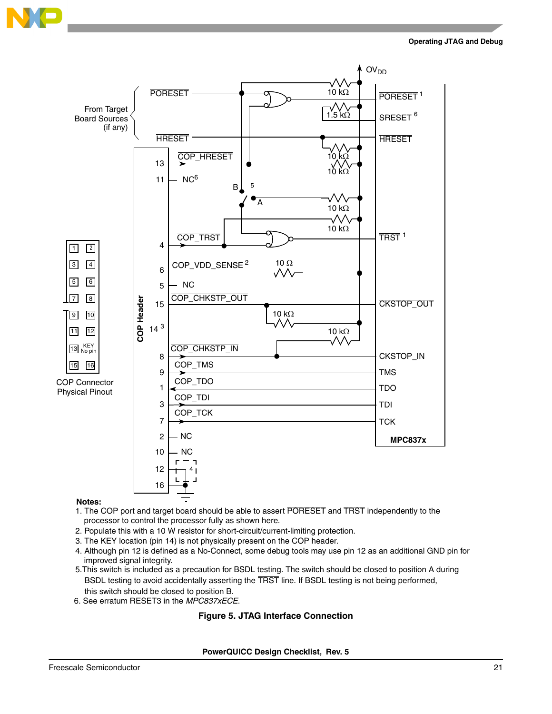



#### **Notes:**

- processor to control the processor fully as shown here. 1. The COP port and target board should be able to assert PORESET and TRST independently to the
- 2. Populate this with a 10 W resistor for short-circuit/current-limiting protection.
- 3. The KEY location (pin 14) is not physically present on the COP header.
- 4. Although pin 12 is defined as a No-Connect, some debug tools may use pin 12 as an additional GND pin for improved signal integrity.
- 5.This switch is included as a precaution for BSDL testing. The switch should be closed to position A during BSDL testing to avoid accidentally asserting the TRST line. If BSDL testing is not being performed, this switch should be closed to position B.
- <span id="page-20-0"></span>6. See erratum RESET3 in the *MPC837xECE*.

#### **Figure 5. JTAG Interface Connection**

**PowerQUICC Design Checklist, Rev. 5**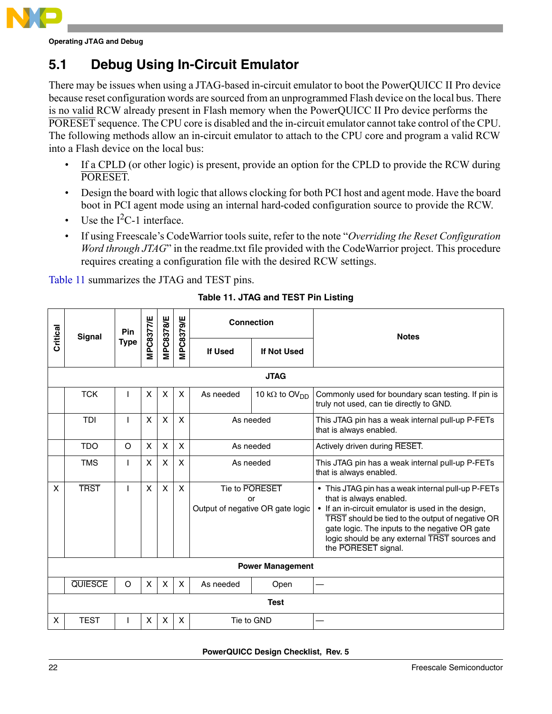

### **5.1 Debug Using In-Circuit Emulator**

There may be issues when using a JTAG-based in-circuit emulator to boot the PowerQUICC II Pro device because reset configuration words are sourced from an unprogrammed Flash device on the local bus. There is no valid RCW already present in Flash memory when the PowerQUICC II Pro device performs the PORESET sequence. The CPU core is disabled and the in-circuit emulator cannot take control of the CPU. The following methods allow an in-circuit emulator to attach to the CPU core and program a valid RCW into a Flash device on the local bus:

- If a CPLD (or other logic) is present, provide an option for the CPLD to provide the RCW during PORESET.
- Design the board with logic that allows clocking for both PCI host and agent mode. Have the board boot in PCI agent mode using an internal hard-coded configuration source to provide the RCW.
- Use the  $I^2C-1$  interface.
- If using Freescale's CodeWarrior tools suite, refer to the note "*Overriding the Reset Configuration Word through JTAG*" in the readme.txt file provided with the CodeWarrior project. This procedure requires creating a configuration file with the desired RCW settings.

<span id="page-21-0"></span>[Table 11](#page-21-0) summarizes the JTAG and TEST pins.

|          | <b>Signal</b>  | Pin         |              |                  |                  |                | <b>Connection</b>                                        | <b>Notes</b>                                                                                                                                                                                                                                                                                                      |  |  |  |  |  |  |
|----------|----------------|-------------|--------------|------------------|------------------|----------------|----------------------------------------------------------|-------------------------------------------------------------------------------------------------------------------------------------------------------------------------------------------------------------------------------------------------------------------------------------------------------------------|--|--|--|--|--|--|
| Critical |                | <b>Type</b> | MPC8377/E    | <b>MPC8378/E</b> | <b>MPC8379/E</b> | <b>If Used</b> | If Not Used                                              |                                                                                                                                                                                                                                                                                                                   |  |  |  |  |  |  |
|          | <b>JTAG</b>    |             |              |                  |                  |                |                                                          |                                                                                                                                                                                                                                                                                                                   |  |  |  |  |  |  |
|          | <b>TCK</b>     |             | X            | X                | X                | As needed      | 10 k $\Omega$ to OV <sub>DD</sub>                        | Commonly used for boundary scan testing. If pin is<br>truly not used, can tie directly to GND.                                                                                                                                                                                                                    |  |  |  |  |  |  |
|          | <b>TDI</b>     |             | X            | X                | $\mathsf{x}$     | As needed      |                                                          | This JTAG pin has a weak internal pull-up P-FETs<br>that is always enabled.                                                                                                                                                                                                                                       |  |  |  |  |  |  |
|          | <b>TDO</b>     | $\circ$     | $\mathsf{x}$ | X                | X                |                | As needed                                                | Actively driven during RESET.                                                                                                                                                                                                                                                                                     |  |  |  |  |  |  |
|          | <b>TMS</b>     | L           | X            | X                | X                | As needed      |                                                          | This JTAG pin has a weak internal pull-up P-FETs<br>that is always enabled.                                                                                                                                                                                                                                       |  |  |  |  |  |  |
| X        | <b>TRST</b>    |             | $\mathsf{x}$ | X                | $\mathsf{x}$     |                | Tie to PORESET<br>or<br>Output of negative OR gate logic | • This JTAG pin has a weak internal pull-up P-FETs<br>that is always enabled.<br>• If an in-circuit emulator is used in the design,<br>TRST should be tied to the output of negative OR<br>gate logic. The inputs to the negative OR gate<br>logic should be any external TRST sources and<br>the PORESET signal. |  |  |  |  |  |  |
|          |                |             |              |                  |                  |                | <b>Power Management</b>                                  |                                                                                                                                                                                                                                                                                                                   |  |  |  |  |  |  |
|          | <b>QUIESCE</b> | O           | $\mathsf{x}$ | X                | X                | As needed      | Open                                                     |                                                                                                                                                                                                                                                                                                                   |  |  |  |  |  |  |
|          |                |             |              |                  |                  |                | <b>Test</b>                                              |                                                                                                                                                                                                                                                                                                                   |  |  |  |  |  |  |
| X        | <b>TEST</b>    |             | X            | X                | X                |                | Tie to GND                                               |                                                                                                                                                                                                                                                                                                                   |  |  |  |  |  |  |

#### **Table 11. JTAG and TEST Pin Listing**

**PowerQUICC Design Checklist, Rev. 5**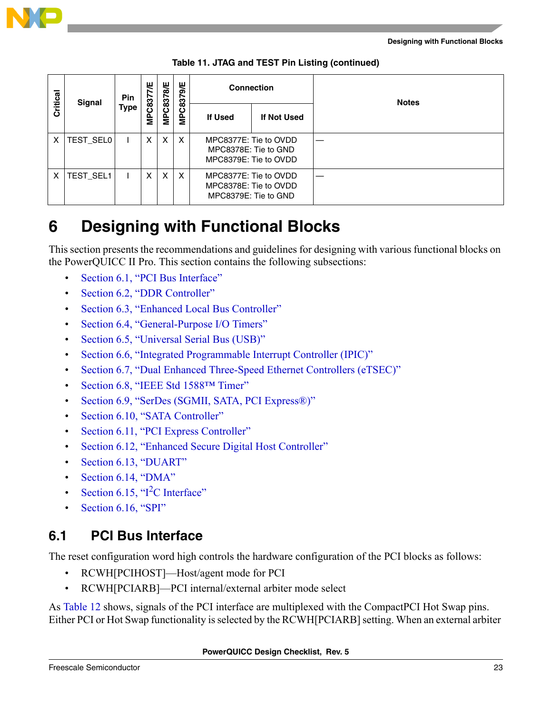

| Critical       | Signal           | Pin |               |                           |   |         |                                                                        |  |  |  |  |  |  |  |  | <b>Type</b> | 7/E | <b>MPC8378/E</b> | MPC8379/E | <b>Connection</b> |  | <b>Notes</b> |
|----------------|------------------|-----|---------------|---------------------------|---|---------|------------------------------------------------------------------------|--|--|--|--|--|--|--|--|-------------|-----|------------------|-----------|-------------------|--|--------------|
|                |                  |     | <b>MPC837</b> |                           |   | If Used | If Not Used                                                            |  |  |  |  |  |  |  |  |             |     |                  |           |                   |  |              |
| $\mathsf{X}^-$ | <b>TEST_SEL0</b> |     | X             | $\mathsf{X}$              | X |         | MPC8377E: Tie to OVDD<br>MPC8378E: Tie to GND<br>MPC8379E: Tie to OVDD |  |  |  |  |  |  |  |  |             |     |                  |           |                   |  |              |
| $\mathsf{X}^-$ | <b>TEST SEL1</b> |     | X             | $\boldsymbol{\mathsf{X}}$ | X |         | MPC8377E: Tie to OVDD<br>MPC8378E: Tie to OVDD<br>MPC8379E: Tie to GND |  |  |  |  |  |  |  |  |             |     |                  |           |                   |  |              |

**Table 11. JTAG and TEST Pin Listing (continued)**

<span id="page-22-0"></span>This section presents the recommendations and guidelines for designing with various functional blocks on the PowerQUICC II Pro. This section contains the following subsections:

- [Section 6.1, "PCI Bus Interface](#page-22-1)"
- [Section 6.2, "DDR Controller"](#page-25-0)
- [Section 6.3, "Enhanced Local Bus Controller"](#page-30-0)
- [Section 6.4, "General-Purpose I/O Timers](#page-33-0)"
- [Section 6.5, "Universal Serial Bus \(USB\)"](#page-35-0)
- [Section 6.6, "Integrated Programmable Interrupt Controller \(IPIC\)](#page-37-0)"
- [Section 6.7, "Dual Enhanced Three-Speed Ethernet Controllers \(eTSEC\)](#page-38-0)"
- Section 6.8, "IEEE Std 1588TM Timer"
- [Section 6.9, "SerDes \(SGMII, SATA, PCI Express®\)"](#page-43-0)
- [Section 6.10, "SATA Controller"](#page-45-0)
- [Section 6.11, "PCI Express Controller"](#page-46-0)
- [Section 6.12, "Enhanced Secure Digital Host Controller](#page-48-0)"
- [Section 6.13, "DUART"](#page-51-0)
- [Section 6.14, "DMA](#page-51-1)"
- Section 6.15,  $T^2C$  Interface"
- [Section 6.16, "SPI"](#page-52-1)

### <span id="page-22-1"></span>**6.1 PCI Bus Interface**

The reset configuration word high controls the hardware configuration of the PCI blocks as follows:

- RCWH[PCIHOST]—Host/agent mode for PCI
- RCWH[PCIARB]—PCI internal/external arbiter mode select

As [Table 12](#page-23-0) shows, signals of the PCI interface are multiplexed with the CompactPCI Hot Swap pins. Either PCI or Hot Swap functionality is selected by the RCWH[PCIARB] setting. When an external arbiter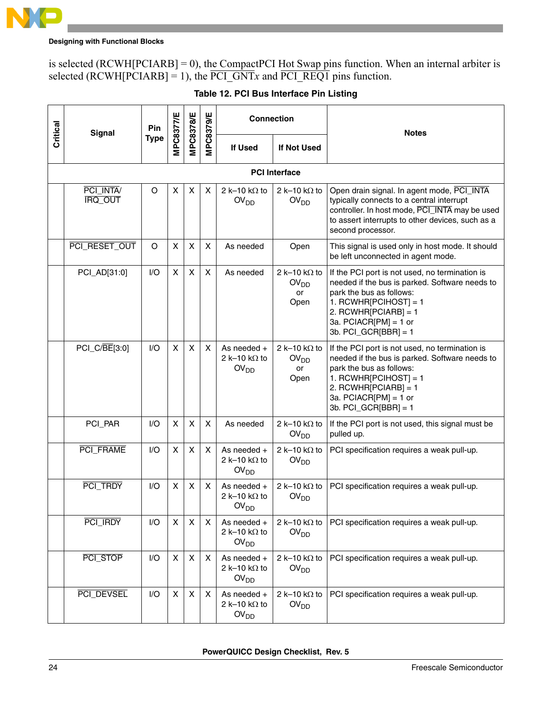

is selected (RCWH[PCIARB] = 0), the CompactPCI Hot Swap pins function. When an internal arbiter is selected (RCWH[PCIARB] = 1), the PCI\_GNT*x* and PCI\_REQ1 pins function.

<span id="page-23-0"></span>

| Critical | Signal                      | MPC8378/E<br>MPC8379/E<br>MPC8377/E<br><b>Connection</b><br>Pin |   | <b>Notes</b>              |   |                                                           |                                                        |                                                                                                                                                                                                                                      |
|----------|-----------------------------|-----------------------------------------------------------------|---|---------------------------|---|-----------------------------------------------------------|--------------------------------------------------------|--------------------------------------------------------------------------------------------------------------------------------------------------------------------------------------------------------------------------------------|
|          |                             | <b>Type</b>                                                     |   |                           |   | <b>If Used</b>                                            | If Not Used                                            |                                                                                                                                                                                                                                      |
|          |                             |                                                                 |   |                           |   |                                                           | <b>PCI</b> Interface                                   |                                                                                                                                                                                                                                      |
|          | PCI_INTA/<br><b>IRQ OUT</b> | O                                                               | X | X                         | X | 2 k-10 k $\Omega$ to<br>OV <sub>DD</sub>                  | 2 k-10 k $\Omega$ to<br>OV <sub>DD</sub>               | Open drain signal. In agent mode, PCI_INTA<br>typically connects to a central interrupt<br>controller. In host mode, PCI_INTA may be used<br>to assert interrupts to other devices, such as a<br>second processor.                   |
|          | PCI_RESET_OUT               | O                                                               | X | X                         | X | As needed                                                 | Open                                                   | This signal is used only in host mode. It should<br>be left unconnected in agent mode.                                                                                                                                               |
|          | PCI_AD[31:0]                | 1/O                                                             | X | X                         | X | As needed                                                 | 2 k-10 k $\Omega$ to<br>OV <sub>DD</sub><br>or<br>Open | If the PCI port is not used, no termination is<br>needed if the bus is parked. Software needs to<br>park the bus as follows:<br>1. RCWHR[PCIHOST] = 1<br>2. RCWHR[PCIARB] = 1<br>3a. $PCIACR[PM] = 1$ or<br>3b. $PCI_GCR[BBR] = 1$   |
|          | PCI_C/BE[3:0]               | 1/O                                                             | X | X                         | X | As needed $+$<br>2 k-10 k $\Omega$ to<br>OV <sub>DD</sub> | 2 k-10 k $\Omega$ to<br>OV <sub>DD</sub><br>or<br>Open | If the PCI port is not used, no termination is<br>needed if the bus is parked. Software needs to<br>park the bus as follows:<br>1. RCWHR[PCIHOST] = $1$<br>2. RCWHR[PCIARB] = 1<br>3a. $PCIACR[PM] = 1$ or<br>3b. $PCI_GCR[BBR] = 1$ |
|          | PCI_PAR                     | I/O                                                             | X | X                         | X | As needed                                                 | 2 k-10 k $\Omega$ to<br>OV <sub>DD</sub>               | If the PCI port is not used, this signal must be<br>pulled up.                                                                                                                                                                       |
|          | PCI_FRAME                   | I/O                                                             | X | X                         | X | As needed $+$<br>2 k-10 k $\Omega$ to<br>OV <sub>DD</sub> | 2 k-10 k $\Omega$ to<br>OV <sub>DD</sub>               | PCI specification requires a weak pull-up.                                                                                                                                                                                           |
|          | PCI_TRDY                    | I/O                                                             | X | X                         | X | As needed $+$<br>2 k-10 k $\Omega$ to<br>OV <sub>DD</sub> | 2 k-10 k $\Omega$ to<br>OV <sub>DD</sub>               | PCI specification requires a weak pull-up.                                                                                                                                                                                           |
|          | PCI_IRDY                    | I/O                                                             | X | $\pmb{\times}$            | X | As needed $+$<br>2 k-10 k $\Omega$ to<br>OV <sub>DD</sub> | 2 k-10 k $\Omega$ to<br>OV <sub>DD</sub>               | PCI specification requires a weak pull-up.                                                                                                                                                                                           |
|          | PCI_STOP                    | I/O                                                             | X | $\boldsymbol{\mathsf{X}}$ | X | As needed $+$<br>2 k-10 k $\Omega$ to<br>OV <sub>DD</sub> | 2 k-10 k $\Omega$ to<br>OV <sub>DD</sub>               | PCI specification requires a weak pull-up.                                                                                                                                                                                           |
|          | PCI_DEVSEL                  | I/O                                                             | X | X                         | X | As needed +<br>2 k-10 k $\Omega$ to<br>OV <sub>DD</sub>   | 2 k-10 k $\Omega$ to<br>OV <sub>DD</sub>               | PCI specification requires a weak pull-up.                                                                                                                                                                                           |

#### **Table 12. PCI Bus Interface Pin Listing**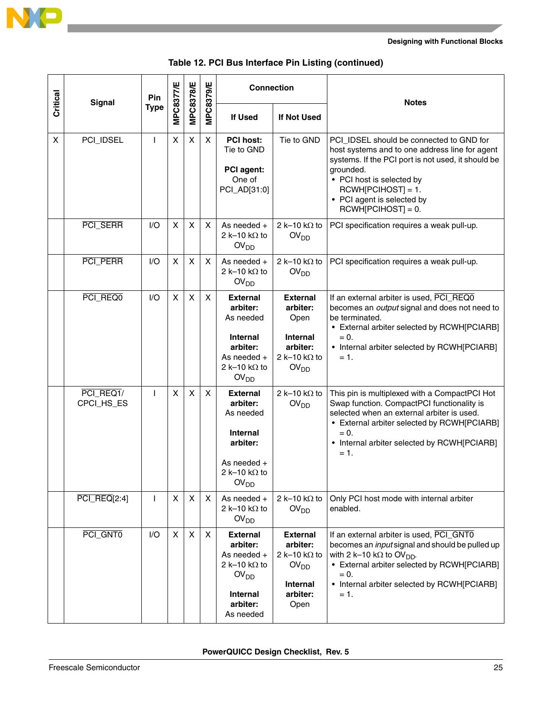

|          |                            | Pin          |           |                |                  | <b>Connection</b>                                                                                                                  |                                                                                                                | <b>Notes</b>                                                                                                                                                                                                                                                             |
|----------|----------------------------|--------------|-----------|----------------|------------------|------------------------------------------------------------------------------------------------------------------------------------|----------------------------------------------------------------------------------------------------------------|--------------------------------------------------------------------------------------------------------------------------------------------------------------------------------------------------------------------------------------------------------------------------|
| Critical | <b>Signal</b>              | <b>Type</b>  | MPC8377/E | MPC8378/E      | <b>MPC8379/E</b> | <b>If Used</b>                                                                                                                     | If Not Used                                                                                                    |                                                                                                                                                                                                                                                                          |
| X        | PCI_IDSEL                  | $\mathsf{I}$ | X         | $\pmb{\times}$ | X                | <b>PCI host:</b><br>Tie to GND<br>PCI agent:<br>One of<br>PCI_AD[31:0]                                                             | Tie to GND                                                                                                     | PCI_IDSEL should be connected to GND for<br>host systems and to one address line for agent<br>systems. If the PCI port is not used, it should be<br>grounded.<br>• PCI host is selected by<br>$RCWH[PCIHOST] = 1.$<br>• PCI agent is selected by<br>$RCWH[PCIHOST] = 0.$ |
|          | PCI_SERR                   | I/O          | X         | X              | X                | As needed $+$<br>2 k-10 k $\Omega$ to<br>2 k-10 k $\Omega$ to<br>OV <sub>DD</sub><br>OV <sub>DD</sub>                              |                                                                                                                | PCI specification requires a weak pull-up.                                                                                                                                                                                                                               |
|          | PCI_PERR                   | I/O          | X         | X              | X                | As needed +<br>2 k-10 k $\Omega$ to<br>OV <sub>DD</sub>                                                                            | 2 k-10 k $\Omega$ to<br>OV <sub>DD</sub>                                                                       | PCI specification requires a weak pull-up.                                                                                                                                                                                                                               |
|          | PCI REQ0                   | I/O          | X         | X              | X                | <b>External</b><br>arbiter:<br>As needed<br><b>Internal</b><br>arbiter:<br>As needed +<br>2 k-10 k $\Omega$ to<br>OV <sub>DD</sub> | <b>External</b><br>arbiter:<br>Open<br><b>Internal</b><br>arbiter:<br>2 k-10 k $\Omega$ to<br>OV <sub>DD</sub> | If an external arbiter is used, PCI_REQ0<br>becomes an output signal and does not need to<br>be terminated.<br>• External arbiter selected by RCWH[PCIARB]<br>$= 0.$<br>• Internal arbiter selected by RCWH[PCIARB]<br>$= 1.$                                            |
|          | PCI_REQ1/<br>CPCI_HS_ES    | $\mathsf{I}$ | X         | X              | X                | <b>External</b><br>arbiter:<br>As needed<br><b>Internal</b><br>arbiter:<br>As needed +<br>2 k-10 k $\Omega$ to<br>OV <sub>DD</sub> | 2 k-10 k $\Omega$ to<br>OV <sub>DD</sub>                                                                       | This pin is multiplexed with a CompactPCI Hot<br>Swap function. CompactPCI functionality is<br>selected when an external arbiter is used.<br>• External arbiter selected by RCWH[PCIARB]<br>$= 0.$<br>• Internal arbiter selected by RCWH[PCIARB]<br>$= 1.$              |
|          | $\overline{PCI\_REG}[2:4]$ | I            | X         | X              | X                | As needed $+$<br>2 k-10 k $\Omega$ to<br>OV <sub>DD</sub>                                                                          | 2 k-10 k $\Omega$ to<br>OV <sub>DD</sub>                                                                       | Only PCI host mode with internal arbiter<br>enabled.                                                                                                                                                                                                                     |
|          | PCI_GNT0                   | I/O          | X         | $\pmb{\times}$ | X                | <b>External</b><br>arbiter:<br>As needed +<br>2 k-10 k $\Omega$ to<br>OV <sub>DD</sub><br>Internal<br>arbiter:<br>As needed        | <b>External</b><br>arbiter:<br>2 k-10 k $\Omega$ to<br>OV <sub>DD</sub><br>Internal<br>arbiter:<br>Open        | If an external arbiter is used, PCI_GNT0<br>becomes an <i>input</i> signal and should be pulled up<br>with 2 k-10 k $\Omega$ to OV <sub>DD</sub> .<br>• External arbiter selected by RCWH[PCIARB]<br>$= 0.$<br>• Internal arbiter selected by RCWH[PCIARB]<br>$= 1.$     |

#### **Table 12. PCI Bus Interface Pin Listing (continued)**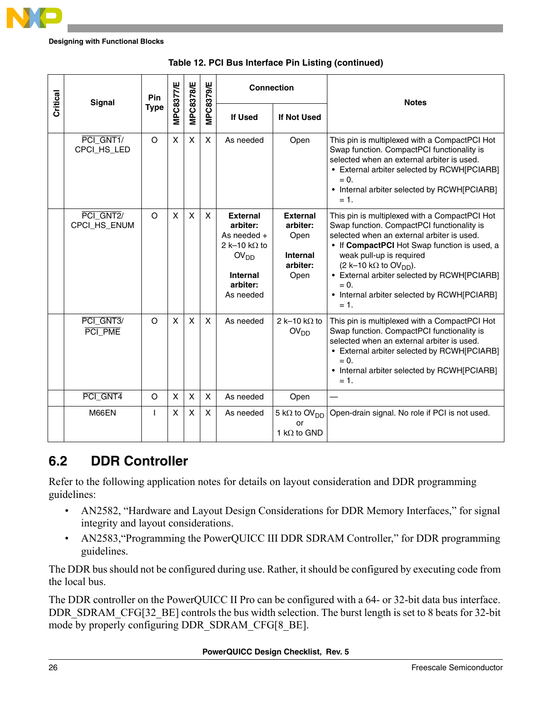

|          | <b>Signal</b>             | Pin          | MPC8377/E    | <b>MPC8378/E</b> |                  | <b>Connection</b>                                                                                                                    |                                                                            | <b>Notes</b>                                                                                                                                                                                                                                                                                                                                                                        |
|----------|---------------------------|--------------|--------------|------------------|------------------|--------------------------------------------------------------------------------------------------------------------------------------|----------------------------------------------------------------------------|-------------------------------------------------------------------------------------------------------------------------------------------------------------------------------------------------------------------------------------------------------------------------------------------------------------------------------------------------------------------------------------|
| Critical |                           | <b>Type</b>  |              |                  | <b>MPC8379/E</b> | <b>If Used</b>                                                                                                                       | If Not Used                                                                |                                                                                                                                                                                                                                                                                                                                                                                     |
|          | PCI_GNT1/<br>CPCI_HS_LED  | $\Omega$     | X            | X                | $\mathsf{X}$     | As needed                                                                                                                            | Open                                                                       | This pin is multiplexed with a CompactPCI Hot<br>Swap function. CompactPCI functionality is<br>selected when an external arbiter is used.<br>• External arbiter selected by RCWH[PCIARB]<br>$= 0.$<br>• Internal arbiter selected by RCWH[PCIARB]<br>$= 1.$                                                                                                                         |
|          | PCI_GNT2/<br>CPCI_HS_ENUM | $\Omega$     | $\mathsf{X}$ | X                | $\mathsf{X}$     | <b>External</b><br>arbiter:<br>As needed $+$<br>2 k-10 k $\Omega$ to<br>OV <sub>DD</sub><br><b>Internal</b><br>arbiter:<br>As needed | <b>External</b><br>arbiter:<br>Open<br><b>Internal</b><br>arbiter:<br>Open | This pin is multiplexed with a CompactPCI Hot<br>Swap function. CompactPCI functionality is<br>selected when an external arbiter is used.<br>• If CompactPCI Hot Swap function is used, a<br>weak pull-up is required<br>$(2 k-10 k\Omega$ to OV <sub>DD</sub> ).<br>• External arbiter selected by RCWH[PCIARB]<br>$= 0.$<br>• Internal arbiter selected by RCWH[PCIARB]<br>$= 1.$ |
|          | PCI GNT3/<br>PCI_PME      | $\Omega$     | $\mathsf{x}$ | X                | $\mathsf{X}$     | As needed                                                                                                                            | 2 k-10 k $\Omega$ to<br>OV <sub>DD</sub>                                   | This pin is multiplexed with a CompactPCI Hot<br>Swap function. CompactPCI functionality is<br>selected when an external arbiter is used.<br>• External arbiter selected by RCWH[PCIARB]<br>$= 0.$<br>• Internal arbiter selected by RCWH[PCIARB]<br>= 1.                                                                                                                           |
|          | PCI_GNT4                  | $\circ$      | X            | X                | X                | As needed                                                                                                                            | Open                                                                       |                                                                                                                                                                                                                                                                                                                                                                                     |
|          | M66EN                     | $\mathbf{I}$ | X            | X                | X                | As needed                                                                                                                            | 5 k $\Omega$ to OV <sub>DD</sub><br>or<br>1 k $\Omega$ to GND              | Open-drain signal. No role if PCI is not used.                                                                                                                                                                                                                                                                                                                                      |

|  |  |  |  |  | Table 12. PCI Bus Interface Pin Listing (continued) |
|--|--|--|--|--|-----------------------------------------------------|
|--|--|--|--|--|-----------------------------------------------------|

### <span id="page-25-0"></span>**6.2 DDR Controller**

Refer to the following application notes for details on layout consideration and DDR programming guidelines:

- AN2582, "Hardware and Layout Design Considerations for DDR Memory Interfaces," for signal integrity and layout considerations.
- AN2583,"Programming the PowerQUICC III DDR SDRAM Controller," for DDR programming guidelines.

The DDR bus should not be configured during use. Rather, it should be configured by executing code from the local bus.

The DDR controller on the PowerQUICC II Pro can be configured with a 64- or 32-bit data bus interface. DDR\_SDRAM\_CFG[32\_BE] controls the bus width selection. The burst length is set to 8 beats for 32-bit mode by properly configuring DDR\_SDRAM\_CFG[8\_BE].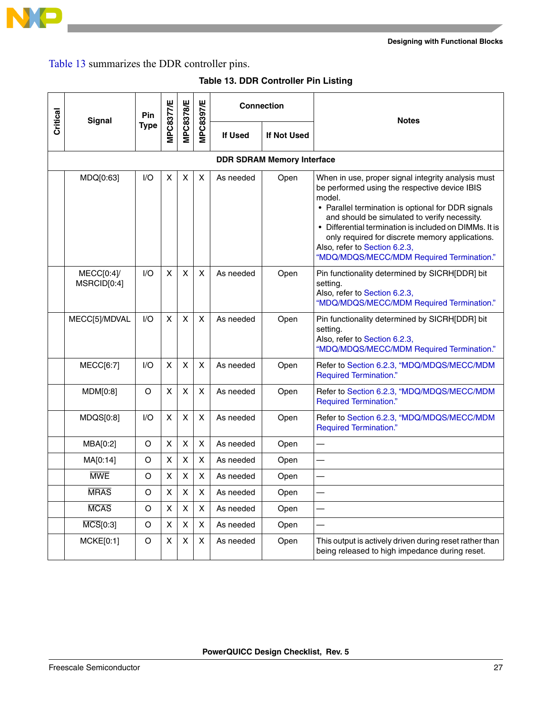

[Table 13](#page-26-0) summarizes the DDR controller pins.

<span id="page-26-0"></span>

| Critical | <b>Signal</b>                | Pin         | <b>MPC8377/E</b> | <b>MPC8378/E</b>          | <b>MPC8397/E</b>   |                                   | <b>Connection</b> | <b>Notes</b>                                                                                                                                                                                                                                                                                                                                                                                                   |
|----------|------------------------------|-------------|------------------|---------------------------|--------------------|-----------------------------------|-------------------|----------------------------------------------------------------------------------------------------------------------------------------------------------------------------------------------------------------------------------------------------------------------------------------------------------------------------------------------------------------------------------------------------------------|
|          |                              | <b>Type</b> |                  |                           |                    | <b>If Used</b>                    | If Not Used       |                                                                                                                                                                                                                                                                                                                                                                                                                |
|          |                              |             |                  |                           |                    | <b>DDR SDRAM Memory Interface</b> |                   |                                                                                                                                                                                                                                                                                                                                                                                                                |
|          | MDQ[0:63]                    | I/O         | x                | X                         | X                  | As needed                         | Open              | When in use, proper signal integrity analysis must<br>be performed using the respective device IBIS<br>model.<br>• Parallel termination is optional for DDR signals<br>and should be simulated to verify necessity.<br>• Differential termination is included on DIMMs. It is<br>only required for discrete memory applications.<br>Also, refer to Section 6.2.3,<br>"MDQ/MDQS/MECC/MDM Required Termination." |
|          | MECC[0:4]<br>MSRCID[0:4]     | 1/O         | X                | X                         | X                  | As needed                         | Open              | Pin functionality determined by SICRH[DDR] bit<br>setting.<br>Also, refer to Section 6.2.3,<br>"MDQ/MDQS/MECC/MDM Required Termination."                                                                                                                                                                                                                                                                       |
|          | MECC[5]/MDVAL                | 1/O         | X                | X                         | X                  | As needed                         | Open              | Pin functionality determined by SICRH[DDR] bit<br>setting.<br>Also, refer to Section 6.2.3,<br>"MDQ/MDQS/MECC/MDM Required Termination."                                                                                                                                                                                                                                                                       |
|          | <b>MECC[6:7]</b>             | 1/O         | X                | X                         | X                  | As needed                         | Open              | Refer to Section 6.2.3, "MDQ/MDQS/MECC/MDM<br><b>Required Termination."</b>                                                                                                                                                                                                                                                                                                                                    |
|          | MDM[0:8]                     | O           | X                | X                         | X                  | As needed                         | Open              | Refer to Section 6.2.3, "MDQ/MDQS/MECC/MDM<br><b>Required Termination."</b>                                                                                                                                                                                                                                                                                                                                    |
|          | MDQS[0:8]                    | 1/O         | X                | X                         | X                  | As needed                         | Open              | Refer to Section 6.2.3, "MDQ/MDQS/MECC/MDM<br><b>Required Termination."</b>                                                                                                                                                                                                                                                                                                                                    |
|          | MBA[0:2]                     | O           | X                | X                         | X                  | As needed                         | Open              |                                                                                                                                                                                                                                                                                                                                                                                                                |
|          | MA[0:14]                     | O           | X                | $\boldsymbol{\mathsf{X}}$ | X                  | As needed                         | Open              |                                                                                                                                                                                                                                                                                                                                                                                                                |
|          | <b>MWE</b>                   | O           | x                | X                         | X                  | As needed                         | Open              |                                                                                                                                                                                                                                                                                                                                                                                                                |
|          | <b>MRAS</b>                  | O           | X                | $\mathsf{X}$              | X                  | As needed                         | Open              |                                                                                                                                                                                                                                                                                                                                                                                                                |
|          | <b>MCAS</b>                  | O           | X                | $\boldsymbol{\mathsf{X}}$ | $\pmb{\mathsf{X}}$ | As needed                         | Open              |                                                                                                                                                                                                                                                                                                                                                                                                                |
|          | $\overline{\text{MCS}}[0:3]$ | O           | X                | X                         | X                  | As needed                         | Open              |                                                                                                                                                                                                                                                                                                                                                                                                                |
|          | <b>MCKE[0:1]</b>             | O           | X                | X                         | X                  | As needed                         | Open              | This output is actively driven during reset rather than<br>being released to high impedance during reset.                                                                                                                                                                                                                                                                                                      |

#### **Table 13. DDR Controller Pin Listing**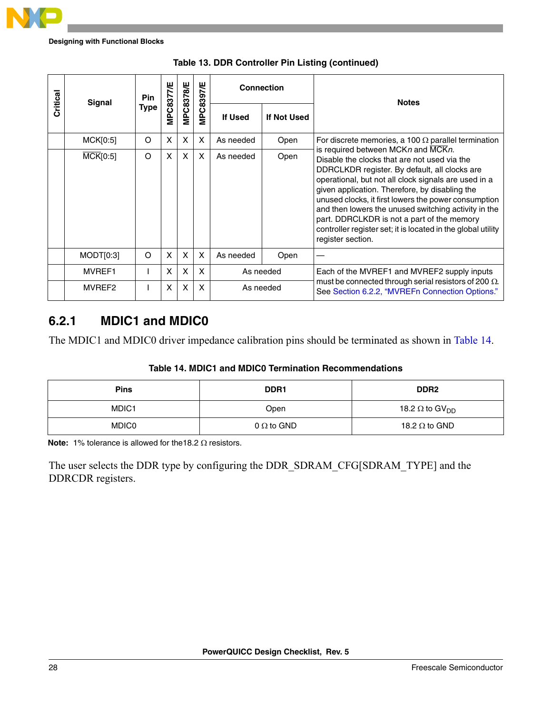

| Critical | Signal                       | Pin         | MPC8377/E | MPC8378/E    | <b>MPC8397/E</b> | <b>Connection</b> |             | <b>Notes</b>                                                                                                                                                                                                                                                                                                                                                                                                                                                                                     |  |
|----------|------------------------------|-------------|-----------|--------------|------------------|-------------------|-------------|--------------------------------------------------------------------------------------------------------------------------------------------------------------------------------------------------------------------------------------------------------------------------------------------------------------------------------------------------------------------------------------------------------------------------------------------------------------------------------------------------|--|
|          |                              | <b>Type</b> |           |              |                  | <b>If Used</b>    | If Not Used |                                                                                                                                                                                                                                                                                                                                                                                                                                                                                                  |  |
|          | MCK[0:5]                     | O           | X         | X            | X                | As needed         | Open        | For discrete memories, a 100 $\Omega$ parallel termination                                                                                                                                                                                                                                                                                                                                                                                                                                       |  |
|          | $\overline{\text{MCK}}[0:5]$ | O           | X         | $\mathsf{x}$ | X                | As needed         | Open        | is required between MCKn and MCKn.<br>Disable the clocks that are not used via the<br>DDRCLKDR register. By default, all clocks are<br>operational, but not all clock signals are used in a<br>given application. Therefore, by disabling the<br>unused clocks, it first lowers the power consumption<br>and then lowers the unused switching activity in the<br>part. DDRCLKDR is not a part of the memory<br>controller register set; it is located in the global utility<br>register section. |  |
|          | MODT[0:3]                    | O           | X         | X            | X                | As needed         | Open        |                                                                                                                                                                                                                                                                                                                                                                                                                                                                                                  |  |
|          | MVREF1                       |             | X         | X            | X                |                   | As needed   | Each of the MVREF1 and MVREF2 supply inputs                                                                                                                                                                                                                                                                                                                                                                                                                                                      |  |
|          | MVREF2                       |             | X         | X            | X                |                   | As needed   | must be connected through serial resistors of 200 $\Omega$ .<br>See Section 6.2.2, "MVREFn Connection Options."                                                                                                                                                                                                                                                                                                                                                                                  |  |



#### **6.2.1 MDIC1 and MDIC0**

The MDIC1 and MDIC0 driver impedance calibration pins should be terminated as shown in [Table 14](#page-27-0).

| Table 14. MDIC1 and MDIC0 Termination Recommendations |
|-------------------------------------------------------|
|-------------------------------------------------------|

<span id="page-27-0"></span>

| <b>Pins</b>  | DDR <sub>1</sub>  | DDR <sub>2</sub>                  |
|--------------|-------------------|-----------------------------------|
| MDIC1        | Open              | 18.2 $\Omega$ to GV <sub>DD</sub> |
| <b>MDIC0</b> | $0 \Omega$ to GND | 18.2 $\Omega$ to GND              |

**Note:** 1% tolerance is allowed for the18.2 Ω resistors.

The user selects the DDR type by configuring the DDR\_SDRAM\_CFG[SDRAM\_TYPE] and the DDRCDR registers.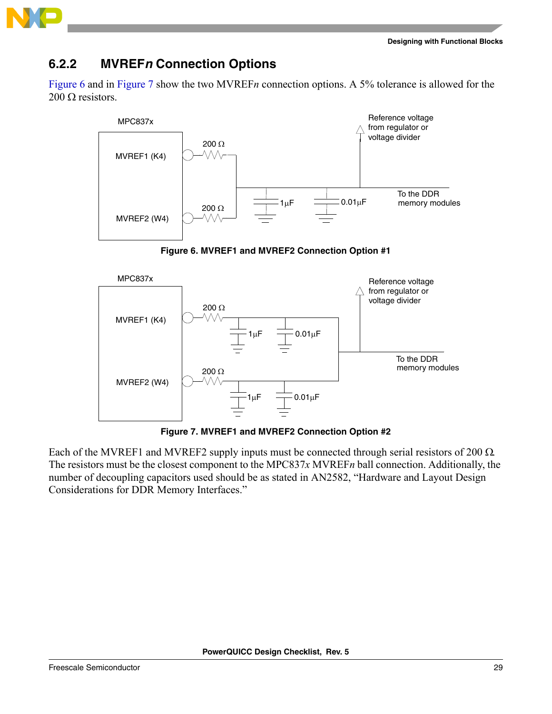



### <span id="page-28-0"></span>**6.2.2 MVREF***n* **Connection Options**

[Figure 6](#page-28-1) and in [Figure 7](#page-28-2) show the two MVREF*n* connection options. A 5% tolerance is allowed for the 200  $\Omega$  resistors.





<span id="page-28-1"></span>

**Figure 7. MVREF1 and MVREF2 Connection Option #2**

<span id="page-28-2"></span>Each of the MVREF1 and MVREF2 supply inputs must be connected through serial resistors of 200  $\Omega$ . The resistors must be the closest component to the MPC837*x* MVREF*n* ball connection. Additionally, the number of decoupling capacitors used should be as stated in AN2582, "Hardware and Layout Design Considerations for DDR Memory Interfaces."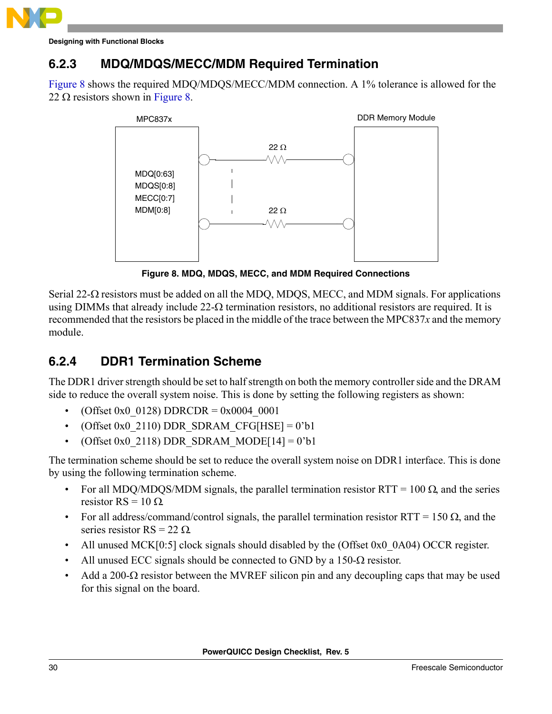

#### <span id="page-29-0"></span>**6.2.3 MDQ/MDQS/MECC/MDM Required Termination**

[Figure 8](#page-29-1) shows the required MDQ/MDQS/MECC/MDM connection. A 1% tolerance is allowed for the 22  $\Omega$  resistors shown in [Figure 8](#page-29-1).



**Figure 8. MDQ, MDQS, MECC, and MDM Required Connections**

<span id="page-29-1"></span>Serial 22- $\Omega$  resistors must be added on all the MDQ, MDQS, MECC, and MDM signals. For applications using DIMMs that already include  $22-\Omega$  termination resistors, no additional resistors are required. It is recommended that the resistors be placed in the middle of the trace between the MPC837*x* and the memory module.

### <span id="page-29-2"></span>**6.2.4 DDR1 Termination Scheme**

The DDR1 driver strength should be set to half strength on both the memory controller side and the DRAM side to reduce the overall system noise. This is done by setting the following registers as shown:

- (Offset 0x0  $0128$ ) DDRCDR = 0x0004 0001
- (Offset 0x0 2110) DDR SDRAM CFG[HSE] = 0'b1
- (Offset 0x0\_2118) DDR\_SDRAM\_MODE[14] = 0'b1

The termination scheme should be set to reduce the overall system noise on DDR1 interface. This is done by using the following termination scheme.

- For all MDQ/MDQS/MDM signals, the parallel termination resistor RTT = 100  $\Omega$ , and the series resistor RS =  $10 \Omega$ .
- For all address/command/control signals, the parallel termination resistor RTT = 150  $\Omega$ , and the series resistor  $RS = 22 \Omega$ .
- All unused MCK[0:5] clock signals should disabled by the (Offset 0x0 0A04) OCCR register.
- All unused ECC signals should be connected to GND by a  $150-\Omega$  resistor.
- Add a 200- $\Omega$  resistor between the MVREF silicon pin and any decoupling caps that may be used for this signal on the board.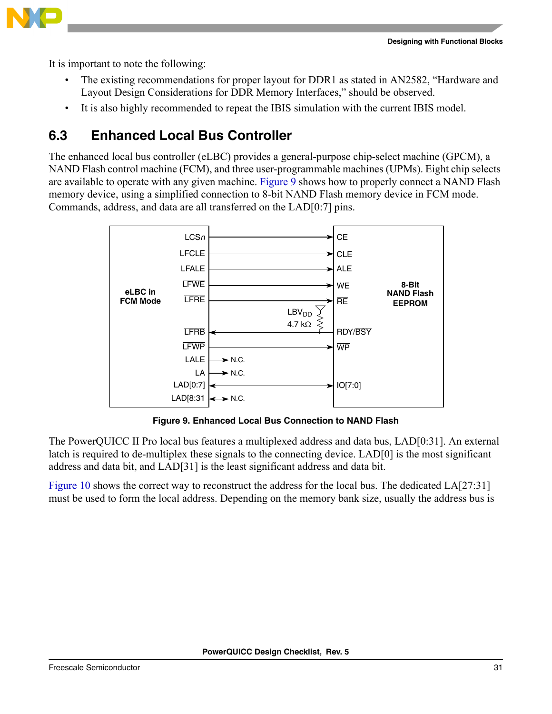It is important to note the following:

- The existing recommendations for proper layout for DDR1 as stated in AN2582, "Hardware and Layout Design Considerations for DDR Memory Interfaces," should be observed.
- It is also highly recommended to repeat the IBIS simulation with the current IBIS model.

### <span id="page-30-0"></span>**6.3 Enhanced Local Bus Controller**

The enhanced local bus controller (eLBC) provides a general-purpose chip-select machine (GPCM), a NAND Flash control machine (FCM), and three user-programmable machines (UPMs). Eight chip selects are available to operate with any given machine. [Figure 9](#page-30-1) shows how to properly connect a NAND Flash memory device, using a simplified connection to 8-bit NAND Flash memory device in FCM mode. Commands, address, and data are all transferred on the LAD[0:7] pins.



**Figure 9. Enhanced Local Bus Connection to NAND Flash**

<span id="page-30-1"></span>The PowerQUICC II Pro local bus features a multiplexed address and data bus, LAD[0:31]. An external latch is required to de-multiplex these signals to the connecting device. LAD[0] is the most significant address and data bit, and LAD[31] is the least significant address and data bit.

[Figure 10](#page-31-0) shows the correct way to reconstruct the address for the local bus. The dedicated LA[27:31] must be used to form the local address. Depending on the memory bank size, usually the address bus is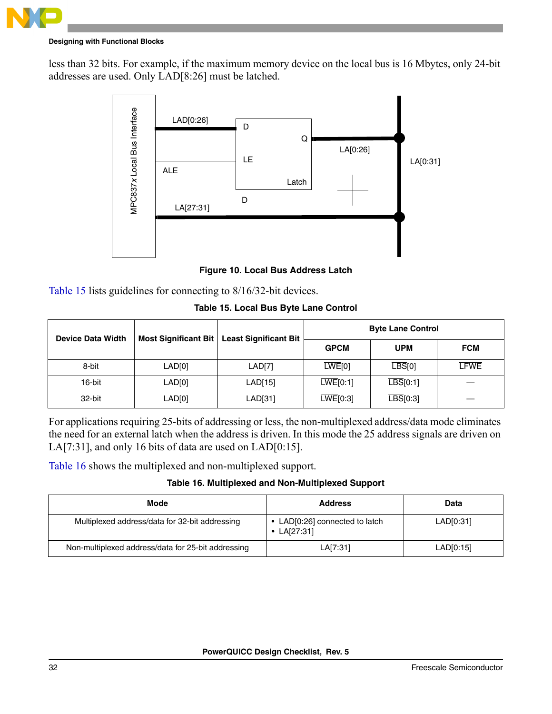

less than 32 bits. For example, if the maximum memory device on the local bus is 16 Mbytes, only 24-bit addresses are used. Only LAD[8:26] must be latched.



**Figure 10. Local Bus Address Latch**

**Table 15. Local Bus Byte Lane Control**

<span id="page-31-1"></span><span id="page-31-0"></span>

|                          | <b>MPC837</b> | LA[27:31]                                                                                                                                                                                                                                                                                  | D                                                                |                       |                                                   |                          |  |             |
|--------------------------|---------------|--------------------------------------------------------------------------------------------------------------------------------------------------------------------------------------------------------------------------------------------------------------------------------------------|------------------------------------------------------------------|-----------------------|---------------------------------------------------|--------------------------|--|-------------|
|                          |               |                                                                                                                                                                                                                                                                                            |                                                                  |                       |                                                   |                          |  |             |
|                          |               |                                                                                                                                                                                                                                                                                            | Figure 10. Local Bus Address Latch                               |                       |                                                   |                          |  |             |
|                          |               | Table 15 lists guidelines for connecting to 8/16/32-bit devices.                                                                                                                                                                                                                           |                                                                  |                       |                                                   |                          |  |             |
|                          |               |                                                                                                                                                                                                                                                                                            |                                                                  |                       | Table 15. Local Bus Byte Lane Control             |                          |  |             |
|                          |               | <b>Most Significant Bit</b>                                                                                                                                                                                                                                                                | <b>Least Significant Bit</b>                                     |                       |                                                   | <b>Byte Lane Control</b> |  |             |
| <b>Device Data Width</b> |               |                                                                                                                                                                                                                                                                                            |                                                                  |                       | <b>GPCM</b>                                       | <b>UPM</b>               |  | <b>FCM</b>  |
| 8-bit                    |               | LAD[0]                                                                                                                                                                                                                                                                                     | LAD[7]                                                           |                       | LWE[0]                                            | $\overline{LBS}[0]$      |  | <b>LFWE</b> |
| 16-bit                   | LAD[0]        |                                                                                                                                                                                                                                                                                            | $\overline{\text{LWE}}[0:1]$<br>$\overline{LBS}[0:1]$<br>LAD[15] |                       |                                                   |                          |  |             |
| 32-bit                   |               | LAD[0]                                                                                                                                                                                                                                                                                     | LAD[31]                                                          |                       | $\overline{\text{LWE}}[0:3]$                      | $\overline{LBS}$ [0:3]   |  |             |
|                          |               | For applications requiring 25-bits of addressing or less, the non-multiplexed address/data mode eliminates<br>the need for an external latch when the address is driven. In this mode the 25 address signals are driven on<br>LA[7:31], and only 16 bits of data are used on $LAD[0:15]$ . |                                                                  |                       |                                                   |                          |  |             |
|                          |               | Table 16 shows the multiplexed and non-multiplexed support.                                                                                                                                                                                                                                |                                                                  |                       |                                                   |                          |  |             |
|                          |               |                                                                                                                                                                                                                                                                                            |                                                                  |                       | Table 16. Multiplexed and Non-Multiplexed Support |                          |  |             |
|                          |               | <b>Mode</b>                                                                                                                                                                                                                                                                                |                                                                  |                       | <b>Address</b>                                    |                          |  | <b>Data</b> |
|                          |               | Multiplexed address/data for 32-bit addressing                                                                                                                                                                                                                                             |                                                                  | • LA[27:31]           | • LAD[0:26] connected to latch                    |                          |  | LAD[0:31]   |
|                          |               | Non-multiplexed address/data for 25-bit addressing                                                                                                                                                                                                                                         |                                                                  | LAD[0:15]<br>LA[7:31] |                                                   |                          |  |             |

#### **Table 16. Multiplexed and Non-Multiplexed Support**

<span id="page-31-2"></span>

| Mode                                               | <b>Address</b>                                  | Data      |
|----------------------------------------------------|-------------------------------------------------|-----------|
| Multiplexed address/data for 32-bit addressing     | • LAD[0:26] connected to latch<br>• $LA[27:31]$ | LAD[0:31] |
| Non-multiplexed address/data for 25-bit addressing | LA[7:31]                                        | LAD[0:15] |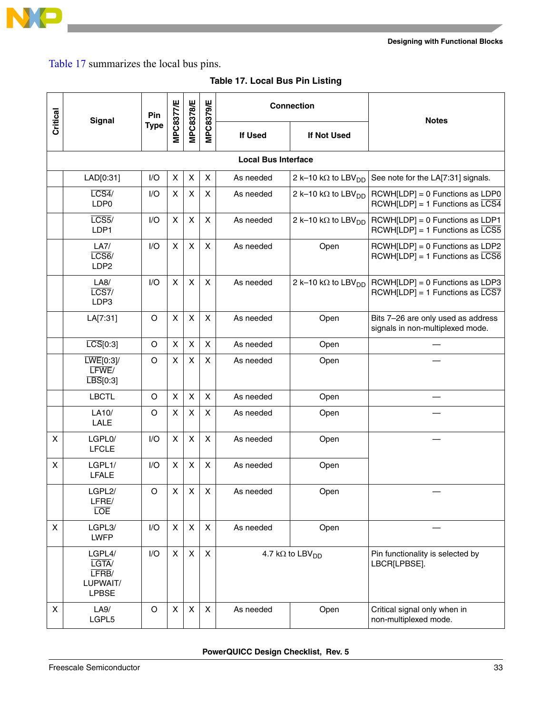

[Table 17](#page-32-0) summarizes the local bus pins.

<span id="page-32-0"></span>

|                | <b>Signal</b>                                                   | Pin         |                           |                  |                           |                                     | <b>Connection</b>                      | <b>Notes</b>                                                                      |
|----------------|-----------------------------------------------------------------|-------------|---------------------------|------------------|---------------------------|-------------------------------------|----------------------------------------|-----------------------------------------------------------------------------------|
| Critical       |                                                                 | <b>Type</b> | <b>MPC8377/E</b>          | <b>MPC8378/E</b> | <b>MPC8379/E</b>          | If Used                             | If Not Used                            |                                                                                   |
|                |                                                                 |             |                           |                  |                           |                                     |                                        |                                                                                   |
|                | LAD[0:31]                                                       | I/O         | X                         | X                | $\pmb{\times}$            | As needed                           | 2 k-10 k $\Omega$ to LBV <sub>DD</sub> | See note for the LA[7:31] signals.                                                |
|                | LCS4/<br>LDP0                                                   | I/O         | $\boldsymbol{\mathsf{X}}$ | X                | $\boldsymbol{\mathsf{X}}$ | As needed                           | 2 k-10 k $\Omega$ to LBV <sub>DD</sub> | RCWH[LDP] = 0 Functions as LDP0<br>$RCWH[LDP] = 1$ Functions as $\overline{LCS4}$ |
|                | LCS5/<br>LDP1                                                   | 1/O         | $\pmb{\times}$            | X                | $\pmb{\times}$            | As needed                           | 2 k-10 k $\Omega$ to LBV <sub>DD</sub> | RCWH[LDP] = 0 Functions as LDP1<br>$RCWH[LDP] = 1$ Functions as $\overline{LCS5}$ |
|                | LA7/<br>LCS6/<br>LDP2                                           | I/O         | $\pmb{\times}$            | $\pmb{\times}$   | $\pmb{\times}$            | As needed                           | Open                                   | RCWH[LDP] = 0 Functions as LDP2<br>$RCWH[LDP] = 1$ Functions as $\overline{LCS6}$ |
|                | LA8/<br>LCS7/<br>LDP3                                           | I/O         | X                         | $\mathsf{X}$     | X                         | As needed                           | 2 k-10 k $\Omega$ to LBV <sub>DD</sub> | RCWH[LDP] = 0 Functions as LDP3<br>$RCWH[LDP] = 1$ Functions as $\overline{LCS7}$ |
|                | LA[7:31]                                                        | O           | $\pmb{\times}$            | $\pmb{\times}$   | $\pmb{\times}$            | As needed                           | Open                                   | Bits 7-26 are only used as address<br>signals in non-multiplexed mode.            |
|                | $\overline{LCS}[0:3]$                                           | O           | $\pmb{\times}$            | X                | $\pmb{\times}$            | As needed                           | Open                                   |                                                                                   |
|                | $\overline{\text{LWE}}[0:3]$<br>LFWE/<br>$\overline{LBS}$ [0:3] | O           | X                         | X                | X                         | As needed                           | Open                                   |                                                                                   |
|                | <b>LBCTL</b>                                                    | O           | $\boldsymbol{\mathsf{X}}$ | $\pmb{\times}$   | $\pmb{\times}$            | As needed                           | Open                                   |                                                                                   |
|                | LA10/<br>LALE                                                   | O           | X                         | $\pmb{\times}$   | X                         | As needed                           | Open                                   |                                                                                   |
| X              | LGPL0/<br><b>LFCLE</b>                                          | I/O         | $\boldsymbol{\mathsf{x}}$ | $\mathsf{X}$     | X                         | As needed                           | Open                                   |                                                                                   |
| $\pmb{\times}$ | LGPL1/<br><b>LFALE</b>                                          | I/O         | $\pmb{\times}$            | X                | $\pmb{\times}$            | As needed                           | Open                                   |                                                                                   |
|                | LGPL2/<br>LFRE/<br><b>LOE</b>                                   | O           | X                         | X                | X                         | As needed                           | Open                                   |                                                                                   |
| X              | LGPL3/<br><b>LWFP</b>                                           | I/O         | $\pmb{\times}$            | $\mathsf{X}$     | $\pmb{\times}$            | As needed                           | Open                                   |                                                                                   |
|                | LGPL4/<br>LGTA/<br>LFRB/<br>LUPWAIT/<br><b>LPBSE</b>            | I/O         | X                         | $\mathsf{X}$     | X                         | 4.7 k $\Omega$ to LBV <sub>DD</sub> |                                        | Pin functionality is selected by<br>LBCR[LPBSE].                                  |
| X              | LA9/<br>LGPL5                                                   | $\circ$     | $\pmb{\times}$            | X                | $\pmb{\times}$            | As needed                           | Open                                   | Critical signal only when in<br>non-multiplexed mode.                             |

#### **Table 17. Local Bus Pin Listing**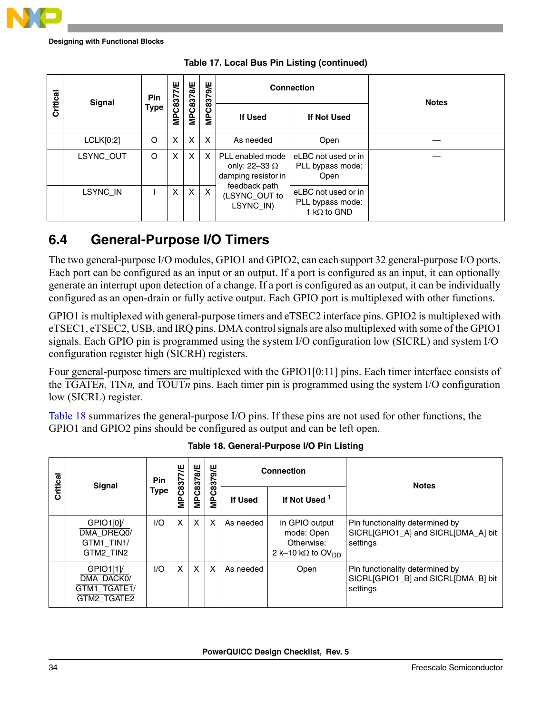

| Critical | Signal    | <b>Pin</b>  | <b>MPC8377/E</b> | <b>MPC8378/E</b>          | MPC8379/E |                                                                 | <b>Connection</b>                                              | <b>Notes</b> |
|----------|-----------|-------------|------------------|---------------------------|-----------|-----------------------------------------------------------------|----------------------------------------------------------------|--------------|
|          |           | <b>Type</b> |                  |                           |           | <b>If Used</b>                                                  | If Not Used                                                    |              |
|          | LCLK[0:2] | $\circ$     | X                | $\boldsymbol{\mathsf{x}}$ | X         | As needed                                                       | Open                                                           |              |
|          | LSYNC_OUT | O           | X                | $\times$                  | X         | PLL enabled mode<br>only: 22-33 $\Omega$<br>damping resistor in | eLBC not used or in<br>PLL bypass mode:<br>Open                |              |
|          | LSYNC_IN  |             | X                | $\times$                  | X         | feedback path<br>(LSYNC_OUT to<br>LSYNC_IN)                     | eLBC not used or in<br>PLL bypass mode:<br>1 k $\Omega$ to GND |              |

|  |  |  |  |  | Table 17. Local Bus Pin Listing (continued) |
|--|--|--|--|--|---------------------------------------------|
|--|--|--|--|--|---------------------------------------------|

### <span id="page-33-0"></span>**6.4 General-Purpose I/O Timers**

The two general-purpose I/O modules, GPIO1 and GPIO2, can each support 32 general-purpose I/O ports. Each port can be configured as an input or an output. If a port is configured as an input, it can optionally generate an interrupt upon detection of a change. If a port is configured as an output, it can be individually configured as an open-drain or fully active output. Each GPIO port is multiplexed with other functions.

GPIO1 is multiplexed with general-purpose timers and eTSEC2 interface pins. GPIO2 is multiplexed with eTSEC1, eTSEC2, USB, and  $\overline{IRQ}$  pins. DMA control signals are also multiplexed with some of the GPIO1 signals. Each GPIO pin is programmed using the system I/O configuration low (SICRL) and system I/O configuration register high (SICRH) registers.

Four general-purpose timers are multiplexed with the GPIO1[0:11] pins. Each timer interface consists of the TGATE*n*, TIN*n,* and TOUT*n* pins. Each timer pin is programmed using the system I/O configuration low (SICRL) register.

[Table 18](#page-33-1) summarizes the general-purpose I/O pins. If these pins are not used for other functions, the GPIO1 and GPIO2 pins should be configured as output and can be left open.

<span id="page-33-1"></span>

| Critical | <b>Signal</b>                                         | Pin  | 쁫              | <b>MPC8378/E</b> | <b>MPC8379/E</b> | <b>Connection</b> |                                                                                     | <b>Notes</b>                                                                       |  |
|----------|-------------------------------------------------------|------|----------------|------------------|------------------|-------------------|-------------------------------------------------------------------------------------|------------------------------------------------------------------------------------|--|
|          |                                                       | Type | <b>MPC8377</b> |                  |                  | <b>If Used</b>    | If Not Used <sup>1</sup>                                                            |                                                                                    |  |
|          | GPIO1[0]<br>DMA_DREQ0/<br>GTM1 TIN1/<br>GTM2 TIN2     | 1/O  | X.             | $\times$         | X                | As needed         | in GPIO output<br>mode: Open<br>Otherwise:<br>2 k-10 k $\Omega$ to OV <sub>DD</sub> | Pin functionality determined by<br>SICRL[GPIO1_A] and SICRL[DMA_A] bit<br>settings |  |
|          | GPIO1[1]<br>DMA_DACK0/<br>GTM1_TGATE1/<br>GTM2_TGATE2 | $U$  | X.             | $\times$         | X                | As needed         | Open                                                                                | Pin functionality determined by<br>SICRL[GPIO1_B] and SICRL[DMA_B] bit<br>settings |  |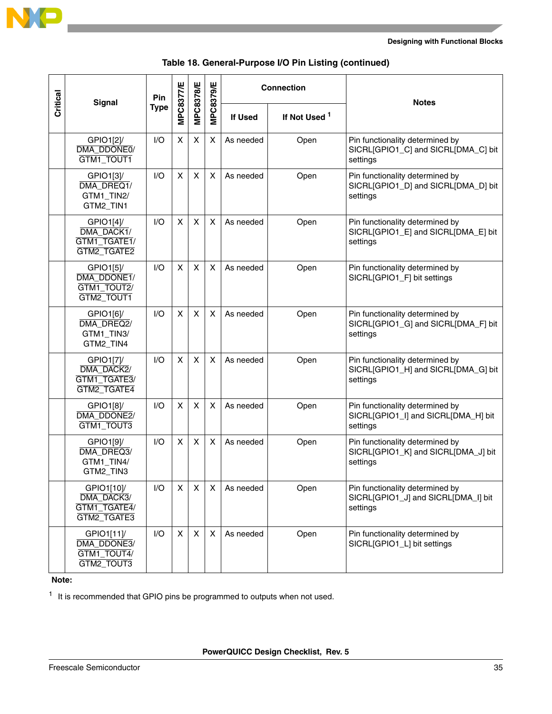

|          |                                                         | Pin         |           |                  |                  | <b>Connection</b> |                          |                                                                                    |
|----------|---------------------------------------------------------|-------------|-----------|------------------|------------------|-------------------|--------------------------|------------------------------------------------------------------------------------|
| Critical | <b>Signal</b>                                           | <b>Type</b> | MPC8377/E | <b>MPC8378/E</b> | <b>MPC8379/E</b> | If Used           | If Not Used <sup>1</sup> | <b>Notes</b>                                                                       |
|          | GPIO1[2]/<br>DMA_DDONE0/<br>GTM1_TOUT1                  | 1/O         | X         | X                | X                | As needed         | Open                     | Pin functionality determined by<br>SICRL[GPIO1_C] and SICRL[DMA_C] bit<br>settings |
|          | GPIO1[3]/<br>DMA_DREQ1/<br>GTM1_TIN2/<br>GTM2_TIN1      | I/O         | X         | X                | X                | As needed         | Open                     | Pin functionality determined by<br>SICRL[GPIO1_D] and SICRL[DMA_D] bit<br>settings |
|          | GPIO1[4]<br>DMA_DACK1/<br>GTM1_TGATE1/<br>GTM2_TGATE2   | 1/O         | X         | X                | X                | As needed         | Open                     | Pin functionality determined by<br>SICRL[GPIO1_E] and SICRL[DMA_E] bit<br>settings |
|          | GPIO1[5]/<br>DMA DDONE1/<br>GTM1_TOUT2/<br>GTM2_TOUT1   | I/O         | X         | X                | X                | As needed         | Open                     | Pin functionality determined by<br>SICRL[GPIO1_F] bit settings                     |
|          | GPIO1[6]/<br>DMA_DREQ2/<br>GTM1_TIN3/<br>GTM2_TIN4      | I/O         | X         | X                | X                | As needed         | Open                     | Pin functionality determined by<br>SICRL[GPIO1_G] and SICRL[DMA_F] bit<br>settings |
|          | GPIO1[7]<br>DMA DACK2/<br>GTM1_TGATE3/<br>GTM2_TGATE4   | I/O         | X         | X                | X                | As needed         | Open                     | Pin functionality determined by<br>SICRL[GPIO1_H] and SICRL[DMA_G] bit<br>settings |
|          | GPIO1[8]/<br>DMA_DDONE2/<br>GTM1_TOUT3                  | I/O         | X         | X                | X                | As needed         | Open                     | Pin functionality determined by<br>SICRL[GPIO1_I] and SICRL[DMA_H] bit<br>settings |
|          | GPIO1[9]/<br>DMA DREQ3/<br>GTM1_TIN4/<br>GTM2 TIN3      | I/O         | X         | X                | X                | As needed         | Open                     | Pin functionality determined by<br>SICRL[GPIO1_K] and SICRL[DMA_J] bit<br>settings |
|          | GPIO1[10]/<br>DMA_DACK3/<br>GTM1_TGATE4/<br>GTM2_TGATE3 | I/O         | Χ         | X                | X                | As needed         | Open                     | Pin functionality determined by<br>SICRL[GPIO1_J] and SICRL[DMA_I] bit<br>settings |
|          | GPIO1[11]<br>DMA_DDONE3/<br>GTM1_TOUT4/<br>GTM2_TOUT3   | I/O         | X         | $\pmb{\times}$   | X                | As needed         | Open                     | Pin functionality determined by<br>SICRL[GPIO1_L] bit settings                     |

|  | Table 18. General-Purpose I/O Pin Listing (continued) |  |  |
|--|-------------------------------------------------------|--|--|
|--|-------------------------------------------------------|--|--|

**Note:** 

<span id="page-34-0"></span> $1$  It is recommended that GPIO pins be programmed to outputs when not used.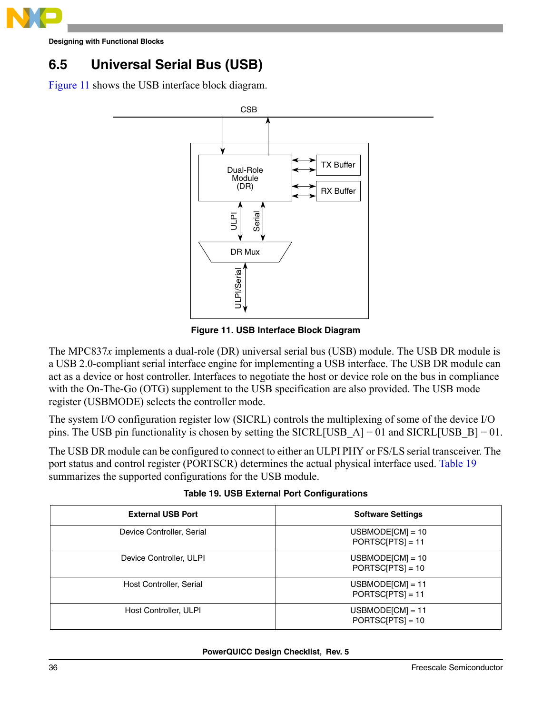

### <span id="page-35-0"></span>**6.5 Universal Serial Bus (USB)**

[Figure 11](#page-35-2) shows the USB interface block diagram.



**Figure 11. USB Interface Block Diagram**

<span id="page-35-2"></span>The MPC837*x* implements a dual-role (DR) universal serial bus (USB) module. The USB DR module is a USB 2.0-compliant serial interface engine for implementing a USB interface. The USB DR module can act as a device or host controller. Interfaces to negotiate the host or device role on the bus in compliance with the On-The-Go (OTG) supplement to the USB specification are also provided. The USB mode register (USBMODE) selects the controller mode.

The system I/O configuration register low (SICRL) controls the multiplexing of some of the device I/O pins. The USB pin functionality is chosen by setting the SICRL[USB\_A] = 01 and SICRL[USB\_B] = 01.

The USB DR module can be configured to connect to either an ULPI PHY or FS/LS serial transceiver. The port status and control register (PORTSCR) determines the actual physical interface used. [Table 19](#page-35-1) summarizes the supported configurations for the USB module.

<span id="page-35-1"></span>

| <b>External USB Port</b>  | <b>Software Settings</b>                 |
|---------------------------|------------------------------------------|
| Device Controller, Serial | $USBMODE[CM] = 10$<br>$PORTSC[PTS] = 11$ |
| Device Controller, ULPI   | $USBMODE[CM] = 10$<br>$PORTSC[PTS] = 10$ |
| Host Controller, Serial   | $USBMODE[CM] = 11$<br>$PORTSC[PTS] = 11$ |
| Host Controller, ULPI     | $USBMODE[CM] = 11$<br>$PORTSC[PTS] = 10$ |

**Table 19. USB External Port Configurations**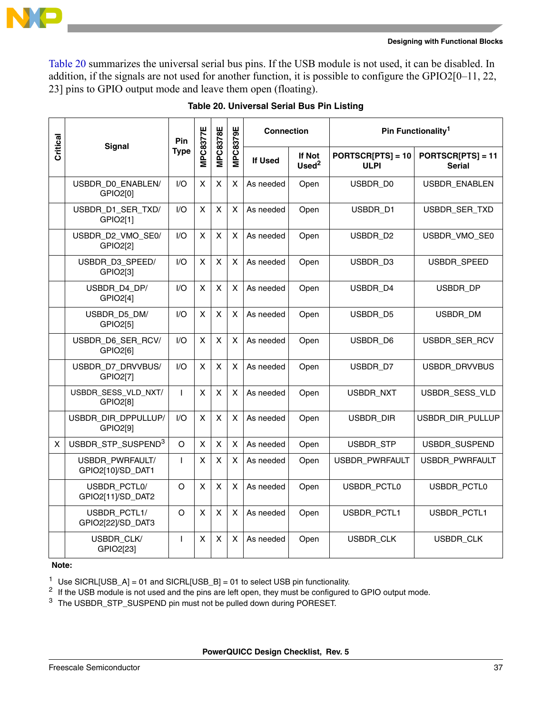

[Table 20](#page-36-0) summarizes the universal serial bus pins. If the USB module is not used, it can be disabled. In addition, if the signals are not used for another function, it is possible to configure the GPIO2[0–11, 22, 23] pins to GPIO output mode and leave them open (floating).

<span id="page-36-0"></span>

| Critical | <b>Signal</b>                        | Pin          | <b>MPC8377E</b> | <b>MPC8378E</b>    | <b>MPC8379E</b>           | <b>Connection</b> |                             |                                  | Pin Functionality <sup>1</sup>       |
|----------|--------------------------------------|--------------|-----------------|--------------------|---------------------------|-------------------|-----------------------------|----------------------------------|--------------------------------------|
|          |                                      | <b>Type</b>  |                 |                    |                           | <b>If Used</b>    | If Not<br>Used <sup>2</sup> | PORTSCR[PTS] = 10<br><b>ULPI</b> | $PORTSCR[PTS] = 11$<br><b>Serial</b> |
|          | USBDR_D0_ENABLEN/<br>GPIO2[0]        | 1/O          | X               | $\pmb{\times}$     | X                         | As needed         | Open                        | USBDR_D0                         | USBDR_ENABLEN                        |
|          | USBDR_D1_SER_TXD/<br>GPIO2[1]        | 1/O          | $\pmb{\times}$  | X                  | $\boldsymbol{\mathsf{X}}$ | As needed         | Open                        | USBDR_D1                         | USBDR_SER_TXD                        |
|          | USBDR_D2_VMO_SE0/<br>GPIO2[2]        | 1/O          | X               | $\pmb{\times}$     | X                         | As needed         | Open                        | USBDR_D2                         | USBDR_VMO_SE0                        |
|          | USBDR_D3_SPEED/<br>GPIO2[3]          | I/O          | X               | X                  | X                         | As needed         | Open                        | USBDR_D3                         | USBDR_SPEED                          |
|          | USBDR_D4_DP/<br>GPIO2[4]             | I/O          | X               | X                  | X                         | As needed         | Open                        | USBDR_D4                         | USBDR_DP                             |
|          | USBDR_D5_DM/<br>GPIO2[5]             | I/O          | $\pmb{\times}$  | $\pmb{\mathsf{X}}$ | $\boldsymbol{\mathsf{X}}$ | As needed         | Open                        | USBDR_D5                         | USBDR_DM                             |
|          | USBDR_D6_SER_RCV/<br>GPIO2[6]        | 1/O          | X               | $\pmb{\mathsf{X}}$ | X                         | As needed         | Open                        | USBDR_D6                         | USBDR_SER_RCV                        |
|          | USBDR_D7_DRVVBUS/<br>GPIO2[7]        | 1/O          | X               | $\pmb{\times}$     | X                         | As needed         | Open                        | USBDR_D7                         | USBDR_DRVVBUS                        |
|          | USBDR_SESS_VLD_NXT/<br>GPIO2[8]      | $\mathbf{I}$ | X               | X                  | X                         | As needed         | Open                        | USBDR_NXT                        | USBDR_SESS_VLD                       |
|          | USBDR_DIR_DPPULLUP/<br>GPIO2[9]      | I/O          | X               | $\pmb{\mathsf{X}}$ | X                         | As needed         | Open                        | USBDR_DIR                        | USBDR_DIR_PULLUP                     |
| X        | USBDR_STP_SUSPEND <sup>3</sup>       | O            | $\pmb{\times}$  | X                  | X                         | As needed         | Open                        | USBDR_STP                        | USBDR_SUSPEND                        |
|          | USBDR_PWRFAULT/<br>GPIO2[10]/SD_DAT1 | $\mathsf{I}$ | $\pmb{\times}$  | $\pmb{\mathsf{X}}$ | X                         | As needed         | Open                        | USBDR_PWRFAULT                   | USBDR_PWRFAULT                       |
|          | USBDR_PCTL0/<br>GPIO2[11]/SD_DAT2    | $\circ$      | X               | $\pmb{\mathsf{X}}$ | $\pmb{\times}$            | As needed         | Open                        | USBDR_PCTL0                      | USBDR_PCTL0                          |
|          | USBDR_PCTL1/<br>GPIO2[22]/SD_DAT3    | O            | X               | X                  | X                         | As needed         | Open                        | USBDR_PCTL1                      | USBDR_PCTL1                          |
|          | USBDR_CLK/<br>GPIO2[23]              | $\mathsf{I}$ | X               | X                  | X                         | As needed         | Open                        | USBDR_CLK                        | USBDR_CLK                            |

#### **Table 20. Universal Serial Bus Pin Listing**

**Note:** 

<sup>1</sup> Use SICRL[USB\_A] = 01 and SICRL[USB\_B] = 01 to select USB pin functionality.

<span id="page-36-1"></span><sup>2</sup> If the USB module is not used and the pins are left open, they must be configured to GPIO output mode.

<sup>3</sup> The USBDR\_STP\_SUSPEND pin must not be pulled down during PORESET.

**PowerQUICC Design Checklist, Rev. 5**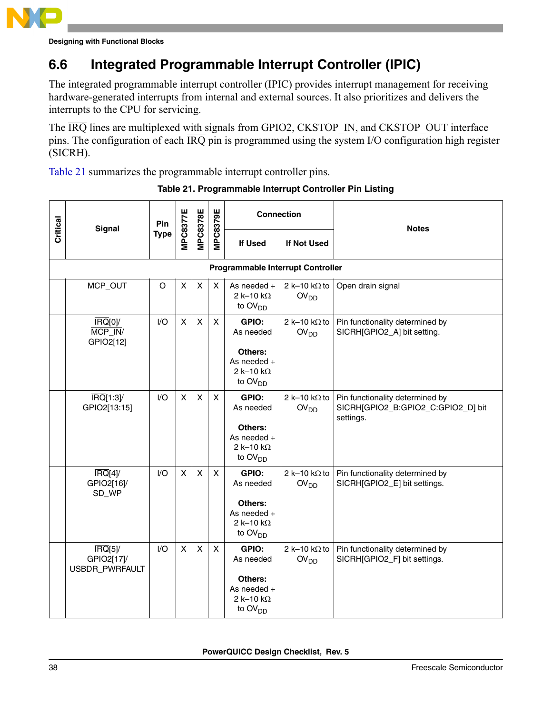

### <span id="page-37-0"></span>**6.6 Integrated Programmable Interrupt Controller (IPIC)**

The integrated programmable interrupt controller (IPIC) provides interrupt management for receiving hardware-generated interrupts from internal and external sources. It also prioritizes and delivers the interrupts to the CPU for servicing.

The  $\overline{IRQ}$  lines are multiplexed with signals from GPIO2, CKSTOP\_IN, and CKSTOP\_OUT interface pins. The configuration of each IRQ pin is programmed using the system I/O configuration high register (SICRH).

<span id="page-37-1"></span>[Table 21](#page-37-1) summarizes the programmable interrupt controller pins.

| Critical | <b>Signal</b>                                                     | Pin         | <b>MPC8377E</b>           | <b>MPC8378E</b> | <b>MPC8379E</b> | <b>Connection</b>                                                                                 |                                          | <b>Notes</b>                                                                       |
|----------|-------------------------------------------------------------------|-------------|---------------------------|-----------------|-----------------|---------------------------------------------------------------------------------------------------|------------------------------------------|------------------------------------------------------------------------------------|
|          |                                                                   | <b>Type</b> |                           |                 |                 | If Used                                                                                           | If Not Used                              |                                                                                    |
|          |                                                                   |             |                           |                 |                 | <b>Programmable Interrupt Controller</b>                                                          |                                          |                                                                                    |
|          | MCP_OUT                                                           | $\circ$     | X                         | X               | X               | As needed +<br>2 k-10 k $\Omega$<br>to $OVDD$                                                     | 2 k-10 k $\Omega$ to<br>OV <sub>DD</sub> | Open drain signal                                                                  |
|          | $\overline{\text{IRQ}}\text{[0]}$<br>MCP_IN/<br>GPIO2[12]         | I/O         | X                         | X               | $\mathsf{x}$    | GPIO:<br>As needed<br>Others:<br>As needed $+$<br>2 k-10 k $\Omega$<br>to $OVDD$                  | 2 k-10 k $\Omega$ to<br>OV <sub>DD</sub> | Pin functionality determined by<br>SICRH[GPIO2_A] bit setting.                     |
|          | $\overline{\text{IRQ}}$ [1:3]/<br>GPIO2[13:15]                    | I/O         | $\pmb{\times}$            | X               | $\mathsf{X}$    | GPIO:<br>As needed<br>Others:<br>As needed $+$<br>2 k-10 k $\Omega$<br>to $\text{OV}_{\text{DD}}$ | 2 k-10 k $\Omega$ to<br>OV <sub>DD</sub> | Pin functionality determined by<br>SICRH[GPIO2_B:GPIO2_C:GPIO2_D] bit<br>settings. |
|          | $\overline{\text{IRQ}}$ [4]/<br>GPIO2[16]/<br>SD_WP               | I/O         | $\boldsymbol{\mathsf{x}}$ | X               | $\mathsf{X}$    | GPIO:<br>As needed<br>Others:<br>As needed +<br>2 k-10 k $\Omega$<br>to $OVDD$                    | 2 k-10 k $\Omega$ to<br>OV <sub>DD</sub> | Pin functionality determined by<br>SICRH[GPIO2_E] bit settings.                    |
|          | $\overline{\text{IRQ}}\text{[5]}$<br>GPIO2[17]/<br>USBDR_PWRFAULT | I/O         | X                         | X               | X               | GPIO:<br>As needed<br>Others:<br>As needed +<br>2 k-10 k $\Omega$<br>to OV <sub>DD</sub>          | 2 k-10 k $\Omega$ to<br>OV <sub>DD</sub> | Pin functionality determined by<br>SICRH[GPIO2_F] bit settings.                    |

#### **Table 21. Programmable Interrupt Controller Pin Listing**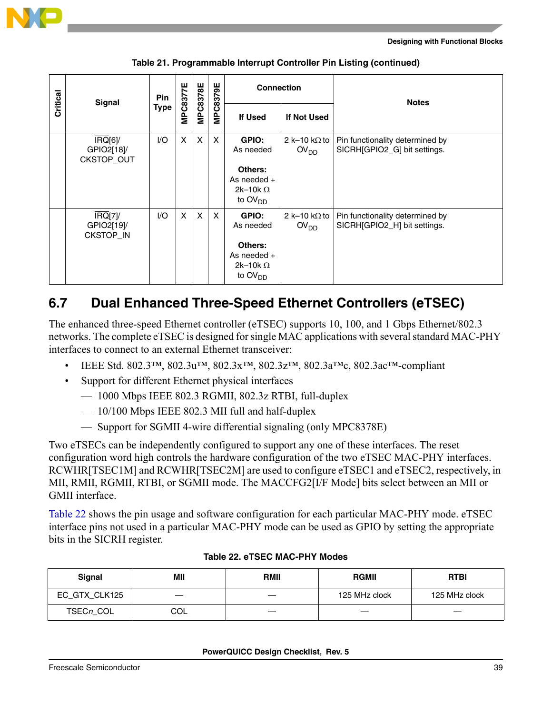

| Critical | Signal                                                               | Pin         | <b>MPC8377E</b> | <b>MPC8378E</b> | <b>MPC8379E</b>           | <b>Connection</b>                                                                               |                                            | <b>Notes</b>                                                    |
|----------|----------------------------------------------------------------------|-------------|-----------------|-----------------|---------------------------|-------------------------------------------------------------------------------------------------|--------------------------------------------|-----------------------------------------------------------------|
|          |                                                                      | <b>Type</b> |                 |                 |                           | <b>If Used</b>                                                                                  | If Not Used                                |                                                                 |
|          | $\overline{\text{IRQ}}\text{[6]}$<br>GPIO2[18]/<br><b>CKSTOP_OUT</b> | I/O         | X               | X               | $\boldsymbol{\mathsf{X}}$ | GPIO:<br>As needed<br>Others:<br>As needed $+$<br>2k-10k $\Omega$<br>to $\text{OV}_{\text{DD}}$ | 2 k-10 k $\Omega$ to 1<br>OV <sub>DD</sub> | Pin functionality determined by<br>SICRH[GPIO2_G] bit settings. |
|          | $\overline{\text{IRQ}}$ [7]<br>GPIO2[19]/<br><b>CKSTOP_IN</b>        | 1/O         | $\mathsf{X}$    | $\mathsf{X}$    | $\mathsf{X}$              | GPIO:<br>As needed<br>Others:<br>As needed $+$<br>2k-10k $\Omega$<br>to $\text{OV}_{\text{DD}}$ | 2 k-10 k $\Omega$ to 1<br>OV <sub>DD</sub> | Pin functionality determined by<br>SICRH[GPIO2_H] bit settings. |

**Table 21. Programmable Interrupt Controller Pin Listing (continued)**

### <span id="page-38-0"></span>**6.7 Dual Enhanced Three-Speed Ethernet Controllers (eTSEC)**

The enhanced three-speed Ethernet controller (eTSEC) supports 10, 100, and 1 Gbps Ethernet/802.3 networks. The complete eTSEC is designed for single MAC applications with several standard MAC-PHY interfaces to connect to an external Ethernet transceiver:

- IEEE Std. 802.3™, 802.3u™, 802.3x™, 802.3z™, 802.3a™c, 802.3ac™-compliant
- Support for different Ethernet physical interfaces
	- 1000 Mbps IEEE 802.3 RGMII, 802.3z RTBI, full-duplex
	- 10/100 Mbps IEEE 802.3 MII full and half-duplex
	- Support for SGMII 4-wire differential signaling (only MPC8378E)

Two eTSECs can be independently configured to support any one of these interfaces. The reset configuration word high controls the hardware configuration of the two eTSEC MAC-PHY interfaces. RCWHR[TSEC1M] and RCWHR[TSEC2M] are used to configure eTSEC1 and eTSEC2, respectively, in MII, RMII, RGMII, RTBI, or SGMII mode. The MACCFG2[I/F Mode] bits select between an MII or GMII interface.

[Table 22](#page-38-1) shows the pin usage and software configuration for each particular MAC-PHY mode. eTSEC interface pins not used in a particular MAC-PHY mode can be used as GPIO by setting the appropriate bits in the SICRH register.

<span id="page-38-1"></span>

| Signal        | МII | <b>RMII</b> | <b>RGMII</b>  | <b>RTBI</b>   |
|---------------|-----|-------------|---------------|---------------|
| EC_GTX_CLK125 |     |             | 125 MHz clock | 125 MHz clock |
| TSECn_COL     | COL |             |               |               |

#### **Table 22. eTSEC MAC-PHY Modes**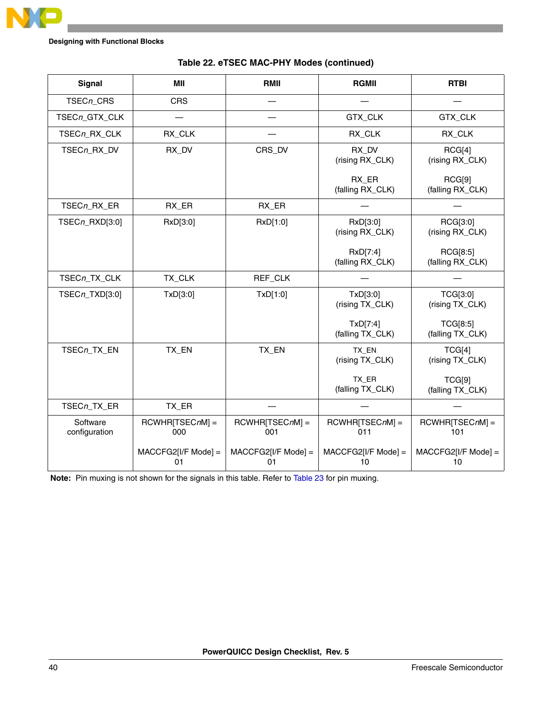

| <b>Signal</b>             | MII                          | RMII                         | <b>RGMII</b>                 | <b>RTBI</b>                         |
|---------------------------|------------------------------|------------------------------|------------------------------|-------------------------------------|
| TSECn_CRS                 | <b>CRS</b>                   |                              |                              |                                     |
| TSECn_GTX_CLK             |                              |                              | GTX_CLK                      | GTX_CLK                             |
| TSECn_RX_CLK              | RX_CLK                       |                              | RX_CLK                       | RX_CLK                              |
| TSECn_RX_DV               | RX_DV                        | CRS_DV                       | RX DV<br>(rising RX_CLK)     | RCG[4]<br>(rising RX_CLK)           |
|                           |                              |                              | RX ER<br>(falling RX_CLK)    | RCG[9]<br>(falling RX_CLK)          |
| TSECn_RX_ER               | RX_ER                        | RX_ER                        |                              |                                     |
| TSECn_RXD[3:0]            | RxD[3:0]                     | RxD[1:0]                     | RxD[3:0]<br>(rising RX_CLK)  | RCG[3:0]<br>(rising RX_CLK)         |
|                           |                              |                              | RxD[7:4]<br>(falling RX_CLK) | RCG[8:5]<br>(falling RX_CLK)        |
| TSECn_TX_CLK              | TX_CLK                       | REF_CLK                      |                              |                                     |
| TSECn_TXD[3:0]            | TxD[3:0]                     | TxD[1:0]                     | TxD[3:0]<br>(rising TX_CLK)  | <b>TCG[3:0]</b><br>(rising TX_CLK)  |
|                           |                              |                              | TxD[7:4]<br>(falling TX_CLK) | <b>TCG[8:5]</b><br>(falling TX_CLK) |
| TSECn_TX_EN               | TX_EN                        | TX_EN                        | TX_EN<br>(rising TX_CLK)     | TCG[4]<br>(rising TX_CLK)           |
|                           |                              |                              | TX_ER<br>(falling TX_CLK)    | TCG[9]<br>(falling TX_CLK)          |
| TSECn_TX_ER               | TX_ER                        |                              |                              |                                     |
| Software<br>configuration | $RCWHR[TSECnM] =$<br>000     | $RCWHR[TSECnM] =$<br>001     | $RCWHR[TSECnM] =$<br>011     | RCWHR[TSECnM] =<br>101              |
|                           | $MACCFG2[I/F Model] =$<br>01 | $MACCFG2[I/F Model] =$<br>01 | $MACCFG2[I/F Model] =$<br>10 | $MACCFG2[I/F Model] =$<br>10        |

#### **Table 22. eTSEC MAC-PHY Modes (continued)**

**Note:** Pin muxing is not shown for the signals in this table. Refer to [Table 23](#page-40-0) for pin muxing.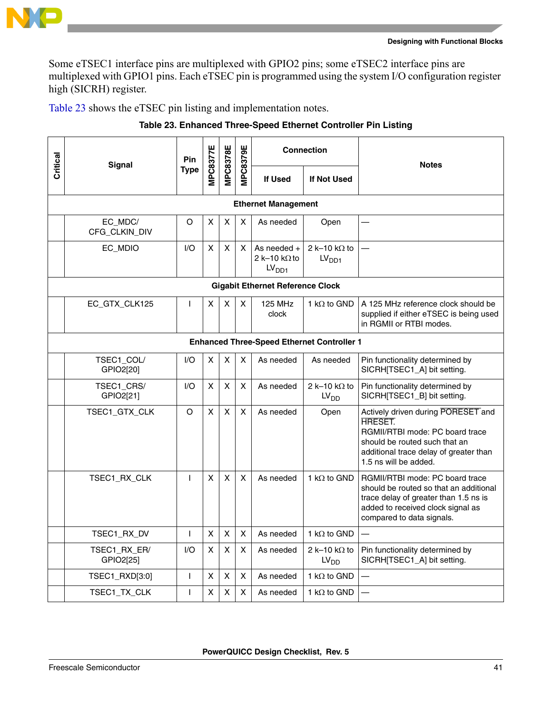

Some eTSEC1 interface pins are multiplexed with GPIO2 pins; some eTSEC2 interface pins are multiplexed with GPIO1 pins. Each eTSEC pin is programmed using the system I/O configuration register high (SICRH) register.

<span id="page-40-0"></span>[Table 23](#page-40-0) shows the eTSEC pin listing and implementation notes.

| Critical                                          | <b>Signal</b>             | Pin          | MPC8377E           | <b>MPC8378E</b>    | <b>MPC8379E</b>         |                                                            | <b>Connection</b>                         | <b>Notes</b>                                                                                                                                                                                |  |  |  |  |
|---------------------------------------------------|---------------------------|--------------|--------------------|--------------------|-------------------------|------------------------------------------------------------|-------------------------------------------|---------------------------------------------------------------------------------------------------------------------------------------------------------------------------------------------|--|--|--|--|
|                                                   |                           | <b>Type</b>  |                    |                    |                         | <b>If Used</b>                                             | If Not Used                               |                                                                                                                                                                                             |  |  |  |  |
|                                                   |                           |              |                    |                    |                         | <b>Ethernet Management</b>                                 |                                           |                                                                                                                                                                                             |  |  |  |  |
|                                                   | EC_MDC/<br>CFG_CLKIN_DIV  | O            | х                  | X                  | X                       | As needed                                                  | Open                                      |                                                                                                                                                                                             |  |  |  |  |
|                                                   | EC_MDIO                   | 1/O          | X                  | X                  | X                       | As needed $+$<br>2 k-10 k $\Omega$ to<br>LV <sub>DD1</sub> | 2 k-10 k $\Omega$ to<br>LV <sub>DD1</sub> |                                                                                                                                                                                             |  |  |  |  |
|                                                   |                           |              |                    |                    |                         | <b>Gigabit Ethernet Reference Clock</b>                    |                                           |                                                                                                                                                                                             |  |  |  |  |
|                                                   | EC_GTX_CLK125             | $\mathbf{I}$ | X                  | X                  | $\overline{\mathsf{x}}$ | <b>125 MHz</b><br>clock                                    | 1 k $\Omega$ to GND                       | A 125 MHz reference clock should be<br>supplied if either eTSEC is being used<br>in RGMII or RTBI modes.                                                                                    |  |  |  |  |
| <b>Enhanced Three-Speed Ethernet Controller 1</b> |                           |              |                    |                    |                         |                                                            |                                           |                                                                                                                                                                                             |  |  |  |  |
|                                                   | TSEC1_COL/<br>GPIO2[20]   | 1/O          | X                  | X                  | X                       | As needed                                                  | As needed                                 | Pin functionality determined by<br>SICRH[TSEC1_A] bit setting.                                                                                                                              |  |  |  |  |
|                                                   | TSEC1_CRS/<br>GPIO2[21]   | I/O          | X                  | X                  | X                       | As needed                                                  | 2 k-10 k $\Omega$ to<br>LV <sub>DD</sub>  | Pin functionality determined by<br>SICRH[TSEC1_B] bit setting.                                                                                                                              |  |  |  |  |
|                                                   | TSEC1_GTX_CLK             | O            | $\mathsf{X}$       | X                  | X                       | As needed                                                  | Open                                      | Actively driven during PORESET and<br><b>HRESET.</b><br>RGMII/RTBI mode: PC board trace<br>should be routed such that an<br>additional trace delay of greater than<br>1.5 ns will be added. |  |  |  |  |
|                                                   | TSEC1_RX_CLK              | L            | X                  | X                  | X                       | As needed                                                  | 1 k $\Omega$ to GND                       | RGMII/RTBI mode: PC board trace<br>should be routed so that an additional<br>trace delay of greater than 1.5 ns is<br>added to received clock signal as<br>compared to data signals.        |  |  |  |  |
|                                                   | TSEC1_RX_DV               | $\mathbf{I}$ | X                  | X                  | X                       | As needed                                                  | 1 k $\Omega$ to GND                       |                                                                                                                                                                                             |  |  |  |  |
|                                                   | TSEC1_RX_ER/<br>GPIO2[25] | 1/O          | X                  | X                  | $\pmb{\mathsf{X}}$      | As needed                                                  | 2 k-10 k $\Omega$ to<br>LV <sub>DD</sub>  | Pin functionality determined by<br>SICRH[TSEC1_A] bit setting.                                                                                                                              |  |  |  |  |
|                                                   | TSEC1_RXD[3:0]            | $\mathbf{I}$ | X                  | $\pmb{\mathsf{X}}$ | X                       | As needed                                                  | 1 k $\Omega$ to GND                       |                                                                                                                                                                                             |  |  |  |  |
|                                                   | TSEC1_TX_CLK              | L            | $\pmb{\mathsf{X}}$ | X                  | X                       | As needed                                                  | 1 k $\Omega$ to GND                       |                                                                                                                                                                                             |  |  |  |  |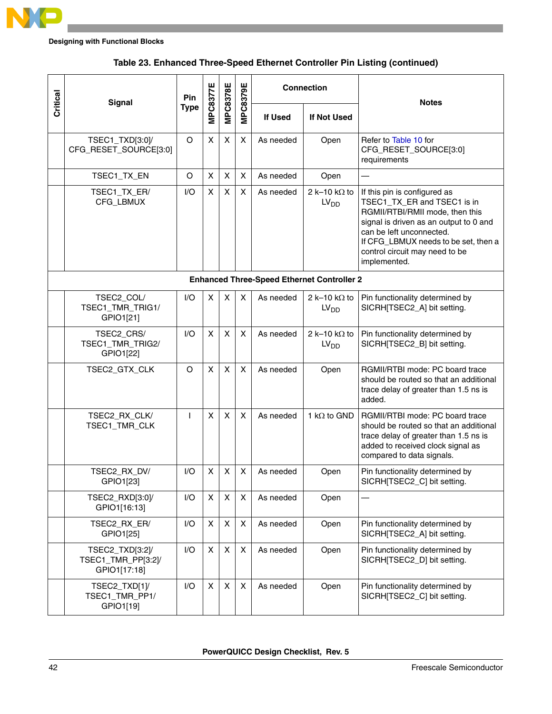

| Critical                                          | <b>Signal</b>                                         | Pin          | MPC8377E       | <b>MPC8378E</b> | <b>MPC8379E</b>           |           | <b>Connection</b>                        | <b>Notes</b>                                                                                                                                                                                                                                                   |  |  |  |  |  |
|---------------------------------------------------|-------------------------------------------------------|--------------|----------------|-----------------|---------------------------|-----------|------------------------------------------|----------------------------------------------------------------------------------------------------------------------------------------------------------------------------------------------------------------------------------------------------------------|--|--|--|--|--|
|                                                   |                                                       | <b>Type</b>  |                |                 |                           | If Used   | If Not Used                              |                                                                                                                                                                                                                                                                |  |  |  |  |  |
|                                                   | TSEC1_TXD[3:0]/<br>CFG_RESET_SOURCE[3:0]              | O            | $\mathsf{x}$   | X               | $\boldsymbol{\mathsf{X}}$ | As needed | Open                                     | Refer to Table 10 for<br>CFG_RESET_SOURCE[3:0]<br>requirements                                                                                                                                                                                                 |  |  |  |  |  |
|                                                   | TSEC1_TX_EN                                           | O            | X              | X               | $\pmb{\times}$            | As needed | Open                                     |                                                                                                                                                                                                                                                                |  |  |  |  |  |
|                                                   | TSEC1_TX_ER/<br>CFG_LBMUX                             | 1/O          | X              | X               | $\pmb{\times}$            | As needed | 2 k-10 k $\Omega$ to<br>LV <sub>DD</sub> | If this pin is configured as<br>TSEC1_TX_ER and TSEC1 is in<br>RGMII/RTBI/RMII mode, then this<br>signal is driven as an output to 0 and<br>can be left unconnected.<br>If CFG_LBMUX needs to be set, then a<br>control circuit may need to be<br>implemented. |  |  |  |  |  |
| <b>Enhanced Three-Speed Ethernet Controller 2</b> |                                                       |              |                |                 |                           |           |                                          |                                                                                                                                                                                                                                                                |  |  |  |  |  |
|                                                   | TSEC2_COL/<br>TSEC1_TMR_TRIG1/<br>GPIO1[21]           | I/O          | X              | X               | X                         | As needed | 2 k-10 k $\Omega$ to<br>LV <sub>DD</sub> | Pin functionality determined by<br>SICRH[TSEC2_A] bit setting.                                                                                                                                                                                                 |  |  |  |  |  |
|                                                   | TSEC2_CRS/<br>TSEC1_TMR_TRIG2/<br>GPIO1[22]           | I/O          | X              | X               | X                         | As needed | 2 k-10 k $\Omega$ to<br>LV <sub>DD</sub> | Pin functionality determined by<br>SICRH[TSEC2_B] bit setting.                                                                                                                                                                                                 |  |  |  |  |  |
|                                                   | TSEC2_GTX_CLK                                         | O            | X              | X               | $\boldsymbol{\mathsf{X}}$ | As needed | Open                                     | RGMII/RTBI mode: PC board trace<br>should be routed so that an additional<br>trace delay of greater than 1.5 ns is<br>added.                                                                                                                                   |  |  |  |  |  |
|                                                   | TSEC2_RX_CLK/<br>TSEC1_TMR_CLK                        | $\mathbf{I}$ | $\mathsf{x}$   | X               | X                         | As needed | 1 k $\Omega$ to GND                      | RGMII/RTBI mode: PC board trace<br>should be routed so that an additional<br>trace delay of greater than 1.5 ns is<br>added to received clock signal as<br>compared to data signals.                                                                           |  |  |  |  |  |
|                                                   | TSEC2 RX DV/<br>GPIO1[23]                             | I/O          | X              | X               | X                         | As needed | Open                                     | Pin functionality determined by<br>SICRH[TSEC2_C] bit setting.                                                                                                                                                                                                 |  |  |  |  |  |
|                                                   | TSEC2_RXD[3:0]/<br>GPIO1[16:13]                       | I/O          | $\pmb{\times}$ | X               | $\boldsymbol{\mathsf{X}}$ | As needed | Open                                     |                                                                                                                                                                                                                                                                |  |  |  |  |  |
|                                                   | TSEC2_RX_ER/<br>GPIO1[25]                             | I/O          | X              | X               | $\pmb{\times}$            | As needed | Open                                     | Pin functionality determined by<br>SICRH[TSEC2_A] bit setting.                                                                                                                                                                                                 |  |  |  |  |  |
|                                                   | TSEC2_TXD[3:2]/<br>TSEC1_TMR_PP[3:2]/<br>GPIO1[17:18] | I/O          | X              | X               | $\pmb{\times}$            | As needed | Open                                     | Pin functionality determined by<br>SICRH[TSEC2_D] bit setting.                                                                                                                                                                                                 |  |  |  |  |  |
|                                                   | TSEC2_TXD[1]/<br>TSEC1_TMR_PP1/<br>GPIO1[19]          | I/O          | X              | X               | $\pmb{\times}$            | As needed | Open                                     | Pin functionality determined by<br>SICRH[TSEC2_C] bit setting.                                                                                                                                                                                                 |  |  |  |  |  |

#### **Table 23. Enhanced Three-Speed Ethernet Controller Pin Listing (continued)**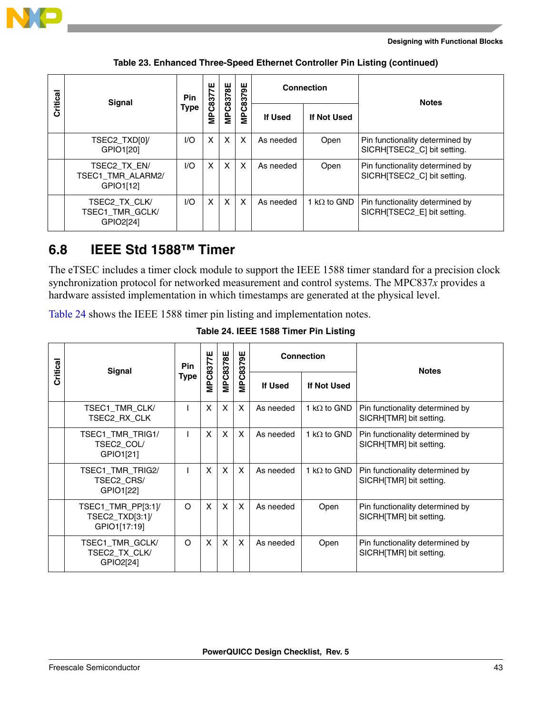

| Critical | Signal                                               | Pin  | ш<br>C837 | MPC8378E | MPC8379E |                | <b>Connection</b>   | <b>Notes</b>                                                   |
|----------|------------------------------------------------------|------|-----------|----------|----------|----------------|---------------------|----------------------------------------------------------------|
|          |                                                      | Type | Ě         |          |          | <b>If Used</b> | <b>If Not Used</b>  |                                                                |
|          | TSEC2_TXD[0]/<br>GPIO1[20]                           | 1/O  | X         | X        | X        | As needed      | Open                | Pin functionality determined by<br>SICRH TSEC2_C] bit setting. |
|          | TSEC2 TX EN/<br>TSEC1 TMR ALARM2/<br>GPIO1[12]       | I/O  | X         | X        | X        | As needed      | Open                | Pin functionality determined by<br>SICRH TSEC2_C] bit setting. |
|          | TSEC2 TX CLK/<br><b>TSEC1 TMR GCLK/</b><br>GPIO2[24] | I/O  | X         | X        | X        | As needed      | 1 k $\Omega$ to GND | Pin functionality determined by<br>SICRH[TSEC2_E] bit setting. |

**Table 23. Enhanced Three-Speed Ethernet Controller Pin Listing (continued)**

### <span id="page-42-0"></span>**6.8 IEEE Std 1588™ Timer**

The eTSEC includes a timer clock module to support the IEEE 1588 timer standard for a precision clock synchronization protocol for networked measurement and control systems. The MPC837*x* provides a hardware assisted implementation in which timestamps are generated at the physical level.

<span id="page-42-1"></span>[Table 24](#page-42-1) shows the IEEE 1588 timer pin listing and implementation notes.

| Critical | <b>Signal</b>                                         | <b>Pin</b> | <b>MPC8377E</b> | <b>MPC8378E</b>           | <b>MPC8379E</b> | <b>Connection</b> |                     | <b>Notes</b>                                               |
|----------|-------------------------------------------------------|------------|-----------------|---------------------------|-----------------|-------------------|---------------------|------------------------------------------------------------|
|          |                                                       | Type       |                 |                           |                 | If Used           | If Not Used         |                                                            |
|          | TSEC1 TMR CLK/<br>TSEC2 RX CLK                        |            | X               | $\boldsymbol{\mathsf{x}}$ | X               | As needed         | 1 k $\Omega$ to GND | Pin functionality determined by<br>SICRH[TMR] bit setting. |
|          | <b>TSEC1 TMR TRIG1/</b><br>TSEC2 COL/<br>GPIO1[21]    |            | X               | $\boldsymbol{\mathsf{x}}$ | $\mathsf{x}$    | As needed         | 1 k $\Omega$ to GND | Pin functionality determined by<br>SICRH[TMR] bit setting. |
|          | TSEC1_TMR_TRIG2/<br>TSEC2 CRS/<br>GPIO1[22]           |            | X               | X                         | X               | As needed         | 1 k $\Omega$ to GND | Pin functionality determined by<br>SICRHITMR] bit setting. |
|          | TSEC1_TMR_PP[3:1]/<br>TSEC2_TXD[3:1]/<br>GPIO1[17:19] | $\circ$    | X               | $\boldsymbol{\mathsf{x}}$ | X               | As needed         | Open                | Pin functionality determined by<br>SICRHITMR] bit setting. |
|          | TSEC1_TMR_GCLK/<br>TSEC2 TX CLK/<br>GPIO2[24]         | $\circ$    | X               | $\boldsymbol{\mathsf{x}}$ | X               | As needed         | Open                | Pin functionality determined by<br>SICRHITMRI bit setting. |

**Table 24. IEEE 1588 Timer Pin Listing**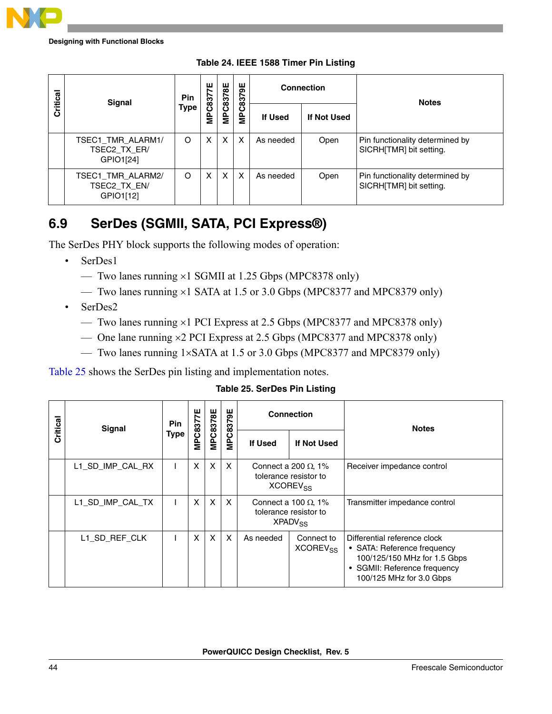

| Critical | <b>Signal</b>                                  | Pin         | ш              |   |                      |           | Connection  | <b>Notes</b>                                               |  |
|----------|------------------------------------------------|-------------|----------------|---|----------------------|-----------|-------------|------------------------------------------------------------|--|
|          |                                                | <b>Type</b> | <b>MPC8377</b> |   | MPC8378E<br>MPC8379E | If Used   | If Not Used |                                                            |  |
|          | TSEC1_TMR_ALARM1/<br>TSEC2 TX ER/<br>GPIO1[24] | O           | X              | X | X                    | As needed | Open        | Pin functionality determined by<br>SICRH[TMR] bit setting. |  |
|          | TSEC1_TMR_ALARM2/<br>TSEC2_TX_EN/<br>GPIO1[12] | O           | X              | X | X                    | As needed | Open        | Pin functionality determined by<br>SICRH[TMR] bit setting. |  |

**Table 24. IEEE 1588 Timer Pin Listing**

### <span id="page-43-0"></span>**6.9 SerDes (SGMII, SATA, PCI Express®)**

The SerDes PHY block supports the following modes of operation:

- SerDes1
	- Two lanes running ×1 SGMII at 1.25 Gbps (MPC8378 only)
	- Two lanes running ×1 SATA at 1.5 or 3.0 Gbps (MPC8377 and MPC8379 only)
- SerDes2
	- Two lanes running ×1 PCI Express at 2.5 Gbps (MPC8377 and MPC8378 only)
	- One lane running ×2 PCI Express at 2.5 Gbps (MPC8377 and MPC8378 only)
	- Two lanes running 1×SATA at 1.5 or 3.0 Gbps (MPC8377 and MPC8379 only)

[Table 25](#page-43-1) shows the SerDes pin listing and implementation notes.

**Table 25. SerDes Pin Listing**

<span id="page-43-1"></span>

| Critical | <b>Signal</b>    | <b>Pin</b> | MPC8377E | <b>MPC8378E</b>           | MPC8379E     |                                                                                    | <b>Connection</b>                  | <b>Notes</b>                                                                                                                                            |  |
|----------|------------------|------------|----------|---------------------------|--------------|------------------------------------------------------------------------------------|------------------------------------|---------------------------------------------------------------------------------------------------------------------------------------------------------|--|
|          |                  | Type       |          |                           |              | <b>If Used</b>                                                                     | If Not Used                        |                                                                                                                                                         |  |
|          | L1_SD_IMP_CAL_RX |            | X        | X                         | $\mathsf{X}$ | Connect a 200 $\Omega$ , 1%<br>tolerance resistor to<br><b>XCOREV<sub>SS</sub></b> |                                    | Receiver impedance control                                                                                                                              |  |
|          | L1 SD IMP CAL TX |            | X        | $\boldsymbol{\mathsf{X}}$ | $\times$     | Connect a 100 $\Omega$ , 1%<br>tolerance resistor to<br>XPADV <sub>SS</sub>        |                                    | Transmitter impedance control                                                                                                                           |  |
|          | L1_SD_REF_CLK    |            | X        | $\boldsymbol{\mathsf{X}}$ | X            | As needed                                                                          | Connect to<br>XCOREV <sub>SS</sub> | Differential reference clock<br>• SATA: Reference frequency<br>100/125/150 MHz for 1.5 Gbps<br>• SGMII: Reference frequency<br>100/125 MHz for 3.0 Gbps |  |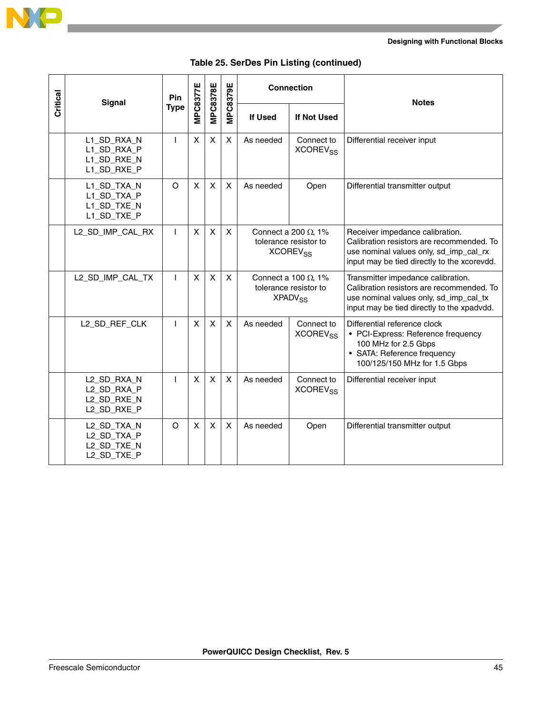

|          | <b>Signal</b>                                            | Pin          |          | <b>MPC8378E</b> |                           | <b>Connection</b>                                                                  |                                          | <b>Notes</b>                                                                                                                                                            |
|----------|----------------------------------------------------------|--------------|----------|-----------------|---------------------------|------------------------------------------------------------------------------------|------------------------------------------|-------------------------------------------------------------------------------------------------------------------------------------------------------------------------|
| Critical |                                                          | <b>Type</b>  | MPC8377E |                 | <b>MPC8379E</b>           | <b>If Used</b>                                                                     | <b>If Not Used</b>                       |                                                                                                                                                                         |
|          | L1_SD_RXA_N<br>L1_SD_RXA_P<br>L1_SD_RXE_N<br>L1_SD_RXE_P | $\mathsf{I}$ | X        | $\pmb{\times}$  | $\mathsf{X}$              | As needed                                                                          | Connect to<br><b>XCOREV<sub>SS</sub></b> | Differential receiver input                                                                                                                                             |
|          | L1_SD_TXA_N<br>L1_SD_TXA_P<br>L1_SD_TXE_N<br>L1_SD_TXE_P | $\circ$      | X        | X               | $\mathsf{X}$              | As needed<br>Open                                                                  |                                          | Differential transmitter output                                                                                                                                         |
|          | L2_SD_IMP_CAL_RX                                         | L            | X        | X               | $\mathsf{X}$              | Connect a 200 $\Omega$ , 1%<br>tolerance resistor to<br><b>XCOREV<sub>SS</sub></b> |                                          | Receiver impedance calibration.<br>Calibration resistors are recommended. To<br>use nominal values only, sd_imp_cal_rx<br>input may be tied directly to the xcorevdd.   |
|          | L2_SD_IMP_CAL_TX                                         | $\mathbf{I}$ | X        | X               | $\mathsf{X}$              | Connect a 100 $\Omega$ , 1%<br>tolerance resistor to<br><b>XPADV<sub>SS</sub></b>  |                                          | Transmitter impedance calibration.<br>Calibration resistors are recommended. To<br>use nominal values only, sd_imp_cal_tx<br>input may be tied directly to the xpadvdd. |
|          | L2_SD_REF_CLK                                            | $\mathbf{I}$ | X        | $\pmb{\times}$  | $\mathsf{X}$              | As needed<br>Connect to<br>XCOREV <sub>SS</sub>                                    |                                          | Differential reference clock<br>• PCI-Express: Reference frequency<br>100 MHz for 2.5 Gbps<br>• SATA: Reference frequency<br>100/125/150 MHz for 1.5 Gbps               |
|          | L2 SD RXA N<br>L2_SD_RXA_P<br>L2_SD_RXE_N<br>L2_SD_RXE_P | $\mathbf{I}$ | X        | $\pmb{\times}$  | $\boldsymbol{\mathsf{X}}$ | As needed                                                                          | Connect to<br><b>XCOREV<sub>SS</sub></b> | Differential receiver input                                                                                                                                             |
|          | L2_SD_TXA_N<br>L2_SD_TXA_P<br>L2_SD_TXE_N<br>L2_SD_TXE_P | $\circ$      | X        | $\mathsf{x}$    | $\mathsf{X}$              | As needed                                                                          | Open                                     | Differential transmitter output                                                                                                                                         |

#### **Table 25. SerDes Pin Listing (continued)**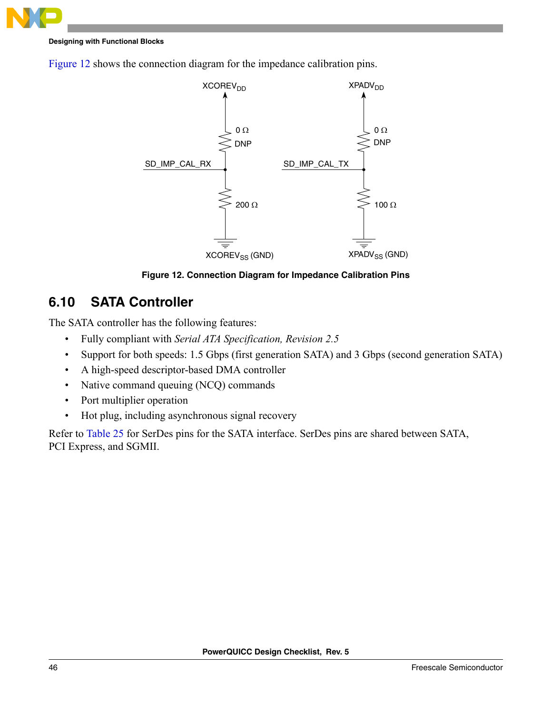





**Figure 12. Connection Diagram for Impedance Calibration Pins**

### <span id="page-45-1"></span><span id="page-45-0"></span>**6.10 SATA Controller**

The SATA controller has the following features:

- Fully compliant with *Serial ATA Specification, Revision 2.5*
- Support for both speeds: 1.5 Gbps (first generation SATA) and 3 Gbps (second generation SATA)
- A high-speed descriptor-based DMA controller
- Native command queuing (NCQ) commands
- Port multiplier operation
- Hot plug, including asynchronous signal recovery

Refer to [Table 25](#page-43-1) for SerDes pins for the SATA interface. SerDes pins are shared between SATA, PCI Express, and SGMII.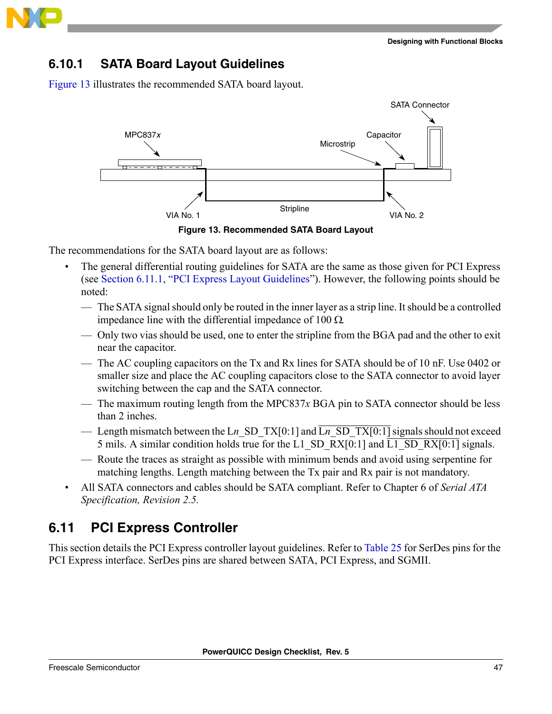

#### **6.10.1 SATA Board Layout Guidelines**

[Figure 13](#page-46-1) illustrates the recommended SATA board layout.



<span id="page-46-1"></span>The recommendations for the SATA board layout are as follows:

- The general differential routing guidelines for SATA are the same as those given for PCI Express (see [Section 6.11.1, "PCI Express Layout Guidelines"](#page-47-0)). However, the following points should be noted:
	- The SATA signal should only be routed in the inner layer as a strip line. It should be a controlled impedance line with the differential impedance of 100 Ω.
	- Only two vias should be used, one to enter the stripline from the BGA pad and the other to exit near the capacitor.
	- The AC coupling capacitors on the Tx and Rx lines for SATA should be of 10 nF. Use 0402 or smaller size and place the AC coupling capacitors close to the SATA connector to avoid layer switching between the cap and the SATA connector.
	- The maximum routing length from the MPC837 $x$  BGA pin to SATA connector should be less than 2 inches.
	- Length mismatch between the Ln SD TX[0:1] and  $\overline{L_n}$  SD TX[0:1] signals should not exceed 5 mils. A similar condition holds true for the L1\_SD\_RX[0:1] and  $\overline{L1}$ \_SD\_RX[0:1] signals.
	- Route the traces as straight as possible with minimum bends and avoid using serpentine for matching lengths. Length matching between the Tx pair and Rx pair is not mandatory.
- All SATA connectors and cables should be SATA compliant. Refer to Chapter 6 of *Serial ATA Specification, Revision 2.5.*

### <span id="page-46-0"></span>**6.11 PCI Express Controller**

This section details the PCI Express controller layout guidelines. Refer to [Table 25](#page-43-1) for SerDes pins for the PCI Express interface. SerDes pins are shared between SATA, PCI Express, and SGMII.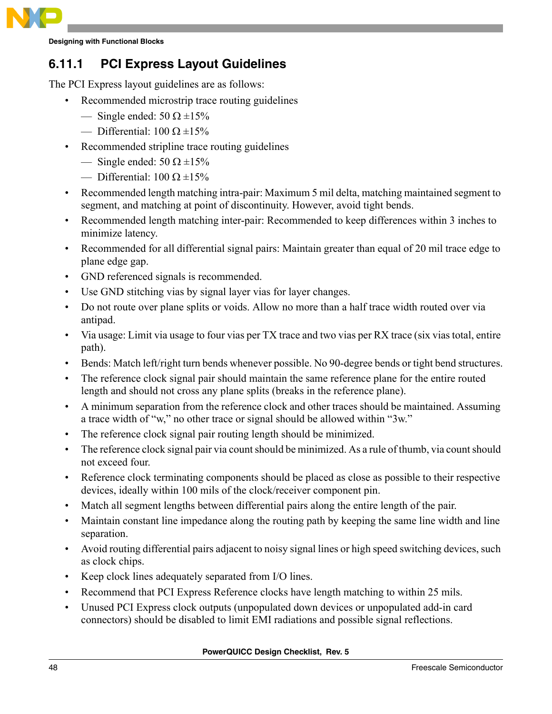

### <span id="page-47-0"></span>**6.11.1 PCI Express Layout Guidelines**

The PCI Express layout guidelines are as follows:

- Recommended microstrip trace routing guidelines
	- Single ended:  $50 \Omega \pm 15\%$
	- Differential: 100 Ω  $\pm$ 15%
- Recommended stripline trace routing guidelines
	- Single ended:  $50 \Omega \pm 15\%$
	- Differential: 100 Ω  $\pm$ 15%
- Recommended length matching intra-pair: Maximum 5 mil delta, matching maintained segment to segment, and matching at point of discontinuity. However, avoid tight bends.
- Recommended length matching inter-pair: Recommended to keep differences within 3 inches to minimize latency.
- Recommended for all differential signal pairs: Maintain greater than equal of 20 mil trace edge to plane edge gap.
- GND referenced signals is recommended.
- Use GND stitching vias by signal layer vias for layer changes.
- Do not route over plane splits or voids. Allow no more than a half trace width routed over via antipad.
- Via usage: Limit via usage to four vias per TX trace and two vias per RX trace (six vias total, entire path).
- Bends: Match left/right turn bends whenever possible. No 90-degree bends or tight bend structures.
- The reference clock signal pair should maintain the same reference plane for the entire routed length and should not cross any plane splits (breaks in the reference plane).
- A minimum separation from the reference clock and other traces should be maintained. Assuming a trace width of "w," no other trace or signal should be allowed within "3w."
- The reference clock signal pair routing length should be minimized.
- The reference clock signal pair via count should be minimized. As a rule of thumb, via count should not exceed four.
- Reference clock terminating components should be placed as close as possible to their respective devices, ideally within 100 mils of the clock/receiver component pin.
- Match all segment lengths between differential pairs along the entire length of the pair.
- Maintain constant line impedance along the routing path by keeping the same line width and line separation.
- Avoid routing differential pairs adjacent to noisy signal lines or high speed switching devices, such as clock chips.
- Keep clock lines adequately separated from I/O lines.
- Recommend that PCI Express Reference clocks have length matching to within 25 mils.
- Unused PCI Express clock outputs (unpopulated down devices or unpopulated add-in card connectors) should be disabled to limit EMI radiations and possible signal reflections.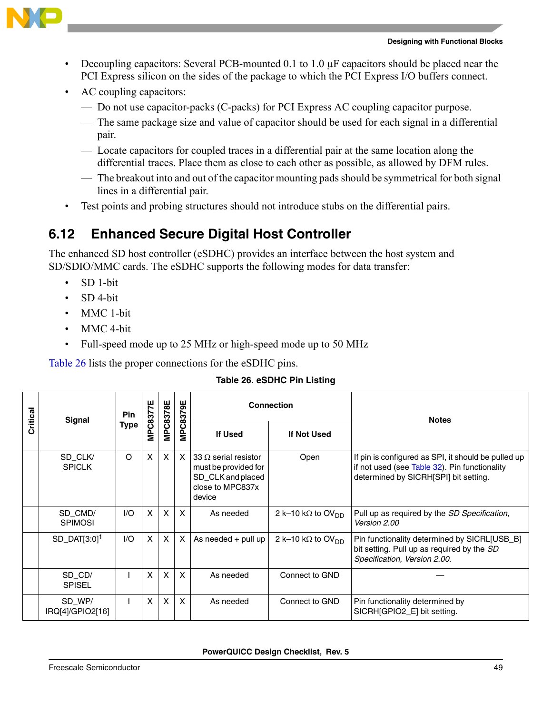

- Decoupling capacitors: Several PCB-mounted 0.1 to 1.0 µF capacitors should be placed near the PCI Express silicon on the sides of the package to which the PCI Express I/O buffers connect.
- AC coupling capacitors:
	- Do not use capacitor-packs (C-packs) for PCI Express AC coupling capacitor purpose.
	- The same package size and value of capacitor should be used for each signal in a differential pair.
	- Locate capacitors for coupled traces in a differential pair at the same location along the differential traces. Place them as close to each other as possible, as allowed by DFM rules.
	- The breakout into and out of the capacitor mounting pads should be symmetrical for both signal lines in a differential pair.
- Test points and probing structures should not introduce stubs on the differential pairs.

### <span id="page-48-0"></span>**6.12 Enhanced Secure Digital Host Controller**

The enhanced SD host controller (eSDHC) provides an interface between the host system and SD/SDIO/MMC cards. The eSDHC supports the following modes for data transfer:

- SD 1-bit
- SD 4-bit
- MMC 1-bit
- MMC 4-bit
- Full-speed mode up to 25 MHz or high-speed mode up to 50 MHz

[Table 26](#page-48-1) lists the proper connections for the eSDHC pins.

<span id="page-48-1"></span>

|          | <b>Signal</b>                 | <b>Pin</b> | MPC8377E | <b>MPC8378E</b>           | ₩                         |                                                                                                         | <b>Connection</b>             | <b>Notes</b>                                                                                                                                  |
|----------|-------------------------------|------------|----------|---------------------------|---------------------------|---------------------------------------------------------------------------------------------------------|-------------------------------|-----------------------------------------------------------------------------------------------------------------------------------------------|
| Critical |                               | Type       |          |                           | PC837<br>Ξ                | <b>If Used</b>                                                                                          | If Not Used                   |                                                                                                                                               |
|          | SD_CLK/<br><b>SPICLK</b>      | $\circ$    | X        | $\boldsymbol{\mathsf{x}}$ | $\times$                  | $133 \Omega$ serial resistor<br>must be provided for<br>SD_CLK and placed<br>close to MPC837x<br>device | Open                          | If pin is configured as SPI, it should be pulled up<br>if not used (see Table 32). Pin functionality<br>determined by SICRH[SPI] bit setting. |
|          | SD_CMD/<br><b>SPIMOSI</b>     | 1/O        | X        | $\mathsf{X}$              | $\boldsymbol{\mathsf{x}}$ | As needed                                                                                               | 2 k-10 kΩ to OV <sub>DD</sub> | Pull up as required by the SD Specification,<br>Version 2.00                                                                                  |
|          | $SD$ DAT $[3:0]$ <sup>1</sup> | 1/O        | $\times$ | $\mathsf{x}$              | $\times$                  | As needed $+$ pull up                                                                                   | 2 k-10 kΩ to OV <sub>DD</sub> | Pin functionality determined by SICRL[USB_B]<br>bit setting. Pull up as required by the SD<br>Specification, Version 2.00.                    |
|          | SD CD/<br><b>SPISEL</b>       |            | X        | $\boldsymbol{\mathsf{X}}$ | $\times$                  | As needed                                                                                               | Connect to GND                |                                                                                                                                               |
|          | SD_WP/<br>IRQ[4]/GPIO2[16]    |            | X        | $\mathsf{x}$              | $\boldsymbol{\mathsf{x}}$ | As needed                                                                                               | Connect to GND                | Pin functionality determined by<br>SICRHIGPIO2 El bit setting.                                                                                |

#### **Table 26. eSDHC Pin Listing**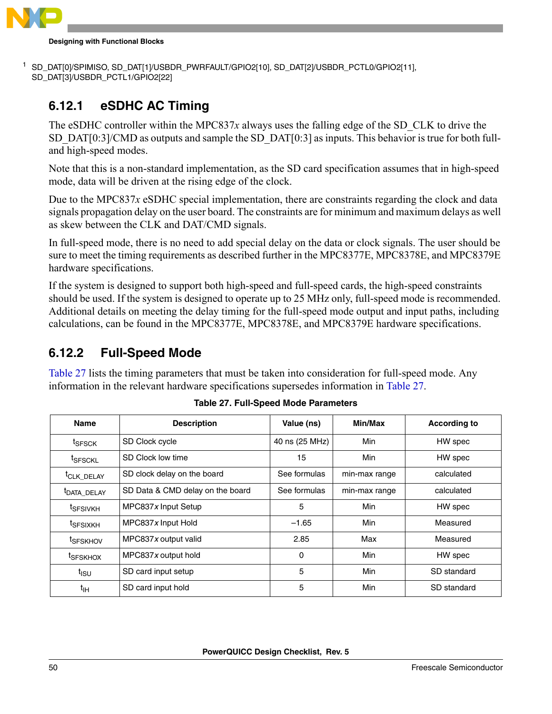

```
<sup>1</sup> SD_DAT[0]/SPIMISO, SD_DAT[1]/USBDR_PWRFAULT/GPIO2[10], SD_DAT[2]/USBDR_PCTL0/GPIO2[11],
SD_DAT[3]/USBDR_PCTL1/GPIO2[22]
```
### **6.12.1 eSDHC AC Timing**

The eSDHC controller within the MPC837*x* always uses the falling edge of the SD\_CLK to drive the SD\_DAT[0:3]/CMD as outputs and sample the SD\_DAT[0:3] as inputs. This behavior is true for both fulland high-speed modes.

Note that this is a non-standard implementation, as the SD card specification assumes that in high-speed mode, data will be driven at the rising edge of the clock.

Due to the MPC837*x* eSDHC special implementation, there are constraints regarding the clock and data signals propagation delay on the user board. The constraints are for minimum and maximum delays as well as skew between the CLK and DAT/CMD signals.

In full-speed mode, there is no need to add special delay on the data or clock signals. The user should be sure to meet the timing requirements as described further in the MPC8377E, MPC8378E, and MPC8379E hardware specifications.

If the system is designed to support both high-speed and full-speed cards, the high-speed constraints should be used. If the system is designed to operate up to 25 MHz only, full-speed mode is recommended. Additional details on meeting the delay timing for the full-speed mode output and input paths, including calculations, can be found in the MPC8377E, MPC8378E, and MPC8379E hardware specifications.

### **6.12.2 Full-Speed Mode**

[Table 27](#page-49-0) lists the timing parameters that must be taken into consideration for full-speed mode. Any information in the relevant hardware specifications supersedes information in [Table 27](#page-49-0).

<span id="page-49-0"></span>

| <b>Name</b>             | <b>Description</b>               | Value (ns)     | Min/Max       | <b>According to</b> |
|-------------------------|----------------------------------|----------------|---------------|---------------------|
| <sup>t</sup> SFSCK      | SD Clock cycle                   | 40 ns (25 MHz) | Min           | HW spec             |
| <sup>t</sup> SFSCKL     | SD Clock low time                | 15             | Min           | HW spec             |
| <sup>t</sup> CLK_DELAY  | SD clock delay on the board      | See formulas   | min-max range | calculated          |
| <sup>t</sup> DATA_DELAY | SD Data & CMD delay on the board | See formulas   | min-max range | calculated          |
| <sup>t</sup> SFSIVKH    | MPC837 $x$ Input Setup           | 5              | <b>Min</b>    | HW spec             |
| <sup>t</sup> SFSIXKH    | MPC837x Input Hold               | $-1.65$        | Min           | Measured            |
| <sup>t</sup> SFSKHOV    | MPC837 $x$ output valid          | 2.85           | Max           | Measured            |
| <sup>t</sup> SFSKHOX    | MPC837x output hold              | $\mathbf{0}$   | Min           | HW spec             |
| t <sub>isu</sub>        | SD card input setup              | 5              | Min           | SD standard         |
| t <sub>IН</sub>         | SD card input hold               | 5              | Min           | SD standard         |

**Table 27. Full-Speed Mode Parameters**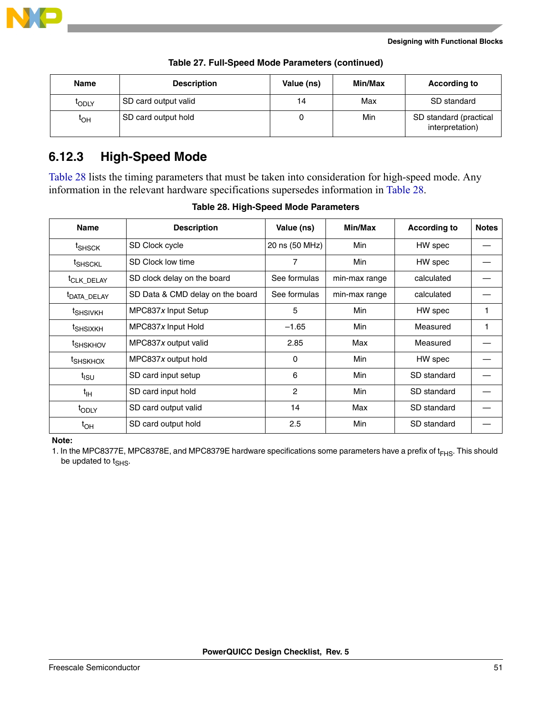

| <b>Name</b>       | <b>Description</b>   | Value (ns) | Min/Max | <b>According to</b>                       |
|-------------------|----------------------|------------|---------|-------------------------------------------|
| <sup>I</sup> ODLY | SD card output valid | 14         | Max     | SD standard                               |
| tон               | SD card output hold  |            | Min     | SD standard (practical<br>interpretation) |

**Table 27. Full-Speed Mode Parameters (continued)**

#### **6.12.3 High-Speed Mode**

[Table 28](#page-50-0) lists the timing parameters that must be taken into consideration for high-speed mode. Any information in the relevant hardware specifications supersedes information in [Table 28](#page-50-0).

<span id="page-50-0"></span>

| <b>Name</b>             | <b>Description</b>               | Value (ns)     | Min/Max       | <b>According to</b> | <b>Notes</b> |
|-------------------------|----------------------------------|----------------|---------------|---------------------|--------------|
| t <sub>SHSCK</sub>      | SD Clock cycle                   | 20 ns (50 MHz) | Min           | HW spec             |              |
| <sup>t</sup> SHSCKL     | SD Clock low time                | 7              | Min           | HW spec             |              |
| <sup>t</sup> CLK_DELAY  | SD clock delay on the board      | See formulas   | min-max range | calculated          |              |
| <sup>t</sup> DATA_DELAY | SD Data & CMD delay on the board | See formulas   | min-max range | calculated          |              |
| <sup>t</sup> SHSIVKH    | MPC837x Input Setup              | 5              | Min           | HW spec             |              |
| <sup>t</sup> SHSIXKH    | MPC837x Input Hold               | $-1.65$        | Min           | Measured            |              |
| <sup>t</sup> SHSKHOV    | MPC837x output valid             | 2.85           | Max           | Measured            |              |
| <sup>t</sup> SHSKHOX    | MPC837x output hold              | 0              | Min           | HW spec             |              |
| t <sub>isu</sub>        | SD card input setup              | 6              | Min           | SD standard         |              |
| $t_{\text{IH}}$         | SD card input hold               | 2              | Min           | SD standard         |              |
| t <sub>ODLY</sub>       | SD card output valid             | 14             | Max           | SD standard         |              |
| $t_{OH}$                | SD card output hold              | 2.5            | Min           | SD standard         |              |

#### **Table 28. High-Speed Mode Parameters**

**Note:**

1. In the MPC8377E, MPC8378E, and MPC8379E hardware specifications some parameters have a prefix of  $t_{FHS}$ . This should be updated to t<sub>SHS</sub>.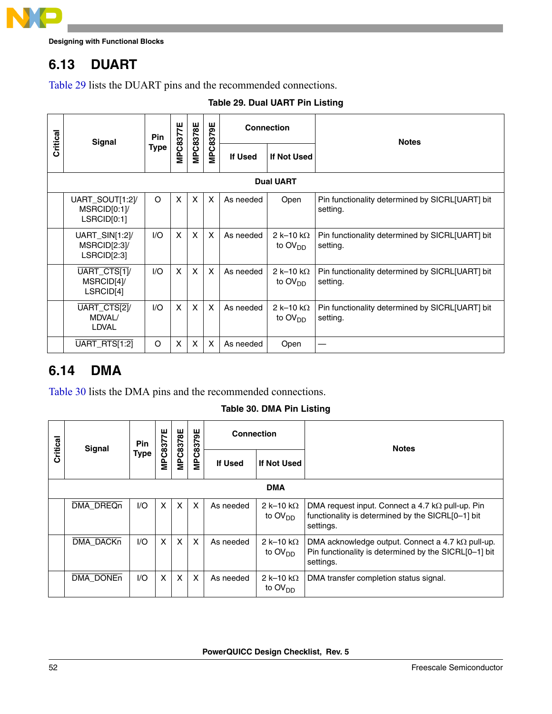

### <span id="page-51-0"></span>**6.13 DUART**

[Table 29](#page-51-2) lists the DUART pins and the recommended connections.

#### **Table 29. Dual UART Pin Listing**

<span id="page-51-2"></span>

|          | <b>Signal</b>                                 | Pin         | MPC8377E | <b>MPC8378E</b>           | <b>MPC8379E</b> |                | <b>Connection</b>                        | <b>Notes</b>                                                |
|----------|-----------------------------------------------|-------------|----------|---------------------------|-----------------|----------------|------------------------------------------|-------------------------------------------------------------|
| Critical |                                               | <b>Type</b> |          |                           |                 | <b>If Used</b> | If Not Used                              |                                                             |
|          |                                               |             |          |                           |                 |                | <b>Dual UART</b>                         |                                                             |
|          | UART_SOUT[1:2]/<br>MSRCID[0:1]<br>LSRCID[0:1] | O           | X        | $\boldsymbol{\mathsf{X}}$ | X               | As needed      | Open                                     | Pin functionality determined by SICRL[UART] bit<br>setting. |
|          | UART_SIN[1:2]/<br>MSRCID[2:3]/<br>LSRCID[2:3] | 1/O         | X        | $\boldsymbol{\mathsf{X}}$ | X               | As needed      | 2 k-10 k $\Omega$<br>to $\text{OV}_{DD}$ | Pin functionality determined by SICRL[UART] bit<br>setting. |
|          | UART_CTS[1]/<br>MSRCID[4]/<br>LSRCID[4]       | 1/O         | X        | $\boldsymbol{\mathsf{X}}$ | X               | As needed      | 2 k-10 k $\Omega$<br>to OV <sub>DD</sub> | Pin functionality determined by SICRL[UART] bit<br>setting. |
|          | UART_CTS[2]/<br>MDVAL/<br>LDVAL               | 1/O         | X        | $\boldsymbol{\mathsf{X}}$ | X               | As needed      | 2 k-10 k $\Omega$<br>to $\text{OV}_{DD}$ | Pin functionality determined by SICRL[UART] bit<br>setting. |
|          | UART_RTS[1:2]                                 | O           | X        | X                         | X               | As needed      | Open                                     |                                                             |

### <span id="page-51-1"></span>**6.14 DMA**

<span id="page-51-3"></span>[Table 30](#page-51-3) lists the DMA pins and the recommended connections.

**Table 30. DMA Pin Listing**

| Critical | Signal           | <b>Pin</b> | 76            | MPC8378E                  | MPC8379E                  | <b>Connection</b> |                                | <b>Notes</b>                                                                                                                   |  |  |  |  |  |
|----------|------------------|------------|---------------|---------------------------|---------------------------|-------------------|--------------------------------|--------------------------------------------------------------------------------------------------------------------------------|--|--|--|--|--|
|          |                  | Type       | <b>MPC837</b> |                           |                           | If Used           | If Not Used                    |                                                                                                                                |  |  |  |  |  |
|          | <b>DMA</b>       |            |               |                           |                           |                   |                                |                                                                                                                                |  |  |  |  |  |
|          | <b>DMA DREQn</b> | 1/O        | X             | X                         | $\boldsymbol{\mathsf{X}}$ | As needed         | 2 k–10 k $\Omega$<br>to $OVDD$ | DMA request input. Connect a 4.7 $k\Omega$ pull-up. Pin<br>functionality is determined by the SICRL[0-1] bit<br>settings.      |  |  |  |  |  |
|          | <b>DMA DACKn</b> | I/O        | X             | $\boldsymbol{\mathsf{x}}$ | $\boldsymbol{\mathsf{x}}$ | As needed         | 2 k–10 k $\Omega$<br>to $OVDD$ | DMA acknowledge output. Connect a 4.7 $k\Omega$ pull-up.<br>Pin functionality is determined by the SICRL[0-1] bit<br>settings. |  |  |  |  |  |
|          | <b>DMA DONEn</b> | 1/O        | X             | X                         | $\times$                  | As needed         | 2 k–10 k $\Omega$<br>to $OVDD$ | DMA transfer completion status signal.                                                                                         |  |  |  |  |  |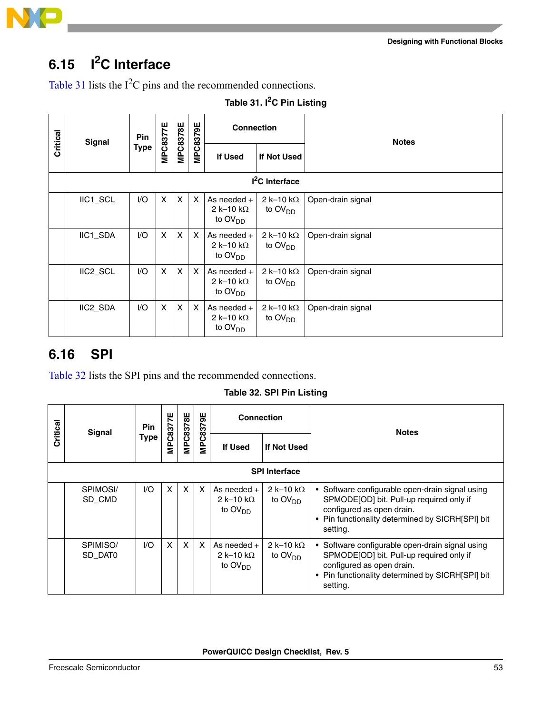

## <span id="page-52-0"></span>**6.15 I2C Interface**

[Table 31](#page-52-3) lists the  $I<sup>2</sup>C$  pins and the recommended connections.

<span id="page-52-3"></span>

|          | <b>Signal</b> | <b>Pin</b> | MPC8377E                  | <b>MPC8378E</b> | <b>MPC8379E</b>           | <b>Connection</b>                                                           |                                | <b>Notes</b>      |
|----------|---------------|------------|---------------------------|-----------------|---------------------------|-----------------------------------------------------------------------------|--------------------------------|-------------------|
| Critical |               | Type       |                           |                 |                           | <b>If Used</b>                                                              | If Not Used                    |                   |
|          |               |            |                           |                 |                           |                                                                             | I <sup>2</sup> C Interface     |                   |
|          | IIC1_SCL      | I/O        | $\pmb{\times}$            | X               | $\boldsymbol{\mathsf{X}}$ | As needed $+$<br>2 k-10 k $\Omega$<br>to $\text{OV}_{\text{DD}}$            | 2 k-10 k $\Omega$<br>to $OVDD$ | Open-drain signal |
|          | IIC1_SDA      | I/O        | $\boldsymbol{\mathsf{X}}$ | X               | $\boldsymbol{\mathsf{X}}$ | As needed $+$<br>$2 \text{ k}$ –10 k $\Omega$<br>to $\text{OV}_{\text{DD}}$ | 2 k-10 k $\Omega$<br>to $OVDD$ | Open-drain signal |
|          | IIC2_SCL      | I/O        | X                         | X               | $\boldsymbol{\mathsf{X}}$ | As needed $+$<br>2 k-10 k $\Omega$<br>to $\text{OV}_{\text{DD}}$            | 2 k-10 k $\Omega$<br>to $OVDD$ | Open-drain signal |
|          | IIC2_SDA      | I/O        | $\mathsf{X}$              | X               | $\boldsymbol{\mathsf{X}}$ | As needed $+$<br>2 k-10 k $\Omega$<br>to OV <sub>DD</sub>                   | 2 k-10 k $\Omega$<br>to $OVDD$ | Open-drain signal |

#### Table 31. I<sup>2</sup>C Pin Listing

### <span id="page-52-1"></span>**6.16 SPI**

<span id="page-52-2"></span>[Table 32](#page-52-2) lists the SPI pins and the recommended connections.

**Table 32. SPI Pin Listing**

| Critical | <b>Signal</b>        | <b>Pin</b><br>Type | <b>MPC8377E</b> | <b>MPC8378E</b> | <b>MPC8379E</b> | <b>Connection</b>                               |                                           | <b>Notes</b>                                                                                                                                                                             |  |  |
|----------|----------------------|--------------------|-----------------|-----------------|-----------------|-------------------------------------------------|-------------------------------------------|------------------------------------------------------------------------------------------------------------------------------------------------------------------------------------------|--|--|
|          |                      |                    |                 |                 |                 | If Used                                         | If Not Used                               |                                                                                                                                                                                          |  |  |
|          | <b>SPI Interface</b> |                    |                 |                 |                 |                                                 |                                           |                                                                                                                                                                                          |  |  |
|          | SPIMOSI/<br>SD_CMD   | 1/O                | X               | $\mathsf{x}$    | X               | As needed $+$<br>2 k-10 k $\Omega$<br>to $OVDD$ | $2 \text{ k} - 10 \text{ k}$<br>to $OVDD$ | • Software configurable open-drain signal using<br>SPMODE[OD] bit. Pull-up required only if<br>configured as open drain.<br>• Pin functionality determined by SICRH[SPI] bit<br>setting. |  |  |
|          | SPIMISO/<br>SD DATO  | 1/O                | X               | $\mathsf{x}$    | X               | As needed $+$<br>2 k-10 k $\Omega$<br>to $OVDD$ | 2 k-10 k $\Omega$<br>to $OVDD$            | • Software configurable open-drain signal using<br>SPMODE[OD] bit. Pull-up required only if<br>configured as open drain.<br>• Pin functionality determined by SICRH[SPI] bit<br>setting. |  |  |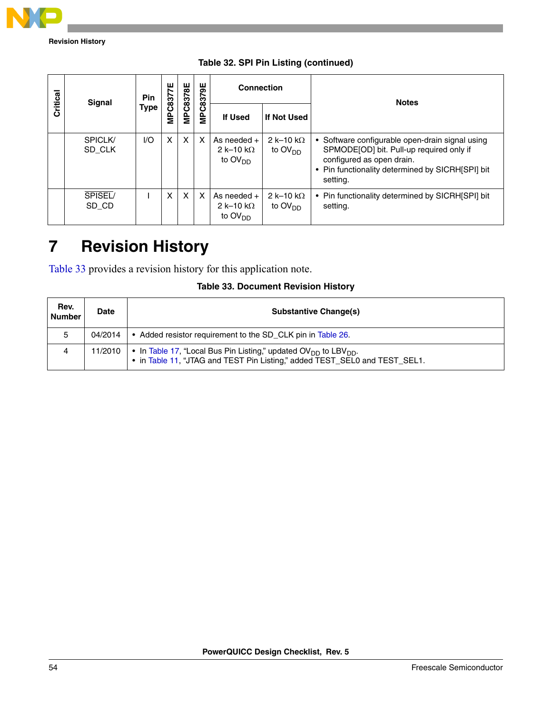

**Revision History**

| Critical | Signal                   | Pin         | MPC8377E | MPC8378E | MPC8379E | <b>Connection</b>                                         |                                | <b>Notes</b>                                                                                                                                                                             |
|----------|--------------------------|-------------|----------|----------|----------|-----------------------------------------------------------|--------------------------------|------------------------------------------------------------------------------------------------------------------------------------------------------------------------------------------|
|          |                          | <b>Type</b> |          |          |          | <b>If Used</b>                                            | If Not Used                    |                                                                                                                                                                                          |
|          | <b>SPICLK/</b><br>SD CLK | I/O         | X        | $\times$ | X        | As needed $+$<br>2 k-10 k $\Omega$<br>to $OVDD$           | 2 k-10 k $\Omega$<br>to $OVDD$ | • Software configurable open-drain signal using<br>SPMODE[OD] bit. Pull-up required only if<br>configured as open drain.<br>• Pin functionality determined by SICRH[SPI] bit<br>setting. |
|          | SPISEL/<br>SD_CD         |             | X        | $\times$ | X        | As needed $+$<br>2 k-10 k $\Omega$<br>to OV <sub>DD</sub> | 2 k-10 k $\Omega$<br>to $OVDD$ | • Pin functionality determined by SICRH[SPI] bit<br>setting.                                                                                                                             |

**Table 32. SPI Pin Listing (continued)**

## <span id="page-53-0"></span>**7 Revision History**

[Table 33](#page-53-1) provides a revision history for this application note.

|  | <b>Table 33. Document Revision History</b> |  |  |
|--|--------------------------------------------|--|--|
|--|--------------------------------------------|--|--|

<span id="page-53-1"></span>

| Rev.<br><b>Number</b> | Date    | <b>Substantive Change(s)</b>                                                                                                                                          |
|-----------------------|---------|-----------------------------------------------------------------------------------------------------------------------------------------------------------------------|
| 5                     | 04/2014 | • Added resistor requirement to the SD CLK pin in Table 26.                                                                                                           |
| 4                     | 11/2010 | • In Table 17, "Local Bus Pin Listing," updated $\text{OV}_{DD}$ to LBV <sub>DD</sub> .<br>. in Table 11, "JTAG and TEST Pin Listing," added TEST_SEL0 and TEST_SEL1. |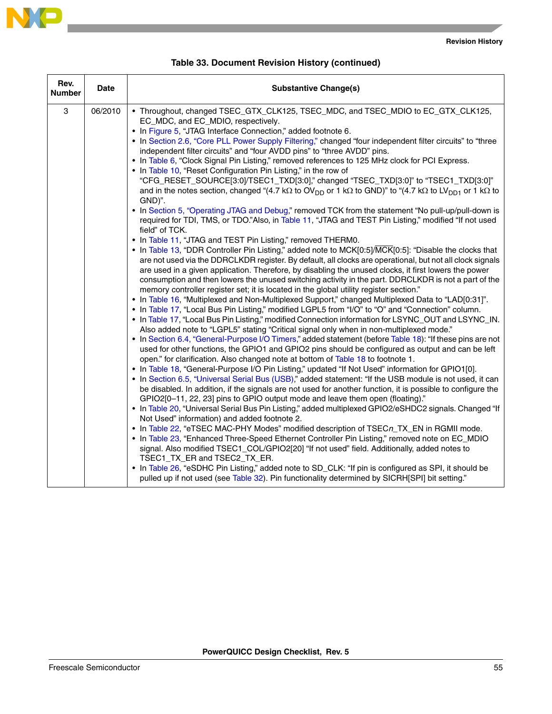

|--|--|

| Table 33. Document Revision History (continued) |  |
|-------------------------------------------------|--|
|-------------------------------------------------|--|

| Rev.<br><b>Number</b> | <b>Date</b> | <b>Substantive Change(s)</b>                                                                                                                                                                                                                                                                                                                                                                                                                                                                                                                                                                                                                                                                                                                                                                                                                                                                                                                                                                                                                                                                                                                                                                                                                                                                                                                                                                                                                                                                                                                                                                                                                                                                                                                                                                                                                                                                                                                                                                                                                                                                                                                                                                                                                                                                                                                                                                                                                                                                                                                                                                                                                                                                                                                                                                                                                                                                                                                                                                                                                                                                                                                                                                                                                                                                                                                                                                                                                              |
|-----------------------|-------------|-----------------------------------------------------------------------------------------------------------------------------------------------------------------------------------------------------------------------------------------------------------------------------------------------------------------------------------------------------------------------------------------------------------------------------------------------------------------------------------------------------------------------------------------------------------------------------------------------------------------------------------------------------------------------------------------------------------------------------------------------------------------------------------------------------------------------------------------------------------------------------------------------------------------------------------------------------------------------------------------------------------------------------------------------------------------------------------------------------------------------------------------------------------------------------------------------------------------------------------------------------------------------------------------------------------------------------------------------------------------------------------------------------------------------------------------------------------------------------------------------------------------------------------------------------------------------------------------------------------------------------------------------------------------------------------------------------------------------------------------------------------------------------------------------------------------------------------------------------------------------------------------------------------------------------------------------------------------------------------------------------------------------------------------------------------------------------------------------------------------------------------------------------------------------------------------------------------------------------------------------------------------------------------------------------------------------------------------------------------------------------------------------------------------------------------------------------------------------------------------------------------------------------------------------------------------------------------------------------------------------------------------------------------------------------------------------------------------------------------------------------------------------------------------------------------------------------------------------------------------------------------------------------------------------------------------------------------------------------------------------------------------------------------------------------------------------------------------------------------------------------------------------------------------------------------------------------------------------------------------------------------------------------------------------------------------------------------------------------------------------------------------------------------------------------------------------------------|
| 3                     | 06/2010     | • Throughout, changed TSEC_GTX_CLK125, TSEC_MDC, and TSEC_MDIO to EC_GTX_CLK125,<br>EC_MDC, and EC_MDIO, respectively.<br>• In Figure 5, "JTAG Interface Connection," added footnote 6.<br>• In Section 2.6, "Core PLL Power Supply Filtering," changed "four independent filter circuits" to "three<br>independent filter circuits" and "four AVDD pins" to "three AVDD" pins.<br>• In Table 6, "Clock Signal Pin Listing," removed references to 125 MHz clock for PCI Express.<br>• In Table 10, "Reset Configuration Pin Listing," in the row of<br>"CFG_RESET_SOURCE[3:0]/TSEC1_TXD[3:0]," changed "TSEC_TXD[3:0]" to "TSEC1_TXD[3:0]"<br>and in the notes section, changed "(4.7 kΩ to OV <sub>DD</sub> or 1 kΩ to GND)" to "(4.7 kΩ to LV <sub>DD1</sub> or 1 kΩ to<br>GND)".<br>. In Section 5, "Operating JTAG and Debug," removed TCK from the statement "No pull-up/pull-down is<br>required for TDI, TMS, or TDO."Also, in Table 11, "JTAG and TEST Pin Listing," modified "If not used<br>field" of TCK.<br>• In Table 11, "JTAG and TEST Pin Listing," removed THERM0.<br>• In Table 13, "DDR Controller Pin Listing," added note to MCK[0:5]/MCK[0:5]: "Disable the clocks that<br>are not used via the DDRCLKDR register. By default, all clocks are operational, but not all clock signals<br>are used in a given application. Therefore, by disabling the unused clocks, it first lowers the power<br>consumption and then lowers the unused switching activity in the part. DDRCLKDR is not a part of the<br>memory controller register set; it is located in the global utility register section."<br>• In Table 16, "Multiplexed and Non-Multiplexed Support," changed Multiplexed Data to "LAD[0:31]".<br>. In Table 17, "Local Bus Pin Listing," modified LGPL5 from "I/O" to "O" and "Connection" column.<br>. In Table 17, "Local Bus Pin Listing," modified Connection information for LSYNC_OUT and LSYNC_IN.<br>Also added note to "LGPL5" stating "Critical signal only when in non-multiplexed mode."<br>• In Section 6.4, "General-Purpose I/O Timers," added statement (before Table 18): "If these pins are not<br>used for other functions, the GPIO1 and GPIO2 pins should be configured as output and can be left<br>open." for clarification. Also changed note at bottom of Table 18 to footnote 1.<br>. In Table 18, "General-Purpose I/O Pin Listing," updated "If Not Used" information for GPIO1[0].<br>. In Section 6.5, "Universal Serial Bus (USB)," added statement: "If the USB module is not used, it can<br>be disabled. In addition, if the signals are not used for another function, it is possible to configure the<br>GPIO2[0-11, 22, 23] pins to GPIO output mode and leave them open (floating)."<br>. In Table 20, "Universal Serial Bus Pin Listing," added multiplexed GPIO2/eSHDC2 signals. Changed "If<br>Not Used" information) and added footnote 2.<br>• In Table 22, "eTSEC MAC-PHY Modes" modified description of TSECn_TX_EN in RGMII mode.<br>. In Table 23, "Enhanced Three-Speed Ethernet Controller Pin Listing," removed note on EC_MDIO<br>signal. Also modified TSEC1_COL/GPIO2[20] "If not used" field. Additionally, added notes to<br>TSEC1_TX_ER and TSEC2_TX_ER.<br>• In Table 26, "eSDHC Pin Listing," added note to SD_CLK: "If pin is configured as SPI, it should be<br>pulled up if not used (see Table 32). Pin functionality determined by SICRH[SPI] bit setting." |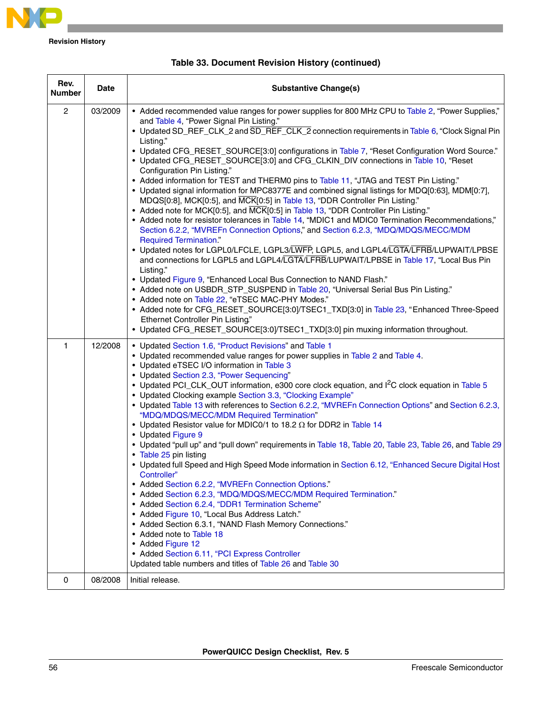

**Revision History**

| Rev.<br><b>Number</b> | <b>Date</b> | <b>Substantive Change(s)</b>                                                                                                                                                                                                                                                                                                                                                                                                                                                                                                                                                                                                                                                                                                                                                                                                                                                                                                                                                                                                                                                                                                                                                                                                                                                                                                                                                                                                                                                                                                                                                                                                                                                                                         |
|-----------------------|-------------|----------------------------------------------------------------------------------------------------------------------------------------------------------------------------------------------------------------------------------------------------------------------------------------------------------------------------------------------------------------------------------------------------------------------------------------------------------------------------------------------------------------------------------------------------------------------------------------------------------------------------------------------------------------------------------------------------------------------------------------------------------------------------------------------------------------------------------------------------------------------------------------------------------------------------------------------------------------------------------------------------------------------------------------------------------------------------------------------------------------------------------------------------------------------------------------------------------------------------------------------------------------------------------------------------------------------------------------------------------------------------------------------------------------------------------------------------------------------------------------------------------------------------------------------------------------------------------------------------------------------------------------------------------------------------------------------------------------------|
| $\overline{2}$        | 03/2009     | • Added recommended value ranges for power supplies for 800 MHz CPU to Table 2, "Power Supplies,"<br>and Table 4, "Power Signal Pin Listing."<br>• Updated SD_REF_CLK_2 and SD_REF_CLK_2 connection requirements in Table 6, "Clock Signal Pin<br>Listing."<br>• Updated CFG_RESET_SOURCE[3:0] configurations in Table 7, "Reset Configuration Word Source."<br>• Updated CFG_RESET_SOURCE[3:0] and CFG_CLKIN_DIV connections in Table 10, "Reset<br>Configuration Pin Listing."<br>• Added information for TEST and THERM0 pins to Table 11, "JTAG and TEST Pin Listing."<br>• Updated signal information for MPC8377E and combined signal listings for MDQ[0:63], MDM[0:7],<br>MDQS[0:8], MCK[0:5], and MCK[0:5] in Table 13, "DDR Controller Pin Listing."<br>• Added note for MCK[0:5], and MCK[0:5] in Table 13, "DDR Controller Pin Listing."<br>• Added note for resistor tolerances in Table 14, "MDIC1 and MDIC0 Termination Recommendations,"<br>Section 6.2.2, "MVREFn Connection Options," and Section 6.2.3, "MDQ/MDQS/MECC/MDM<br><b>Required Termination."</b><br>• Updated notes for LGPL0/LFCLE, LGPL3/LWFP, LGPL5, and LGPL4/LGTA/LFRB/LUPWAIT/LPBSE<br>and connections for LGPL5 and LGPL4/LGTA/LFRB/LUPWAIT/LPBSE in Table 17, "Local Bus Pin<br>Listing."<br>• Updated Figure 9, "Enhanced Local Bus Connection to NAND Flash."<br>• Added note on USBDR_STP_SUSPEND in Table 20, "Universal Serial Bus Pin Listing."<br>• Added note on Table 22, "eTSEC MAC-PHY Modes."<br>• Added note for CFG_RESET_SOURCE[3:0]/TSEC1_TXD[3:0] in Table 23, "Enhanced Three-Speed<br>Ethernet Controller Pin Listing."<br>• Updated CFG_RESET_SOURCE[3:0]/TSEC1_TXD[3:0] pin muxing information throughout. |
| 1                     | 12/2008     | • Updated Section 1.6, "Product Revisions" and Table 1<br>• Updated recommended value ranges for power supplies in Table 2 and Table 4.<br>• Updated eTSEC I/O information in Table 3<br>• Updated Section 2.3, "Power Sequencing"<br>• Updated PCI_CLK_OUT information, e300 core clock equation, and l <sup>2</sup> C clock equation in Table 5<br>• Updated Clocking example Section 3.3, "Clocking Example"<br>• Updated Table 13 with references to Section 6.2.2, "MVREFn Connection Options" and Section 6.2.3,<br>"MDQ/MDQS/MECC/MDM Required Termination"<br>• Updated Resistor value for MDIC0/1 to 18.2 $\Omega$ for DDR2 in Table 14<br>• Updated Figure 9<br>• Updated "pull up" and "pull down" requirements in Table 18, Table 20, Table 23, Table 26, and Table 29<br>• Table 25 pin listing<br>. Updated full Speed and High Speed Mode information in Section 6.12, "Enhanced Secure Digital Host<br>Controller"<br>• Added Section 6.2.2, "MVREFn Connection Options."<br>• Added Section 6.2.3, "MDQ/MDQS/MECC/MDM Required Termination."<br>• Added Section 6.2.4, "DDR1 Termination Scheme"<br>• Added Figure 10, "Local Bus Address Latch."<br>• Added Section 6.3.1, "NAND Flash Memory Connections."<br>• Added note to Table 18<br>• Added Figure 12<br>• Added Section 6.11, "PCI Express Controller<br>Updated table numbers and titles of Table 26 and Table 30                                                                                                                                                                                                                                                                                                                         |
| 0                     | 08/2008     | Initial release.                                                                                                                                                                                                                                                                                                                                                                                                                                                                                                                                                                                                                                                                                                                                                                                                                                                                                                                                                                                                                                                                                                                                                                                                                                                                                                                                                                                                                                                                                                                                                                                                                                                                                                     |

#### **Table 33. Document Revision History (continued)**